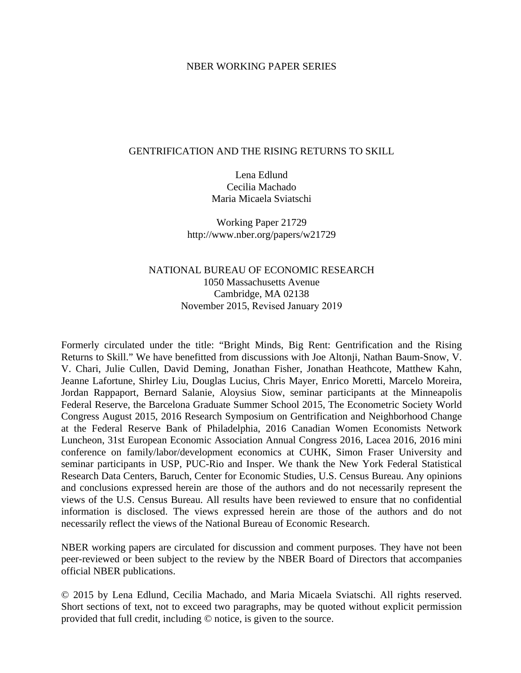### NBER WORKING PAPER SERIES

### GENTRIFICATION AND THE RISING RETURNS TO SKILL

Lena Edlund Cecilia Machado Maria Micaela Sviatschi

Working Paper 21729 http://www.nber.org/papers/w21729

# NATIONAL BUREAU OF ECONOMIC RESEARCH 1050 Massachusetts Avenue Cambridge, MA 02138 November 2015, Revised January 2019

Formerly circulated under the title: "Bright Minds, Big Rent: Gentrification and the Rising Returns to Skill." We have benefitted from discussions with Joe Altonji, Nathan Baum-Snow, V. V. Chari, Julie Cullen, David Deming, Jonathan Fisher, Jonathan Heathcote, Matthew Kahn, Jeanne Lafortune, Shirley Liu, Douglas Lucius, Chris Mayer, Enrico Moretti, Marcelo Moreira, Jordan Rappaport, Bernard Salanie, Aloysius Siow, seminar participants at the Minneapolis Federal Reserve, the Barcelona Graduate Summer School 2015, The Econometric Society World Congress August 2015, 2016 Research Symposium on Gentrification and Neighborhood Change at the Federal Reserve Bank of Philadelphia, 2016 Canadian Women Economists Network Luncheon, 31st European Economic Association Annual Congress 2016, Lacea 2016, 2016 mini conference on family/labor/development economics at CUHK, Simon Fraser University and seminar participants in USP, PUC-Rio and Insper. We thank the New York Federal Statistical Research Data Centers, Baruch, Center for Economic Studies, U.S. Census Bureau. Any opinions and conclusions expressed herein are those of the authors and do not necessarily represent the views of the U.S. Census Bureau. All results have been reviewed to ensure that no confidential information is disclosed. The views expressed herein are those of the authors and do not necessarily reflect the views of the National Bureau of Economic Research.

NBER working papers are circulated for discussion and comment purposes. They have not been peer-reviewed or been subject to the review by the NBER Board of Directors that accompanies official NBER publications.

© 2015 by Lena Edlund, Cecilia Machado, and Maria Micaela Sviatschi. All rights reserved. Short sections of text, not to exceed two paragraphs, may be quoted without explicit permission provided that full credit, including © notice, is given to the source.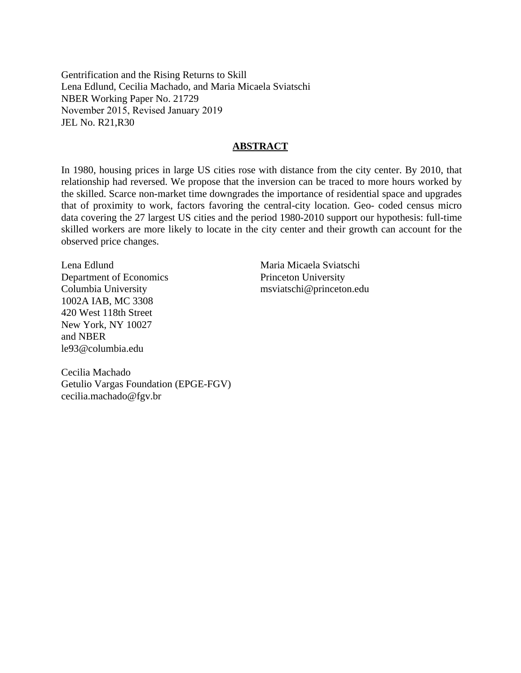Gentrification and the Rising Returns to Skill Lena Edlund, Cecilia Machado, and Maria Micaela Sviatschi NBER Working Paper No. 21729 November 2015, Revised January 2019 JEL No. R21,R30

## **ABSTRACT**

In 1980, housing prices in large US cities rose with distance from the city center. By 2010, that relationship had reversed. We propose that the inversion can be traced to more hours worked by the skilled. Scarce non-market time downgrades the importance of residential space and upgrades that of proximity to work, factors favoring the central-city location. Geo- coded census micro data covering the 27 largest US cities and the period 1980-2010 support our hypothesis: full-time skilled workers are more likely to locate in the city center and their growth can account for the observed price changes.

Lena Edlund Department of Economics Columbia University 1002A IAB, MC 3308 420 West 118th Street New York, NY 10027 and NBER le93@columbia.edu

Maria Micaela Sviatschi Princeton University msviatschi@princeton.edu

Cecilia Machado Getulio Vargas Foundation (EPGE-FGV) cecilia.machado@fgv.br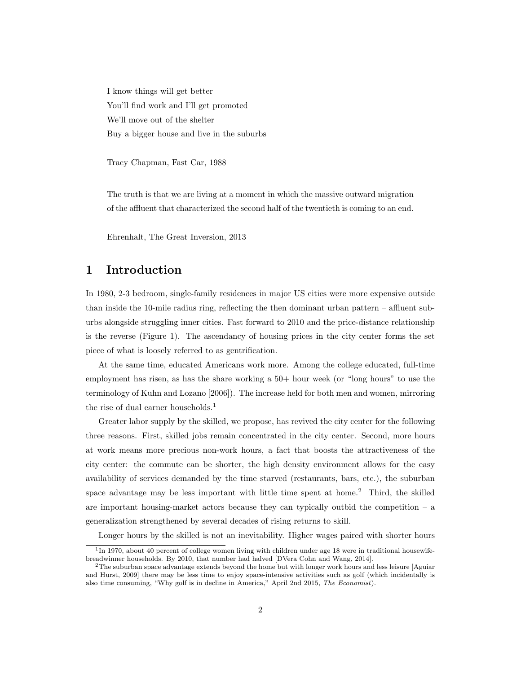I know things will get better You'll find work and I'll get promoted We'll move out of the shelter Buy a bigger house and live in the suburbs

Tracy Chapman, Fast Car, 1988

The truth is that we are living at a moment in which the massive outward migration of the affluent that characterized the second half of the twentieth is coming to an end.

Ehrenhalt, The Great Inversion, 2013

# **1 Introduction**

In 1980, 2-3 bedroom, single-family residences in major US cities were more expensive outside than inside the 10-mile radius ring, reflecting the then dominant urban pattern – affluent suburbs alongside struggling inner cities. Fast forward to 2010 and the price-distance relationship is the reverse (Figure 1). The ascendancy of housing prices in the city center forms the set piece of what is loosely referred to as gentrification.

At the same time, educated Americans work more. Among the college educated, full-time employment has risen, as has the share working a 50+ hour week (or "long hours" to use the terminology of Kuhn and Lozano [2006]). The increase held for both men and women, mirroring the rise of dual earner households.<sup>1</sup>

Greater labor supply by the skilled, we propose, has revived the city center for the following three reasons. First, skilled jobs remain concentrated in the city center. Second, more hours at work means more precious non-work hours, a fact that boosts the attractiveness of the city center: the commute can be shorter, the high density environment allows for the easy availability of services demanded by the time starved (restaurants, bars, etc.), the suburban space advantage may be less important with little time spent at home.<sup>2</sup> Third, the skilled are important housing-market actors because they can typically outbid the competition  $-$  a generalization strengthened by several decades of rising returns to skill.

Longer hours by the skilled is not an inevitability. Higher wages paired with shorter hours

<sup>&</sup>lt;sup>1</sup>In 1970, about 40 percent of college women living with children under age 18 were in traditional housewifebreadwinner households. By 2010, that number had halved [DVera Cohn and Wang, 2014].

<sup>&</sup>lt;sup>2</sup>The suburban space advantage extends beyond the home but with longer work hours and less leisure [Aguiar] and Hurst, 2009] there may be less time to enjoy space-intensive activities such as golf (which incidentally is also time consuming, "Why golf is in decline in America," April 2nd 2015, *The Economist*).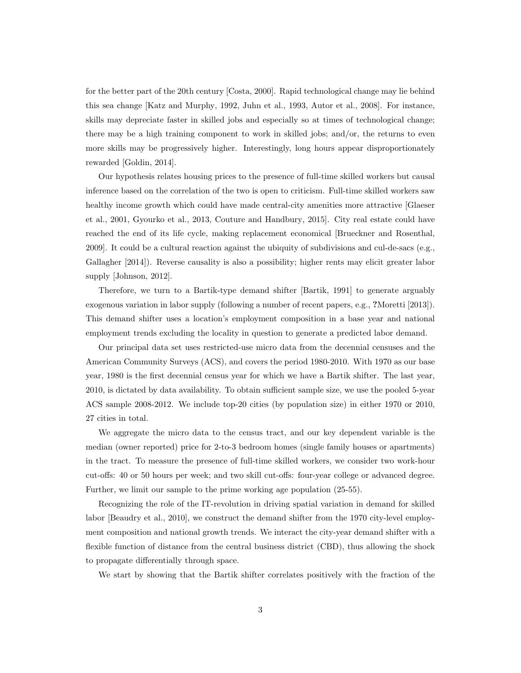for the better part of the 20th century [Costa, 2000]. Rapid technological change may lie behind this sea change [Katz and Murphy, 1992, Juhn et al., 1993, Autor et al., 2008]. For instance, skills may depreciate faster in skilled jobs and especially so at times of technological change; there may be a high training component to work in skilled jobs; and/or, the returns to even more skills may be progressively higher. Interestingly, long hours appear disproportionately rewarded [Goldin, 2014].

Our hypothesis relates housing prices to the presence of full-time skilled workers but causal inference based on the correlation of the two is open to criticism. Full-time skilled workers saw healthy income growth which could have made central-city amenities more attractive [Glaeser et al., 2001, Gyourko et al., 2013, Couture and Handbury, 2015]. City real estate could have reached the end of its life cycle, making replacement economical [Brueckner and Rosenthal, 2009]. It could be a cultural reaction against the ubiquity of subdivisions and cul-de-sacs (e.g., Gallagher [2014]). Reverse causality is also a possibility; higher rents may elicit greater labor supply [Johnson, 2012].

Therefore, we turn to a Bartik-type demand shifter [Bartik, 1991] to generate arguably exogenous variation in labor supply (following a number of recent papers, e.g., **?**Moretti [2013]). This demand shifter uses a location's employment composition in a base year and national employment trends excluding the locality in question to generate a predicted labor demand.

Our principal data set uses restricted-use micro data from the decennial censuses and the American Community Surveys (ACS), and covers the period 1980-2010. With 1970 as our base year, 1980 is the first decennial census year for which we have a Bartik shifter. The last year, 2010, is dictated by data availability. To obtain sufficient sample size, we use the pooled 5-year ACS sample 2008-2012. We include top-20 cities (by population size) in either 1970 or 2010, 27 cities in total.

We aggregate the micro data to the census tract, and our key dependent variable is the median (owner reported) price for 2-to-3 bedroom homes (single family houses or apartments) in the tract. To measure the presence of full-time skilled workers, we consider two work-hour cut-offs: 40 or 50 hours per week; and two skill cut-offs: four-year college or advanced degree. Further, we limit our sample to the prime working age population (25-55).

Recognizing the role of the IT-revolution in driving spatial variation in demand for skilled labor [Beaudry et al., 2010], we construct the demand shifter from the 1970 city-level employment composition and national growth trends. We interact the city-year demand shifter with a flexible function of distance from the central business district (CBD), thus allowing the shock to propagate differentially through space.

We start by showing that the Bartik shifter correlates positively with the fraction of the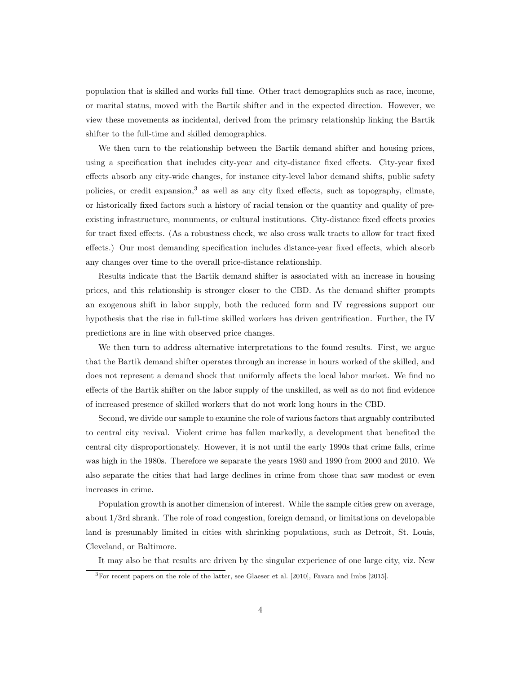population that is skilled and works full time. Other tract demographics such as race, income, or marital status, moved with the Bartik shifter and in the expected direction. However, we view these movements as incidental, derived from the primary relationship linking the Bartik shifter to the full-time and skilled demographics.

We then turn to the relationship between the Bartik demand shifter and housing prices, using a specification that includes city-year and city-distance fixed effects. City-year fixed effects absorb any city-wide changes, for instance city-level labor demand shifts, public safety policies, or credit expansion,<sup>3</sup> as well as any city fixed effects, such as topography, climate, or historically fixed factors such a history of racial tension or the quantity and quality of preexisting infrastructure, monuments, or cultural institutions. City-distance fixed effects proxies for tract fixed effects. (As a robustness check, we also cross walk tracts to allow for tract fixed effects.) Our most demanding specification includes distance-year fixed effects, which absorb any changes over time to the overall price-distance relationship.

Results indicate that the Bartik demand shifter is associated with an increase in housing prices, and this relationship is stronger closer to the CBD. As the demand shifter prompts an exogenous shift in labor supply, both the reduced form and IV regressions support our hypothesis that the rise in full-time skilled workers has driven gentrification. Further, the IV predictions are in line with observed price changes.

We then turn to address alternative interpretations to the found results. First, we argue that the Bartik demand shifter operates through an increase in hours worked of the skilled, and does not represent a demand shock that uniformly affects the local labor market. We find no effects of the Bartik shifter on the labor supply of the unskilled, as well as do not find evidence of increased presence of skilled workers that do not work long hours in the CBD.

Second, we divide our sample to examine the role of various factors that arguably contributed to central city revival. Violent crime has fallen markedly, a development that benefited the central city disproportionately. However, it is not until the early 1990s that crime falls, crime was high in the 1980s. Therefore we separate the years 1980 and 1990 from 2000 and 2010. We also separate the cities that had large declines in crime from those that saw modest or even increases in crime.

Population growth is another dimension of interest. While the sample cities grew on average, about 1/3rd shrank. The role of road congestion, foreign demand, or limitations on developable land is presumably limited in cities with shrinking populations, such as Detroit, St. Louis, Cleveland, or Baltimore.

It may also be that results are driven by the singular experience of one large city, viz. New

<sup>3</sup>For recent papers on the role of the latter, see Glaeser et al. [2010], Favara and Imbs [2015].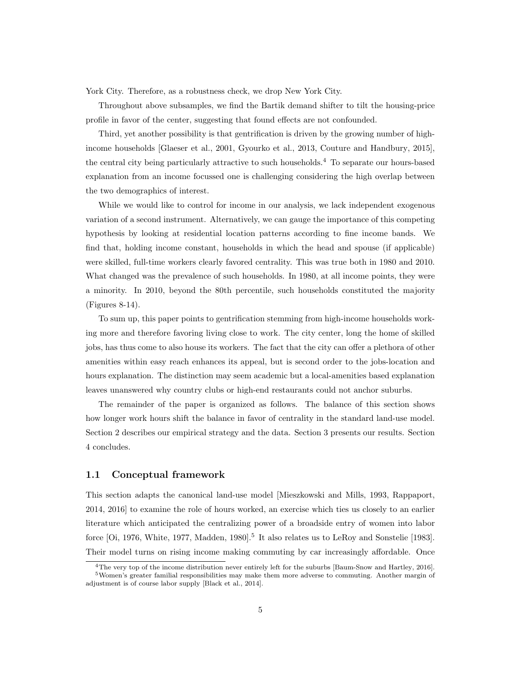York City. Therefore, as a robustness check, we drop New York City.

Throughout above subsamples, we find the Bartik demand shifter to tilt the housing-price profile in favor of the center, suggesting that found effects are not confounded.

Third, yet another possibility is that gentrification is driven by the growing number of highincome households [Glaeser et al., 2001, Gyourko et al., 2013, Couture and Handbury, 2015], the central city being particularly attractive to such households.<sup>4</sup> To separate our hours-based explanation from an income focussed one is challenging considering the high overlap between the two demographics of interest.

While we would like to control for income in our analysis, we lack independent exogenous variation of a second instrument. Alternatively, we can gauge the importance of this competing hypothesis by looking at residential location patterns according to fine income bands. We find that, holding income constant, households in which the head and spouse (if applicable) were skilled, full-time workers clearly favored centrality. This was true both in 1980 and 2010. What changed was the prevalence of such households. In 1980, at all income points, they were a minority. In 2010, beyond the 80th percentile, such households constituted the majority (Figures 8-14).

To sum up, this paper points to gentrification stemming from high-income households working more and therefore favoring living close to work. The city center, long the home of skilled jobs, has thus come to also house its workers. The fact that the city can offer a plethora of other amenities within easy reach enhances its appeal, but is second order to the jobs-location and hours explanation. The distinction may seem academic but a local-amenities based explanation leaves unanswered why country clubs or high-end restaurants could not anchor suburbs.

The remainder of the paper is organized as follows. The balance of this section shows how longer work hours shift the balance in favor of centrality in the standard land-use model. Section 2 describes our empirical strategy and the data. Section 3 presents our results. Section 4 concludes.

#### **1.1 Conceptual framework**

This section adapts the canonical land-use model [Mieszkowski and Mills, 1993, Rappaport, 2014, 2016] to examine the role of hours worked, an exercise which ties us closely to an earlier literature which anticipated the centralizing power of a broadside entry of women into labor force [Oi, 1976, White, 1977, Madden, 1980].<sup>5</sup> It also relates us to LeRoy and Sonstelie [1983]. Their model turns on rising income making commuting by car increasingly affordable. Once

<sup>4</sup>The very top of the income distribution never entirely left for the suburbs [Baum-Snow and Hartley, 2016]. <sup>5</sup>Women's greater familial responsibilities may make them more adverse to commuting. Another margin of adjustment is of course labor supply [Black et al., 2014].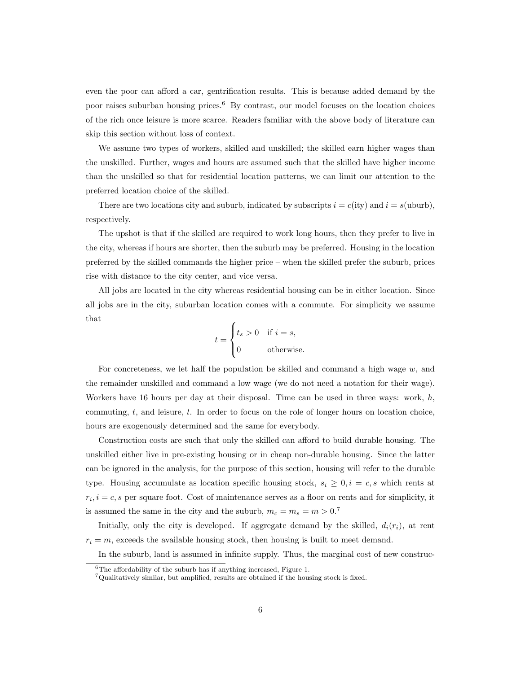even the poor can afford a car, gentrification results. This is because added demand by the poor raises suburban housing prices.<sup>6</sup> By contrast, our model focuses on the location choices of the rich once leisure is more scarce. Readers familiar with the above body of literature can skip this section without loss of context.

We assume two types of workers, skilled and unskilled; the skilled earn higher wages than the unskilled. Further, wages and hours are assumed such that the skilled have higher income than the unskilled so that for residential location patterns, we can limit our attention to the preferred location choice of the skilled.

There are two locations city and suburb, indicated by subscripts  $i = c$ (ity) and  $i = s$ (uburb), respectively.

The upshot is that if the skilled are required to work long hours, then they prefer to live in the city, whereas if hours are shorter, then the suburb may be preferred. Housing in the location preferred by the skilled commands the higher price – when the skilled prefer the suburb, prices rise with distance to the city center, and vice versa.

All jobs are located in the city whereas residential housing can be in either location. Since all jobs are in the city, suburban location comes with a commute. For simplicity we assume that

$$
t = \begin{cases} t_s > 0 & \text{if } i = s, \\ 0 & \text{otherwise.} \end{cases}
$$

For concreteness, we let half the population be skilled and command a high wage *w*, and the remainder unskilled and command a low wage (we do not need a notation for their wage). Workers have 16 hours per day at their disposal. Time can be used in three ways: work, *h*, commuting, *t*, and leisure, *l*. In order to focus on the role of longer hours on location choice, hours are exogenously determined and the same for everybody.

Construction costs are such that only the skilled can afford to build durable housing. The unskilled either live in pre-existing housing or in cheap non-durable housing. Since the latter can be ignored in the analysis, for the purpose of this section, housing will refer to the durable type. Housing accumulate as location specific housing stock,  $s_i \geq 0, i = c, s$  which rents at  $r_i$ ,  $i = c$ , s per square foot. Cost of maintenance serves as a floor on rents and for simplicity, it is assumed the same in the city and the suburb,  $m_c = m_s = m > 0$ .<sup>7</sup>

Initially, only the city is developed. If aggregate demand by the skilled,  $d_i(r_i)$ , at rent  $r_i = m$ , exceeds the available housing stock, then housing is built to meet demand.

In the suburb, land is assumed in infinite supply. Thus, the marginal cost of new construc-

 $\overline{6}$ The affordability of the suburb has if anything increased, Figure 1.

 $7$ Qualitatively similar, but amplified, results are obtained if the housing stock is fixed.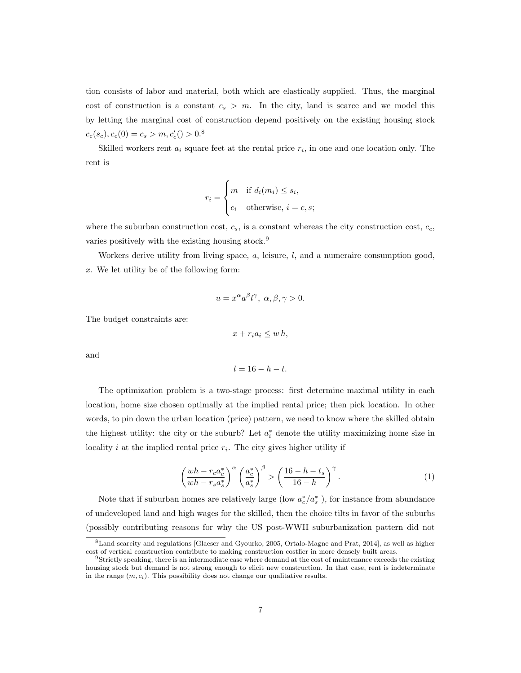tion consists of labor and material, both which are elastically supplied. Thus, the marginal cost of construction is a constant  $c_s > m$ . In the city, land is scarce and we model this by letting the marginal cost of construction depend positively on the existing housing stock  $c_c(s_c), c_c(0) = c_s > m, c'_c(0) > 0.8$ 

Skilled workers rent  $a_i$  square feet at the rental price  $r_i$ , in one and one location only. The rent is

$$
r_i = \begin{cases} m & \text{if } d_i(m_i) \le s_i, \\ c_i & \text{otherwise, } i = c, s; \end{cases}
$$

where the suburban construction cost,  $c_s$ , is a constant whereas the city construction cost,  $c_c$ , varies positively with the existing housing stock.<sup>9</sup>

Workers derive utility from living space, *a*, leisure, *l*, and a numeraire consumption good, *x*. We let utility be of the following form:

$$
u = x^{\alpha} a^{\beta} l^{\gamma}, \ \alpha, \beta, \gamma > 0.
$$

The budget constraints are:

$$
x+r_ia_i\leq w\,h,
$$

and

$$
l=16-h-t.
$$

The optimization problem is a two-stage process: first determine maximal utility in each location, home size chosen optimally at the implied rental price; then pick location. In other words, to pin down the urban location (price) pattern, we need to know where the skilled obtain the highest utility: the city or the suburb? Let  $a_i^*$  denote the utility maximizing home size in locality  $i$  at the implied rental price  $r_i$ . The city gives higher utility if

$$
\left(\frac{wh - r_c a_c^*}{wh - r_s a_s^*}\right)^\alpha \left(\frac{a_c^*}{a_s^*}\right)^\beta > \left(\frac{16 - h - t_s}{16 - h}\right)^\gamma.
$$
\n(1)

Note that if suburban homes are relatively large (low  $a_c^*/a_s^*$ ), for instance from abundance of undeveloped land and high wages for the skilled, then the choice tilts in favor of the suburbs (possibly contributing reasons for why the US post-WWII suburbanization pattern did not

<sup>8</sup>Land scarcity and regulations [Glaeser and Gyourko, 2005, Ortalo-Magne and Prat, 2014], as well as higher cost of vertical construction contribute to making construction costlier in more densely built areas.

<sup>9</sup>Strictly speaking, there is an intermediate case where demand at the cost of maintenance exceeds the existing housing stock but demand is not strong enough to elicit new construction. In that case, rent is indeterminate in the range  $(m, c_i)$ . This possibility does not change our qualitative results.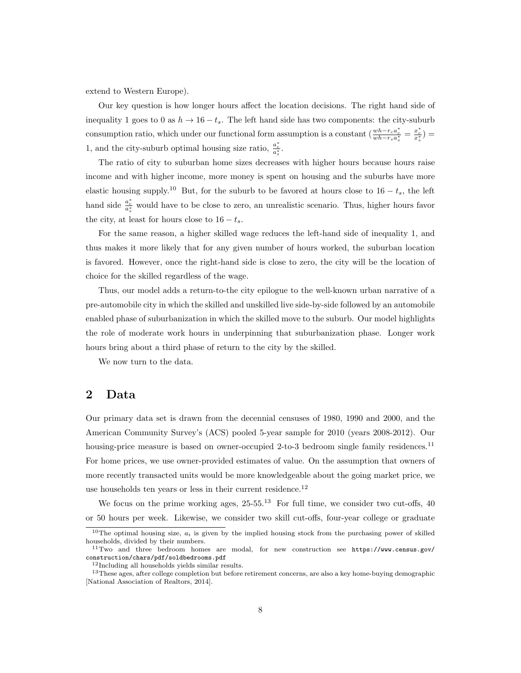extend to Western Europe).

Our key question is how longer hours affect the location decisions. The right hand side of inequality 1 goes to 0 as  $h \to 16 - t_s$ . The left hand side has two components: the city-suburb consumption ratio, which under our functional form assumption is a constant  $\left(\frac{wh - r_c a_c^*}{wh - r_s a_s^*}\right) =$ 1, and the city-suburb optimal housing size ratio,  $\frac{a^*_{c}}{a^*_{s}}$ .

The ratio of city to suburban home sizes decreases with higher hours because hours raise income and with higher income, more money is spent on housing and the suburbs have more elastic housing supply.<sup>10</sup> But, for the suburb to be favored at hours close to  $16 - t_s$ , the left hand side  $\frac{a_c^*}{a_s^*}$  would have to be close to zero, an unrealistic scenario. Thus, higher hours favor the city, at least for hours close to  $16 - t_s$ .

For the same reason, a higher skilled wage reduces the left-hand side of inequality 1, and thus makes it more likely that for any given number of hours worked, the suburban location is favored. However, once the right-hand side is close to zero, the city will be the location of choice for the skilled regardless of the wage.

Thus, our model adds a return-to-the city epilogue to the well-known urban narrative of a pre-automobile city in which the skilled and unskilled live side-by-side followed by an automobile enabled phase of suburbanization in which the skilled move to the suburb. Our model highlights the role of moderate work hours in underpinning that suburbanization phase. Longer work hours bring about a third phase of return to the city by the skilled.

We now turn to the data.

## **2 Data**

Our primary data set is drawn from the decennial censuses of 1980, 1990 and 2000, and the American Community Survey's (ACS) pooled 5-year sample for 2010 (years 2008-2012). Our housing-price measure is based on owner-occupied 2-to-3 bedroom single family residences.<sup>11</sup> For home prices, we use owner-provided estimates of value. On the assumption that owners of more recently transacted units would be more knowledgeable about the going market price, we use households ten years or less in their current residence.<sup>12</sup>

We focus on the prime working ages,  $25-55.^{13}$  For full time, we consider two cut-offs,  $40$ or 50 hours per week. Likewise, we consider two skill cut-offs, four-year college or graduate

 $10$ The optimal housing size,  $a_i$  is given by the implied housing stock from the purchasing power of skilled households, divided by their numbers.

<sup>11</sup>Two and three bedroom homes are modal, for new construction see https://www.census.gov/ construction/chars/pdf/soldbedrooms.pdf

<sup>&</sup>lt;sup>12</sup>Including all households yields similar results.

<sup>&</sup>lt;sup>13</sup>These ages, after college completion but before retirement concerns, are also a key home-buying demographic [National Association of Realtors, 2014].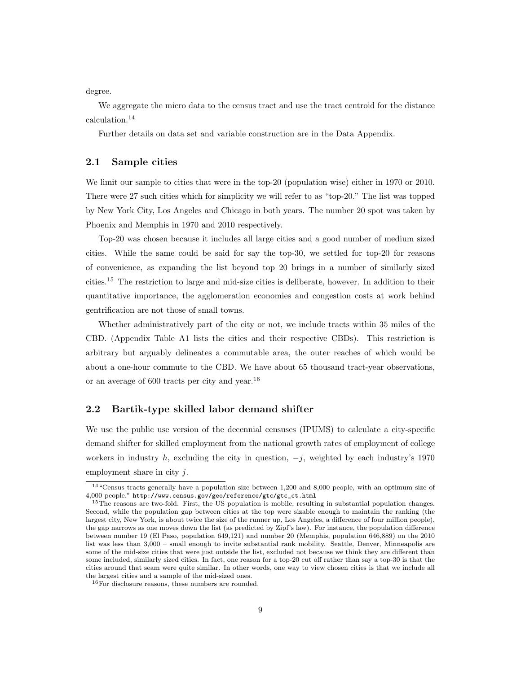degree.

We aggregate the micro data to the census tract and use the tract centroid for the distance calculation.<sup>14</sup>

Further details on data set and variable construction are in the Data Appendix.

#### **2.1 Sample cities**

We limit our sample to cities that were in the top-20 (population wise) either in 1970 or 2010. There were 27 such cities which for simplicity we will refer to as "top-20." The list was topped by New York City, Los Angeles and Chicago in both years. The number 20 spot was taken by Phoenix and Memphis in 1970 and 2010 respectively.

Top-20 was chosen because it includes all large cities and a good number of medium sized cities. While the same could be said for say the top-30, we settled for top-20 for reasons of convenience, as expanding the list beyond top 20 brings in a number of similarly sized cities.<sup>15</sup> The restriction to large and mid-size cities is deliberate, however. In addition to their quantitative importance, the agglomeration economies and congestion costs at work behind gentrification are not those of small towns.

Whether administratively part of the city or not, we include tracts within 35 miles of the CBD. (Appendix Table A1 lists the cities and their respective CBDs). This restriction is arbitrary but arguably delineates a commutable area, the outer reaches of which would be about a one-hour commute to the CBD. We have about 65 thousand tract-year observations, or an average of 600 tracts per city and year.<sup>16</sup>

#### **2.2 Bartik-type skilled labor demand shifter**

We use the public use version of the decennial censuses (IPUMS) to calculate a city-specific demand shifter for skilled employment from the national growth rates of employment of college workers in industry *h*, excluding the city in question, *−j*, weighted by each industry's 1970 employment share in city *j*.

<sup>14</sup>"Census tracts generally have a population size between 1,200 and 8,000 people, with an optimum size of 4,000 people." http://www.census.gov/geo/reference/gtc/gtc\_ct.html

<sup>&</sup>lt;sup>15</sup>The reasons are two-fold. First, the US population is mobile, resulting in substantial population changes. Second, while the population gap between cities at the top were sizable enough to maintain the ranking (the largest city, New York, is about twice the size of the runner up, Los Angeles, a difference of four million people), the gap narrows as one moves down the list (as predicted by Zipf's law). For instance, the population difference between number 19 (El Paso, population 649,121) and number 20 (Memphis, population 646,889) on the 2010 list was less than 3,000 – small enough to invite substantial rank mobility. Seattle, Denver, Minneapolis are some of the mid-size cities that were just outside the list, excluded not because we think they are different than some included, similarly sized cities. In fact, one reason for a top-20 cut off rather than say a top-30 is that the cities around that seam were quite similar. In other words, one way to view chosen cities is that we include all the largest cities and a sample of the mid-sized ones.

<sup>16</sup>For disclosure reasons, these numbers are rounded.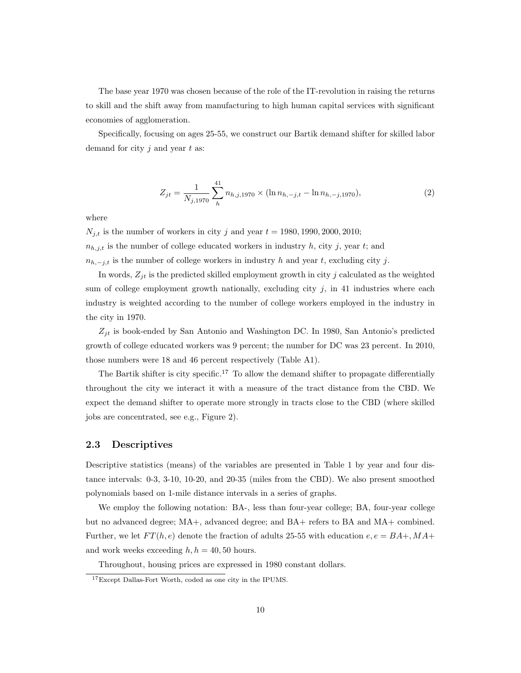The base year 1970 was chosen because of the role of the IT-revolution in raising the returns to skill and the shift away from manufacturing to high human capital services with significant economies of agglomeration.

Specifically, focusing on ages 25-55, we construct our Bartik demand shifter for skilled labor demand for city *j* and year *t* as:

$$
Z_{jt} = \frac{1}{N_{j,1970}} \sum_{h}^{41} n_{h,j,1970} \times (\ln n_{h,-j,t} - \ln n_{h,-j,1970}), \tag{2}
$$

where

 $N_{j,t}$  is the number of workers in city *j* and year  $t = 1980, 1990, 2000, 2010;$  $n_{h,j,t}$  is the number of college educated workers in industry h, city j, year t; and  $n_{h,-j,t}$  is the number of college workers in industry *h* and year *t*, excluding city *j*.

In words,  $Z_{jt}$  is the predicted skilled employment growth in city  $j$  calculated as the weighted sum of college employment growth nationally, excluding city  $j$ , in 41 industries where each industry is weighted according to the number of college workers employed in the industry in the city in 1970.

*Zjt* is book-ended by San Antonio and Washington DC. In 1980, San Antonio's predicted growth of college educated workers was 9 percent; the number for DC was 23 percent. In 2010, those numbers were 18 and 46 percent respectively (Table A1).

The Bartik shifter is city specific.<sup>17</sup> To allow the demand shifter to propagate differentially throughout the city we interact it with a measure of the tract distance from the CBD. We expect the demand shifter to operate more strongly in tracts close to the CBD (where skilled jobs are concentrated, see e.g., Figure 2).

#### **2.3 Descriptives**

Descriptive statistics (means) of the variables are presented in Table 1 by year and four distance intervals: 0-3, 3-10, 10-20, and 20-35 (miles from the CBD). We also present smoothed polynomials based on 1-mile distance intervals in a series of graphs.

We employ the following notation: BA-, less than four-year college; BA, four-year college but no advanced degree; MA+, advanced degree; and BA+ refers to BA and MA+ combined. Further, we let  $FT(h, e)$  denote the fraction of adults 25-55 with education  $e, e = BA + M A +$ and work weeks exceeding  $h, h = 40, 50$  hours.

Throughout, housing prices are expressed in 1980 constant dollars.

<sup>17</sup>Except Dallas-Fort Worth, coded as one city in the IPUMS.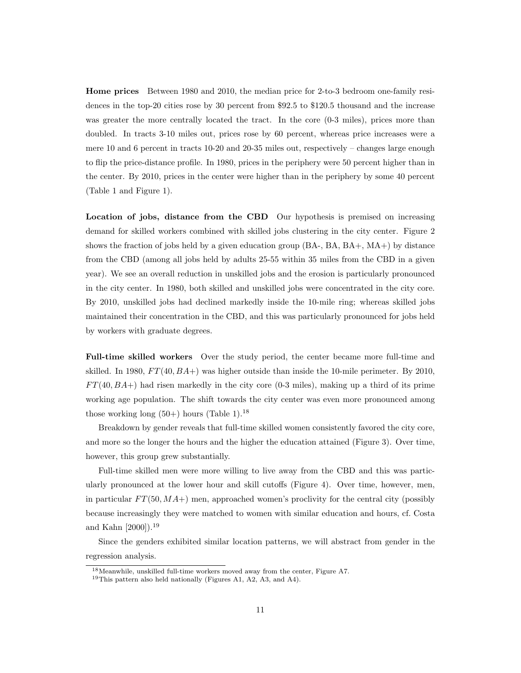**Home prices** Between 1980 and 2010, the median price for 2-to-3 bedroom one-family residences in the top-20 cities rose by 30 percent from \$92.5 to \$120.5 thousand and the increase was greater the more centrally located the tract. In the core  $(0.3 \text{ miles})$ , prices more than doubled. In tracts 3-10 miles out, prices rose by 60 percent, whereas price increases were a mere 10 and 6 percent in tracts 10-20 and 20-35 miles out, respectively – changes large enough to flip the price-distance profile. In 1980, prices in the periphery were 50 percent higher than in the center. By 2010, prices in the center were higher than in the periphery by some 40 percent (Table 1 and Figure 1).

**Location of jobs, distance from the CBD** Our hypothesis is premised on increasing demand for skilled workers combined with skilled jobs clustering in the city center. Figure 2 shows the fraction of jobs held by a given education group (BA-, BA, BA+, MA+) by distance from the CBD (among all jobs held by adults 25-55 within 35 miles from the CBD in a given year). We see an overall reduction in unskilled jobs and the erosion is particularly pronounced in the city center. In 1980, both skilled and unskilled jobs were concentrated in the city core. By 2010, unskilled jobs had declined markedly inside the 10-mile ring; whereas skilled jobs maintained their concentration in the CBD, and this was particularly pronounced for jobs held by workers with graduate degrees.

**Full-time skilled workers** Over the study period, the center became more full-time and skilled. In 1980, *F T*(40*, BA*+) was higher outside than inside the 10-mile perimeter. By 2010, *F T*(40*, BA*+) had risen markedly in the city core (0-3 miles), making up a third of its prime working age population. The shift towards the city center was even more pronounced among those working long  $(50+)$  hours (Table 1).<sup>18</sup>

Breakdown by gender reveals that full-time skilled women consistently favored the city core, and more so the longer the hours and the higher the education attained (Figure 3). Over time, however, this group grew substantially.

Full-time skilled men were more willing to live away from the CBD and this was particularly pronounced at the lower hour and skill cutoffs (Figure 4). Over time, however, men, in particular  $FT(50, MA+)$  men, approached women's proclivity for the central city (possibly because increasingly they were matched to women with similar education and hours, cf. Costa and Kahn [2000]).<sup>19</sup>

Since the genders exhibited similar location patterns, we will abstract from gender in the regression analysis.

<sup>18</sup>Meanwhile, unskilled full-time workers moved away from the center, Figure A7.

<sup>19</sup>This pattern also held nationally (Figures A1, A2, A3, and A4).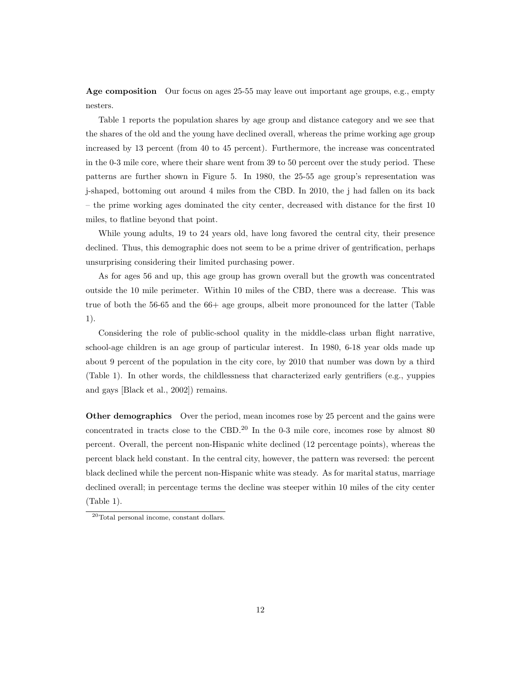**Age composition** Our focus on ages 25-55 may leave out important age groups, e.g., empty nesters.

Table 1 reports the population shares by age group and distance category and we see that the shares of the old and the young have declined overall, whereas the prime working age group increased by 13 percent (from 40 to 45 percent). Furthermore, the increase was concentrated in the 0-3 mile core, where their share went from 39 to 50 percent over the study period. These patterns are further shown in Figure 5. In 1980, the 25-55 age group's representation was j-shaped, bottoming out around 4 miles from the CBD. In 2010, the j had fallen on its back – the prime working ages dominated the city center, decreased with distance for the first 10 miles, to flatline beyond that point.

While young adults, 19 to 24 years old, have long favored the central city, their presence declined. Thus, this demographic does not seem to be a prime driver of gentrification, perhaps unsurprising considering their limited purchasing power.

As for ages 56 and up, this age group has grown overall but the growth was concentrated outside the 10 mile perimeter. Within 10 miles of the CBD, there was a decrease. This was true of both the 56-65 and the 66+ age groups, albeit more pronounced for the latter (Table 1).

Considering the role of public-school quality in the middle-class urban flight narrative, school-age children is an age group of particular interest. In 1980, 6-18 year olds made up about 9 percent of the population in the city core, by 2010 that number was down by a third (Table 1). In other words, the childlessness that characterized early gentrifiers (e.g., yuppies and gays [Black et al., 2002]) remains.

**Other demographics** Over the period, mean incomes rose by 25 percent and the gains were concentrated in tracts close to the CBD.<sup>20</sup> In the 0-3 mile core, incomes rose by almost 80 percent. Overall, the percent non-Hispanic white declined (12 percentage points), whereas the percent black held constant. In the central city, however, the pattern was reversed: the percent black declined while the percent non-Hispanic white was steady. As for marital status, marriage declined overall; in percentage terms the decline was steeper within 10 miles of the city center (Table 1).

<sup>20</sup>Total personal income, constant dollars.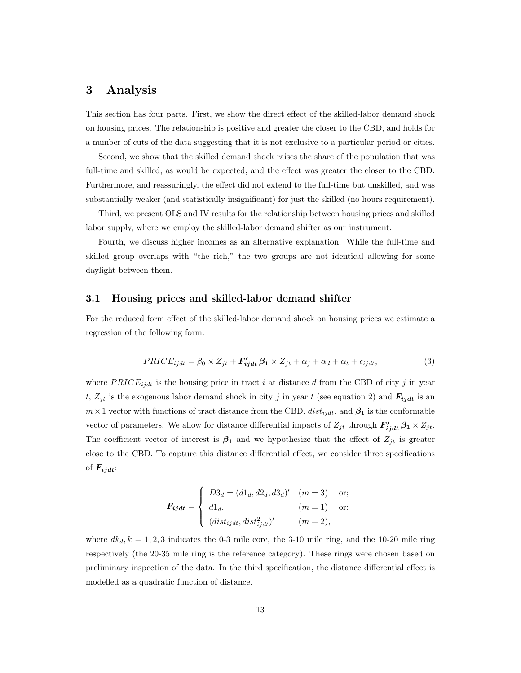## **3 Analysis**

This section has four parts. First, we show the direct effect of the skilled-labor demand shock on housing prices. The relationship is positive and greater the closer to the CBD, and holds for a number of cuts of the data suggesting that it is not exclusive to a particular period or cities.

Second, we show that the skilled demand shock raises the share of the population that was full-time and skilled, as would be expected, and the effect was greater the closer to the CBD. Furthermore, and reassuringly, the effect did not extend to the full-time but unskilled, and was substantially weaker (and statistically insignificant) for just the skilled (no hours requirement).

Third, we present OLS and IV results for the relationship between housing prices and skilled labor supply, where we employ the skilled-labor demand shifter as our instrument.

Fourth, we discuss higher incomes as an alternative explanation. While the full-time and skilled group overlaps with "the rich," the two groups are not identical allowing for some daylight between them.

#### **3.1 Housing prices and skilled-labor demand shifter**

For the reduced form effect of the skilled-labor demand shock on housing prices we estimate a regression of the following form:

$$
PRICE_{ijdt} = \beta_0 \times Z_{jt} + \mathbf{F}'_{ijdt} \beta_1 \times Z_{jt} + \alpha_j + \alpha_d + \alpha_t + \epsilon_{ijdt},
$$
\n(3)

where  $PRICE_{ijdt}$  is the housing price in tract *i* at distance *d* from the CBD of city *j* in year *t*,  $Z_{jt}$  is the exogenous labor demand shock in city *j* in year *t* (see equation 2) and  $F_{ij}$  is an  $m \times 1$  vector with functions of tract distance from the CBD,  $dist_{ijdt}$ , and  $\beta_1$  is the conformable vector of parameters. We allow for distance differential impacts of  $Z_{jt}$  through  $F'_{ijdt}$   $\beta_1 \times Z_{jt}$ . The coefficient vector of interest is  $\beta_1$  and we hypothesize that the effect of  $Z_{it}$  is greater close to the CBD. To capture this distance differential effect, we consider three specifications of  $F_{i\,j\,dt}$ :

$$
F_{ijdt} = \begin{cases} D3_d = (d1_d, d2_d, d3_d)' & (m = 3) \text{ or;} \\ d1_d, & (m = 1) \text{ or;} \\ (dist_{ijdt}, dist_{ijdt}^2)' & (m = 2), \end{cases}
$$

where  $dk_d$ ,  $k = 1, 2, 3$  indicates the 0-3 mile core, the 3-10 mile ring, and the 10-20 mile ring respectively (the 20-35 mile ring is the reference category). These rings were chosen based on preliminary inspection of the data. In the third specification, the distance differential effect is modelled as a quadratic function of distance.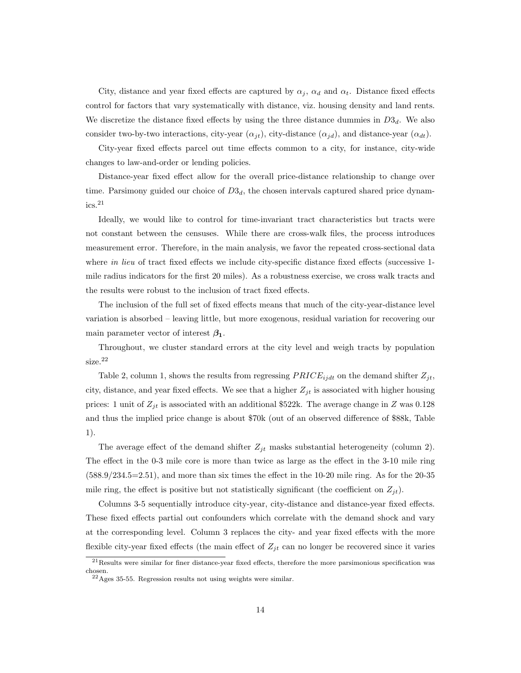City, distance and year fixed effects are captured by  $\alpha_j$ ,  $\alpha_d$  and  $\alpha_t$ . Distance fixed effects control for factors that vary systematically with distance, viz. housing density and land rents. We discretize the distance fixed effects by using the three distance dummies in  $D3_d$ . We also consider two-by-two interactions, city-year  $(\alpha_{jt})$ , city-distance  $(\alpha_{jd})$ , and distance-year  $(\alpha_{dt})$ .

City-year fixed effects parcel out time effects common to a city, for instance, city-wide changes to law-and-order or lending policies.

Distance-year fixed effect allow for the overall price-distance relationship to change over time. Parsimony guided our choice of  $D3<sub>d</sub>$ , the chosen intervals captured shared price dynam $ics.$ <sup>21</sup>

Ideally, we would like to control for time-invariant tract characteristics but tracts were not constant between the censuses. While there are cross-walk files, the process introduces measurement error. Therefore, in the main analysis, we favor the repeated cross-sectional data where *in lieu* of tract fixed effects we include city-specific distance fixed effects (successive 1mile radius indicators for the first 20 miles). As a robustness exercise, we cross walk tracts and the results were robust to the inclusion of tract fixed effects.

The inclusion of the full set of fixed effects means that much of the city-year-distance level variation is absorbed – leaving little, but more exogenous, residual variation for recovering our main parameter vector of interest  $\beta_1$ .

Throughout, we cluster standard errors at the city level and weigh tracts by population size.<sup>22</sup>

Table 2, column 1, shows the results from regressing  $PRICE_{ijdt}$  on the demand shifter  $Z_{jt}$ , city, distance, and year fixed effects. We see that a higher  $Z_{jt}$  is associated with higher housing prices: 1 unit of  $Z_{jt}$  is associated with an additional \$522k. The average change in *Z* was 0.128 and thus the implied price change is about \$70k (out of an observed difference of \$88k, Table 1).

The average effect of the demand shifter  $Z_{jt}$  masks substantial heterogeneity (column 2). The effect in the 0-3 mile core is more than twice as large as the effect in the 3-10 mile ring (588.9/234.5=2.51), and more than six times the effect in the 10-20 mile ring. As for the 20-35 mile ring, the effect is positive but not statistically significant (the coefficient on  $Z_{jt}$ ).

Columns 3-5 sequentially introduce city-year, city-distance and distance-year fixed effects. These fixed effects partial out confounders which correlate with the demand shock and vary at the corresponding level. Column 3 replaces the city- and year fixed effects with the more flexible city-year fixed effects (the main effect of  $Z_{jt}$  can no longer be recovered since it varies

 $21$ Results were similar for finer distance-year fixed effects, therefore the more parsimonious specification was chosen.

<sup>22</sup>Ages 35-55. Regression results not using weights were similar.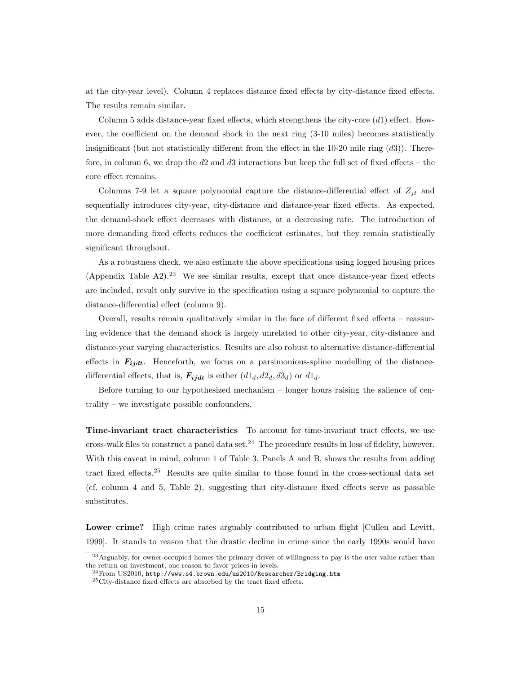at the city-year level). Column 4 replaces distance fixed effects by city-distance fixed effects. The results remain similar.

Column 5 adds distance-year fixed effects, which strengthens the city-core (*d*1) effect. However, the coefficient on the demand shock in the next ring (3-10 miles) becomes statistically insignificant (but not statistically different from the effect in the 10-20 mile ring (*d*3)). Therefore, in column 6, we drop the *d*2 and *d*3 interactions but keep the full set of fixed effects – the core effect remains.

Columns 7-9 let a square polynomial capture the distance-differential effect of  $Z_{jt}$  and sequentially introduces city-year, city-distance and distance-year fixed effects. As expected, the demand-shock effect decreases with distance, at a decreasing rate. The introduction of more demanding fixed effects reduces the coefficient estimates, but they remain statistically significant throughout.

As a robustness check, we also estimate the above specifications using logged housing prices (Appendix Table  $A2$ ).<sup>23</sup> We see similar results, except that once distance-year fixed effects are included, result only survive in the specification using a square polynomial to capture the distance-differential effect (column 9).

Overall, results remain qualitatively similar in the face of different fixed effects – reassuring evidence that the demand shock is largely unrelated to other city-year, city-distance and distance-year varying characteristics. Results are also robust to alternative distance-differential effects in  $F_{ijdt}$ . Henceforth, we focus on a parsimonious-spline modelling of the distancedifferential effects, that is,  $\mathbf{F}_{\mathbf{i}\mathbf{j}\mathbf{d}\mathbf{t}}$  is either  $(d1_d, d2_d, d3_d)$  or  $d1_d$ .

Before turning to our hypothesized mechanism – longer hours raising the salience of centrality – we investigate possible confounders.

**Time-invariant tract characteristics** To account for time-invariant tract effects, we use cross-walk files to construct a panel data set.<sup>24</sup> The procedure results in loss of fidelity, however. With this caveat in mind, column 1 of Table 3, Panels A and B, shows the results from adding tract fixed effects.<sup>25</sup> Results are quite similar to those found in the cross-sectional data set (cf. column 4 and 5, Table 2), suggesting that city-distance fixed effects serve as passable substitutes.

Lower crime? High crime rates arguably contributed to urban flight [Cullen and Levitt, 1999]. It stands to reason that the drastic decline in crime since the early 1990s would have

<sup>23</sup>Arguably, for owner-occupied homes the primary driver of willingness to pay is the user value rather than the return on investment, one reason to favor prices in levels.

 $^{24}\rm{From}$  US2010, http://www.s4.brown.edu/us2010/Researcher/Bridging.htm

 ${}^{25}$ City-distance fixed effects are absorbed by the tract fixed effects.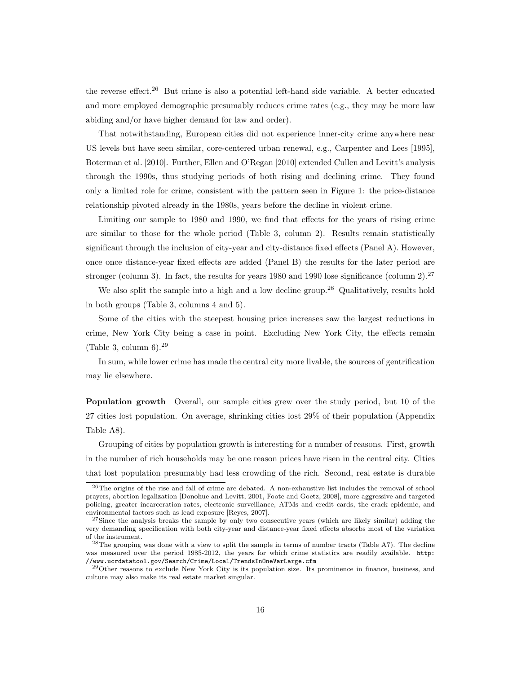the reverse effect.<sup>26</sup> But crime is also a potential left-hand side variable. A better educated and more employed demographic presumably reduces crime rates (e.g., they may be more law abiding and/or have higher demand for law and order).

That notwithstanding, European cities did not experience inner-city crime anywhere near US levels but have seen similar, core-centered urban renewal, e.g., Carpenter and Lees [1995], Boterman et al. [2010]. Further, Ellen and O'Regan [2010] extended Cullen and Levitt's analysis through the 1990s, thus studying periods of both rising and declining crime. They found only a limited role for crime, consistent with the pattern seen in Figure 1: the price-distance relationship pivoted already in the 1980s, years before the decline in violent crime.

Limiting our sample to 1980 and 1990, we find that effects for the years of rising crime are similar to those for the whole period (Table 3, column 2). Results remain statistically significant through the inclusion of city-year and city-distance fixed effects (Panel A). However, once once distance-year fixed effects are added (Panel B) the results for the later period are stronger (column 3). In fact, the results for years 1980 and 1990 lose significance (column 2).<sup>27</sup>

We also split the sample into a high and a low decline group.<sup>28</sup> Qualitatively, results hold in both groups (Table 3, columns 4 and 5).

Some of the cities with the steepest housing price increases saw the largest reductions in crime, New York City being a case in point. Excluding New York City, the effects remain (Table 3, column  $6$ ).<sup>29</sup>

In sum, while lower crime has made the central city more livable, the sources of gentrification may lie elsewhere.

**Population growth** Overall, our sample cities grew over the study period, but 10 of the 27 cities lost population. On average, shrinking cities lost 29% of their population (Appendix Table A8).

Grouping of cities by population growth is interesting for a number of reasons. First, growth in the number of rich households may be one reason prices have risen in the central city. Cities that lost population presumably had less crowding of the rich. Second, real estate is durable

<sup>26</sup>The origins of the rise and fall of crime are debated. A non-exhaustive list includes the removal of school prayers, abortion legalization [Donohue and Levitt, 2001, Foote and Goetz, 2008], more aggressive and targeted policing, greater incarceration rates, electronic surveillance, ATMs and credit cards, the crack epidemic, and environmental factors such as lead exposure [Reyes, 2007].

<sup>&</sup>lt;sup>27</sup>Since the analysis breaks the sample by only two consecutive years (which are likely similar) adding the very demanding specification with both city-year and distance-year fixed effects absorbs most of the variation of the instrument.

<sup>&</sup>lt;sup>28</sup>The grouping was done with a view to split the sample in terms of number tracts (Table A7). The decline was measured over the period 1985-2012, the years for which crime statistics are readily available. http: //www.ucrdatatool.gov/Search/Crime/Local/TrendsInOneVarLarge.cfm

<sup>29</sup>Other reasons to exclude New York City is its population size. Its prominence in finance, business, and culture may also make its real estate market singular.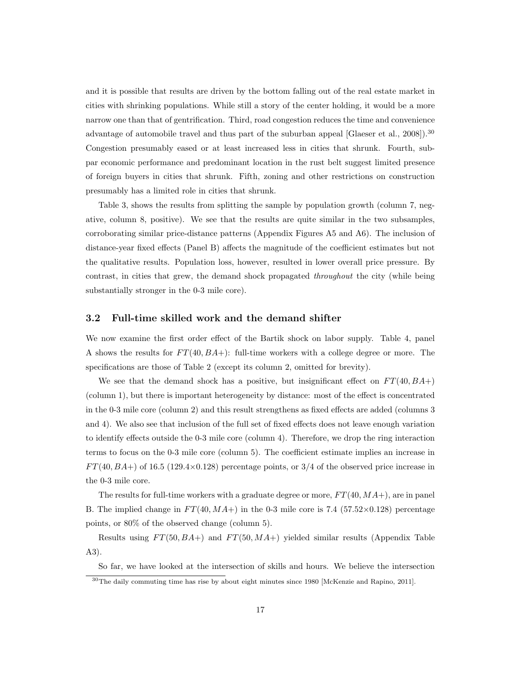and it is possible that results are driven by the bottom falling out of the real estate market in cities with shrinking populations. While still a story of the center holding, it would be a more narrow one than that of gentrification. Third, road congestion reduces the time and convenience advantage of automobile travel and thus part of the suburban appeal [Glaeser et al., 2008]).<sup>30</sup> Congestion presumably eased or at least increased less in cities that shrunk. Fourth, subpar economic performance and predominant location in the rust belt suggest limited presence of foreign buyers in cities that shrunk. Fifth, zoning and other restrictions on construction presumably has a limited role in cities that shrunk.

Table 3, shows the results from splitting the sample by population growth (column 7, negative, column 8, positive). We see that the results are quite similar in the two subsamples, corroborating similar price-distance patterns (Appendix Figures A5 and A6). The inclusion of distance-year fixed effects (Panel B) affects the magnitude of the coefficient estimates but not the qualitative results. Population loss, however, resulted in lower overall price pressure. By contrast, in cities that grew, the demand shock propagated *throughout* the city (while being substantially stronger in the 0-3 mile core).

#### **3.2 Full-time skilled work and the demand shifter**

We now examine the first order effect of the Bartik shock on labor supply. Table 4, panel A shows the results for *F T*(40*, BA*+): full-time workers with a college degree or more. The specifications are those of Table 2 (except its column 2, omitted for brevity).

We see that the demand shock has a positive, but insignificant effect on  $FT(40, BA+)$ (column 1), but there is important heterogeneity by distance: most of the effect is concentrated in the 0-3 mile core (column 2) and this result strengthens as fixed effects are added (columns 3 and 4). We also see that inclusion of the full set of fixed effects does not leave enough variation to identify effects outside the 0-3 mile core (column 4). Therefore, we drop the ring interaction terms to focus on the 0-3 mile core (column 5). The coefficient estimate implies an increase in *F T*(40*, BA*+) of 16.5 (129.4*×*0.128) percentage points, or 3/4 of the observed price increase in the 0-3 mile core.

The results for full-time workers with a graduate degree or more, *F T*(40*, MA*+), are in panel B. The implied change in  $FT(40, MA+)$  in the 0-3 mile core is 7.4 (57.52 $\times$ 0.128) percentage points, or 80% of the observed change (column 5).

Results using *F T*(50*, BA*+) and *F T*(50*, MA*+) yielded similar results (Appendix Table A3).

So far, we have looked at the intersection of skills and hours. We believe the intersection

<sup>&</sup>lt;sup>30</sup>The daily commuting time has rise by about eight minutes since 1980 [McKenzie and Rapino, 2011].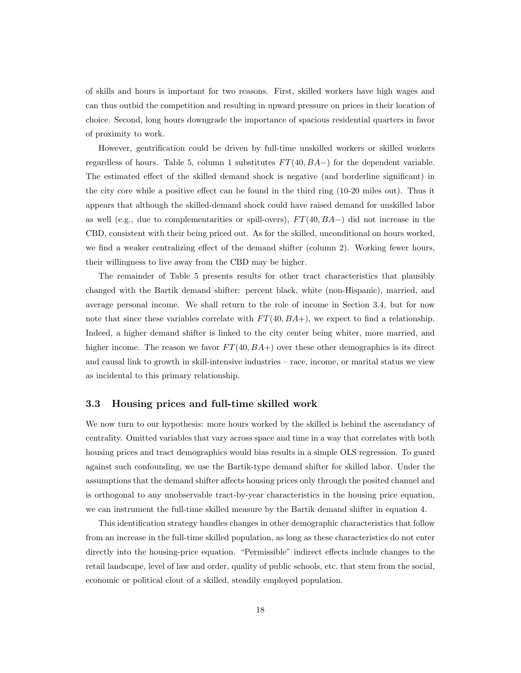of skills and hours is important for two reasons. First, skilled workers have high wages and can thus outbid the competition and resulting in upward pressure on prices in their location of choice. Second, long hours downgrade the importance of spacious residential quarters in favor of proximity to work.

However, gentrification could be driven by full-time unskilled workers or skilled workers regardless of hours. Table 5, column 1 substitutes *F T*(40*, BA−*) for the dependent variable. The estimated effect of the skilled demand shock is negative (and borderline significant) in the city core while a positive effect can be found in the third ring (10-20 miles out). Thus it appears that although the skilled-demand shock could have raised demand for unskilled labor as well (e.g., due to complementarities or spill-overs), *F T*(40*, BA−*) did not increase in the CBD, consistent with their being priced out. As for the skilled, unconditional on hours worked, we find a weaker centralizing effect of the demand shifter (column 2). Working fewer hours, their willingness to live away from the CBD may be higher.

The remainder of Table 5 presents results for other tract characteristics that plausibly changed with the Bartik demand shifter: percent black, white (non-Hispanic), married, and average personal income. We shall return to the role of income in Section 3.4, but for now note that since these variables correlate with  $FT(40, BA+)$ , we expect to find a relationship. Indeed, a higher demand shifter is linked to the city center being whiter, more married, and higher income. The reason we favor  $FT(40, BA+)$  over these other demographics is its direct and causal link to growth in skill-intensive industries – race, income, or marital status we view as incidental to this primary relationship.

#### **3.3 Housing prices and full-time skilled work**

We now turn to our hypothesis: more hours worked by the skilled is behind the ascendancy of centrality. Omitted variables that vary across space and time in a way that correlates with both housing prices and tract demographics would bias results in a simple OLS regression. To guard against such confounding, we use the Bartik-type demand shifter for skilled labor. Under the assumptions that the demand shifter affects housing prices only through the posited channel and is orthogonal to any unobservable tract-by-year characteristics in the housing price equation, we can instrument the full-time skilled measure by the Bartik demand shifter in equation 4.

This identification strategy handles changes in other demographic characteristics that follow from an increase in the full-time skilled population, as long as these characteristics do not enter directly into the housing-price equation. "Permissible" indirect effects include changes to the retail landscape, level of law and order, quality of public schools, etc. that stem from the social, economic or political clout of a skilled, steadily employed population.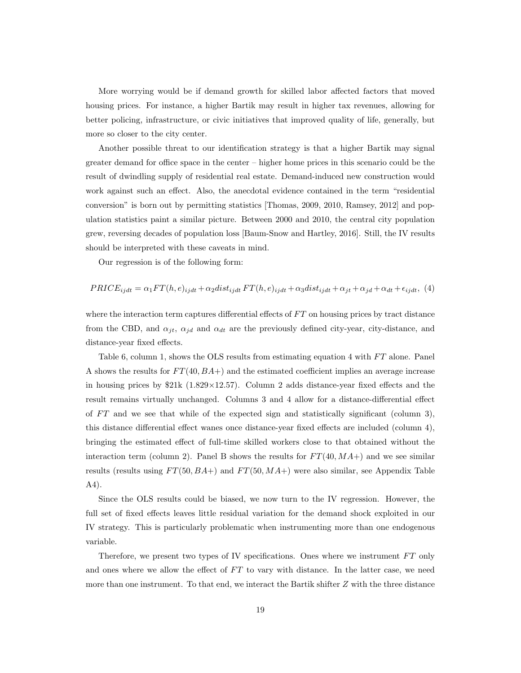More worrying would be if demand growth for skilled labor affected factors that moved housing prices. For instance, a higher Bartik may result in higher tax revenues, allowing for better policing, infrastructure, or civic initiatives that improved quality of life, generally, but more so closer to the city center.

Another possible threat to our identification strategy is that a higher Bartik may signal greater demand for office space in the center – higher home prices in this scenario could be the result of dwindling supply of residential real estate. Demand-induced new construction would work against such an effect. Also, the anecdotal evidence contained in the term "residential conversion" is born out by permitting statistics [Thomas, 2009, 2010, Ramsey, 2012] and population statistics paint a similar picture. Between 2000 and 2010, the central city population grew, reversing decades of population loss [Baum-Snow and Hartley, 2016]. Still, the IV results should be interpreted with these caveats in mind.

Our regression is of the following form:

$$
PRICE_{ijdt} = \alpha_1 FT(h, e)_{ijdt} + \alpha_2 dist_{ijdt} FT(h, e)_{ijdt} + \alpha_3 dist_{ijdt} + \alpha_{jt} + \alpha_{jd} + \alpha_{dt} + \epsilon_{ijdt},
$$
(4)

where the interaction term captures differential effects of  $FT$  on housing prices by tract distance from the CBD, and  $\alpha_{jt}$ ,  $\alpha_{jd}$  and  $\alpha_{dt}$  are the previously defined city-year, city-distance, and distance-year fixed effects.

Table 6, column 1, shows the OLS results from estimating equation 4 with *FT* alone. Panel A shows the results for *F T*(40*, BA*+) and the estimated coefficient implies an average increase in housing prices by \$21k (1.829*×*12.57). Column 2 adds distance-year fixed effects and the result remains virtually unchanged. Columns 3 and 4 allow for a distance-differential effect of *F T* and we see that while of the expected sign and statistically significant (column 3), this distance differential effect wanes once distance-year fixed effects are included (column 4), bringing the estimated effect of full-time skilled workers close to that obtained without the interaction term (column 2). Panel B shows the results for  $FT(40, MA+)$  and we see similar results (results using *F T*(50*, BA*+) and *F T*(50*, MA*+) were also similar, see Appendix Table A4).

Since the OLS results could be biased, we now turn to the IV regression. However, the full set of fixed effects leaves little residual variation for the demand shock exploited in our IV strategy. This is particularly problematic when instrumenting more than one endogenous variable.

Therefore, we present two types of IV specifications. Ones where we instrument *F T* only and ones where we allow the effect of FT to vary with distance. In the latter case, we need more than one instrument. To that end, we interact the Bartik shifter *Z* with the three distance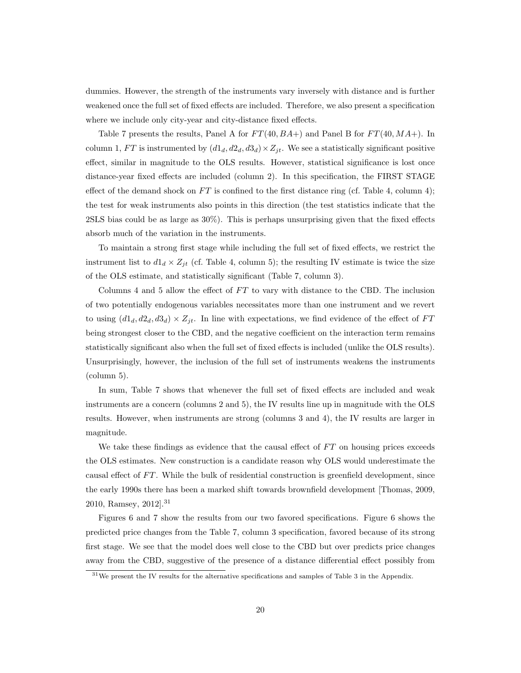dummies. However, the strength of the instruments vary inversely with distance and is further weakened once the full set of fixed effects are included. Therefore, we also present a specification where we include only city-year and city-distance fixed effects.

Table 7 presents the results, Panel A for *F T*(40*, BA*+) and Panel B for *F T*(40*, MA*+). In column 1,  $FT$  is instrumented by  $(d1_d, d2_d, d3_d) \times Z_{jt}$ . We see a statistically significant positive effect, similar in magnitude to the OLS results. However, statistical significance is lost once distance-year fixed effects are included (column 2). In this specification, the FIRST STAGE effect of the demand shock on  $FT$  is confined to the first distance ring (cf. Table 4, column 4); the test for weak instruments also points in this direction (the test statistics indicate that the 2SLS bias could be as large as 30%). This is perhaps unsurprising given that the fixed effects absorb much of the variation in the instruments.

To maintain a strong first stage while including the full set of fixed effects, we restrict the instrument list to  $d1_d \times Z_{jt}$  (cf. Table 4, column 5); the resulting IV estimate is twice the size of the OLS estimate, and statistically significant (Table 7, column 3).

Columns 4 and 5 allow the effect of *FT* to vary with distance to the CBD. The inclusion of two potentially endogenous variables necessitates more than one instrument and we revert to using  $(d1_d, d2_d, d3_d) \times Z_{jt}$ . In line with expectations, we find evidence of the effect of *FT* being strongest closer to the CBD, and the negative coefficient on the interaction term remains statistically significant also when the full set of fixed effects is included (unlike the OLS results). Unsurprisingly, however, the inclusion of the full set of instruments weakens the instruments (column 5).

In sum, Table 7 shows that whenever the full set of fixed effects are included and weak instruments are a concern (columns 2 and 5), the IV results line up in magnitude with the OLS results. However, when instruments are strong (columns 3 and 4), the IV results are larger in magnitude.

We take these findings as evidence that the causal effect of FT on housing prices exceeds the OLS estimates. New construction is a candidate reason why OLS would underestimate the causal effect of *F T*. While the bulk of residential construction is greenfield development, since the early 1990s there has been a marked shift towards brownfield development [Thomas, 2009, 2010, Ramsey, 2012].<sup>31</sup>

Figures 6 and 7 show the results from our two favored specifications. Figure 6 shows the predicted price changes from the Table 7, column 3 specification, favored because of its strong first stage. We see that the model does well close to the CBD but over predicts price changes away from the CBD, suggestive of the presence of a distance differential effect possibly from

<sup>31</sup>We present the IV results for the alternative specifications and samples of Table 3 in the Appendix.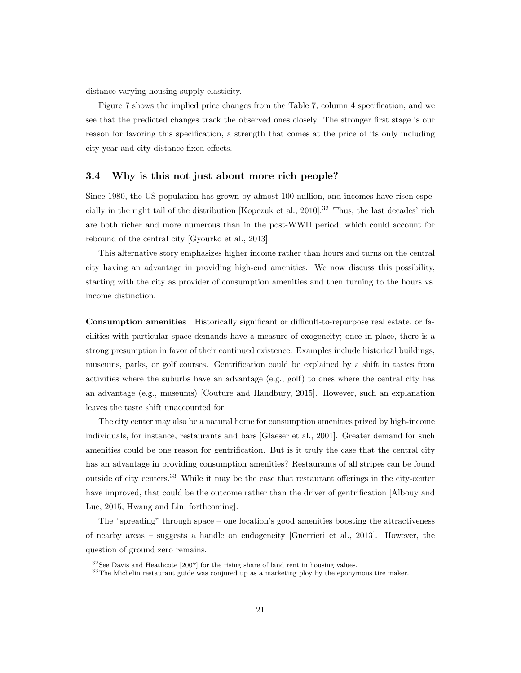distance-varying housing supply elasticity.

Figure 7 shows the implied price changes from the Table 7, column 4 specification, and we see that the predicted changes track the observed ones closely. The stronger first stage is our reason for favoring this specification, a strength that comes at the price of its only including city-year and city-distance fixed effects.

### **3.4 Why is this not just about more rich people?**

Since 1980, the US population has grown by almost 100 million, and incomes have risen especially in the right tail of the distribution [Kopczuk et al., 2010].<sup>32</sup> Thus, the last decades' rich are both richer and more numerous than in the post-WWII period, which could account for rebound of the central city [Gyourko et al., 2013].

This alternative story emphasizes higher income rather than hours and turns on the central city having an advantage in providing high-end amenities. We now discuss this possibility, starting with the city as provider of consumption amenities and then turning to the hours vs. income distinction.

**Consumption amenities** Historically significant or difficult-to-repurpose real estate, or facilities with particular space demands have a measure of exogeneity; once in place, there is a strong presumption in favor of their continued existence. Examples include historical buildings, museums, parks, or golf courses. Gentrification could be explained by a shift in tastes from activities where the suburbs have an advantage (e.g., golf) to ones where the central city has an advantage (e.g., museums) [Couture and Handbury, 2015]. However, such an explanation leaves the taste shift unaccounted for.

The city center may also be a natural home for consumption amenities prized by high-income individuals, for instance, restaurants and bars [Glaeser et al., 2001]. Greater demand for such amenities could be one reason for gentrification. But is it truly the case that the central city has an advantage in providing consumption amenities? Restaurants of all stripes can be found outside of city centers.<sup>33</sup> While it may be the case that restaurant offerings in the city-center have improved, that could be the outcome rather than the driver of gentrification [Albouy and Lue, 2015, Hwang and Lin, forthcoming].

The "spreading" through space – one location's good amenities boosting the attractiveness of nearby areas – suggests a handle on endogeneity [Guerrieri et al., 2013]. However, the question of ground zero remains.

<sup>&</sup>lt;sup>32</sup>See Davis and Heathcote [2007] for the rising share of land rent in housing values.

<sup>33</sup>The Michelin restaurant guide was conjured up as a marketing ploy by the eponymous tire maker.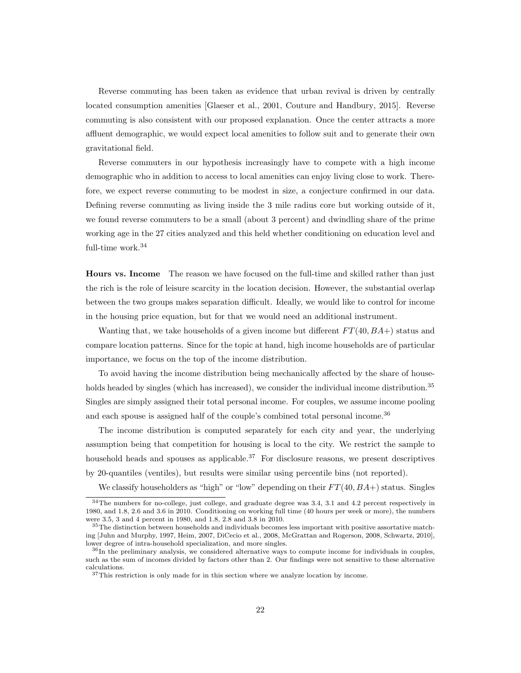Reverse commuting has been taken as evidence that urban revival is driven by centrally located consumption amenities [Glaeser et al., 2001, Couture and Handbury, 2015]. Reverse commuting is also consistent with our proposed explanation. Once the center attracts a more affluent demographic, we would expect local amenities to follow suit and to generate their own gravitational field.

Reverse commuters in our hypothesis increasingly have to compete with a high income demographic who in addition to access to local amenities can enjoy living close to work. Therefore, we expect reverse commuting to be modest in size, a conjecture confirmed in our data. Defining reverse commuting as living inside the 3 mile radius core but working outside of it, we found reverse commuters to be a small (about 3 percent) and dwindling share of the prime working age in the 27 cities analyzed and this held whether conditioning on education level and full-time work. $34$ 

**Hours vs. Income** The reason we have focused on the full-time and skilled rather than just the rich is the role of leisure scarcity in the location decision. However, the substantial overlap between the two groups makes separation difficult. Ideally, we would like to control for income in the housing price equation, but for that we would need an additional instrument.

Wanting that, we take households of a given income but different *F T*(40*, BA*+) status and compare location patterns. Since for the topic at hand, high income households are of particular importance, we focus on the top of the income distribution.

To avoid having the income distribution being mechanically affected by the share of households headed by singles (which has increased), we consider the individual income distribution.<sup>35</sup> Singles are simply assigned their total personal income. For couples, we assume income pooling and each spouse is assigned half of the couple's combined total personal income.<sup>36</sup>

The income distribution is computed separately for each city and year, the underlying assumption being that competition for housing is local to the city. We restrict the sample to household heads and spouses as applicable.<sup>37</sup> For disclosure reasons, we present descriptives by 20-quantiles (ventiles), but results were similar using percentile bins (not reported).

We classify householders as "high" or "low" depending on their  $FT(40, BA+)$  status. Singles

<sup>&</sup>lt;sup>34</sup>The numbers for no-college, just college, and graduate degree was 3.4, 3.1 and 4.2 percent respectively in 1980, and 1.8, 2.6 and 3.6 in 2010. Conditioning on working full time (40 hours per week or more), the numbers were 3.5, 3 and 4 percent in 1980, and 1.8, 2.8 and 3.8 in 2010.

<sup>&</sup>lt;sup>35</sup>The distinction between households and individuals becomes less important with positive assortative matching [Juhn and Murphy, 1997, Heim, 2007, DiCecio et al., 2008, McGrattan and Rogerson, 2008, Schwartz, 2010], lower degree of intra-household specialization, and more singles.

<sup>&</sup>lt;sup>36</sup>In the preliminary analysis, we considered alternative ways to compute income for individuals in couples, such as the sum of incomes divided by factors other than 2. Our findings were not sensitive to these alternative calculations.

 $\rm ^{37}This$  restriction is only made for in this section where we analyze location by income.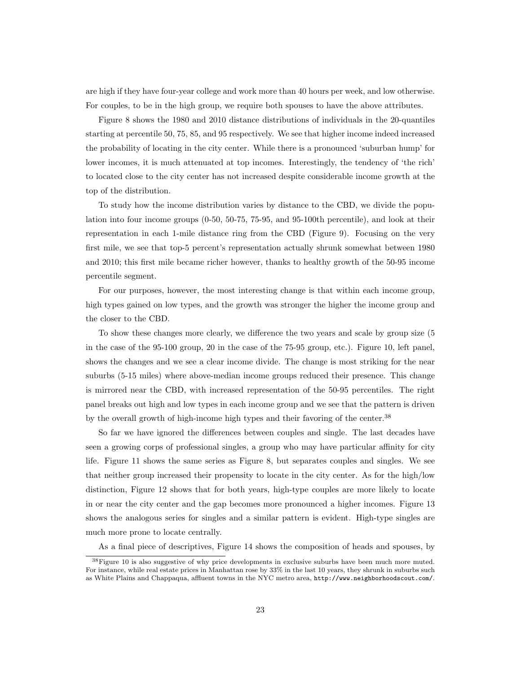are high if they have four-year college and work more than 40 hours per week, and low otherwise. For couples, to be in the high group, we require both spouses to have the above attributes.

Figure 8 shows the 1980 and 2010 distance distributions of individuals in the 20-quantiles starting at percentile 50, 75, 85, and 95 respectively. We see that higher income indeed increased the probability of locating in the city center. While there is a pronounced 'suburban hump' for lower incomes, it is much attenuated at top incomes. Interestingly, the tendency of 'the rich' to located close to the city center has not increased despite considerable income growth at the top of the distribution.

To study how the income distribution varies by distance to the CBD, we divide the population into four income groups (0-50, 50-75, 75-95, and 95-100th percentile), and look at their representation in each 1-mile distance ring from the CBD (Figure 9). Focusing on the very first mile, we see that top-5 percent's representation actually shrunk somewhat between 1980 and 2010; this first mile became richer however, thanks to healthy growth of the 50-95 income percentile segment.

For our purposes, however, the most interesting change is that within each income group, high types gained on low types, and the growth was stronger the higher the income group and the closer to the CBD.

To show these changes more clearly, we difference the two years and scale by group size (5 in the case of the 95-100 group, 20 in the case of the 75-95 group, etc.). Figure 10, left panel, shows the changes and we see a clear income divide. The change is most striking for the near suburbs (5-15 miles) where above-median income groups reduced their presence. This change is mirrored near the CBD, with increased representation of the 50-95 percentiles. The right panel breaks out high and low types in each income group and we see that the pattern is driven by the overall growth of high-income high types and their favoring of the center.<sup>38</sup>

So far we have ignored the differences between couples and single. The last decades have seen a growing corps of professional singles, a group who may have particular affinity for city life. Figure 11 shows the same series as Figure 8, but separates couples and singles. We see that neither group increased their propensity to locate in the city center. As for the high/low distinction, Figure 12 shows that for both years, high-type couples are more likely to locate in or near the city center and the gap becomes more pronounced a higher incomes. Figure 13 shows the analogous series for singles and a similar pattern is evident. High-type singles are much more prone to locate centrally.

As a final piece of descriptives, Figure 14 shows the composition of heads and spouses, by

<sup>38</sup>Figure 10 is also suggestive of why price developments in exclusive suburbs have been much more muted. For instance, while real estate prices in Manhattan rose by 33% in the last 10 years, they shrunk in suburbs such as White Plains and Chappaqua, affluent towns in the NYC metro area, http://www.neighborhoodscout.com/.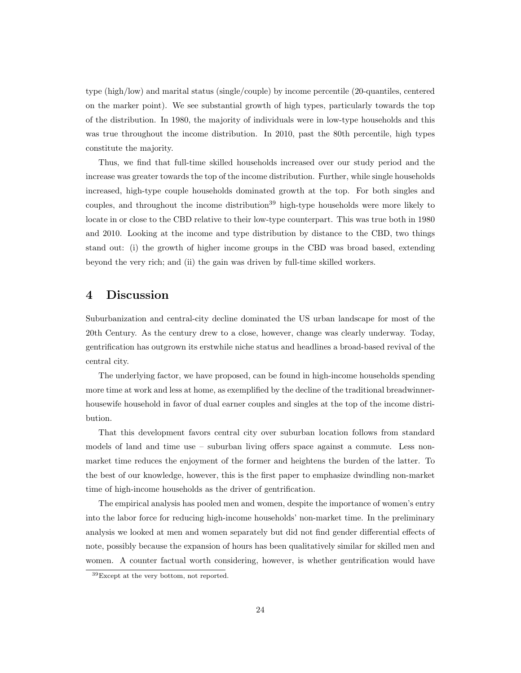type (high/low) and marital status (single/couple) by income percentile (20-quantiles, centered on the marker point). We see substantial growth of high types, particularly towards the top of the distribution. In 1980, the majority of individuals were in low-type households and this was true throughout the income distribution. In 2010, past the 80th percentile, high types constitute the majority.

Thus, we find that full-time skilled households increased over our study period and the increase was greater towards the top of the income distribution. Further, while single households increased, high-type couple households dominated growth at the top. For both singles and couples, and throughout the income distribution<sup>39</sup> high-type households were more likely to locate in or close to the CBD relative to their low-type counterpart. This was true both in 1980 and 2010. Looking at the income and type distribution by distance to the CBD, two things stand out: (i) the growth of higher income groups in the CBD was broad based, extending beyond the very rich; and (ii) the gain was driven by full-time skilled workers.

## **4 Discussion**

Suburbanization and central-city decline dominated the US urban landscape for most of the 20th Century. As the century drew to a close, however, change was clearly underway. Today, gentrification has outgrown its erstwhile niche status and headlines a broad-based revival of the central city.

The underlying factor, we have proposed, can be found in high-income households spending more time at work and less at home, as exemplified by the decline of the traditional breadwinnerhousewife household in favor of dual earner couples and singles at the top of the income distribution.

That this development favors central city over suburban location follows from standard models of land and time use – suburban living offers space against a commute. Less nonmarket time reduces the enjoyment of the former and heightens the burden of the latter. To the best of our knowledge, however, this is the first paper to emphasize dwindling non-market time of high-income households as the driver of gentrification.

The empirical analysis has pooled men and women, despite the importance of women's entry into the labor force for reducing high-income households' non-market time. In the preliminary analysis we looked at men and women separately but did not find gender differential effects of note, possibly because the expansion of hours has been qualitatively similar for skilled men and women. A counter factual worth considering, however, is whether gentrification would have

<sup>39</sup>Except at the very bottom, not reported.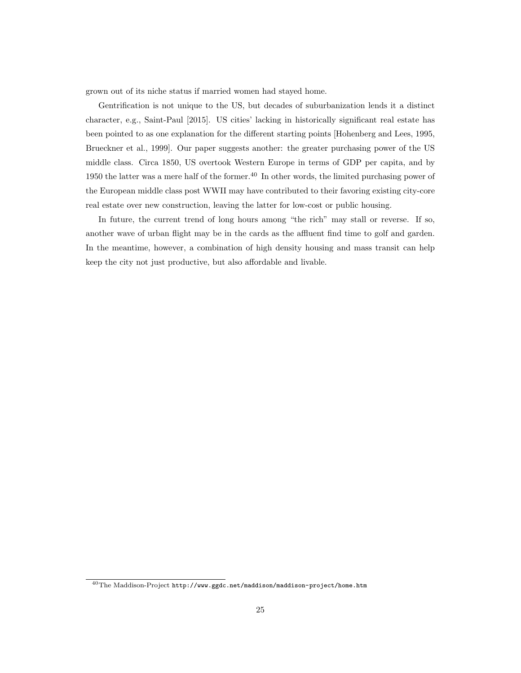grown out of its niche status if married women had stayed home.

Gentrification is not unique to the US, but decades of suburbanization lends it a distinct character, e.g., Saint-Paul [2015]. US cities' lacking in historically significant real estate has been pointed to as one explanation for the different starting points [Hohenberg and Lees, 1995, Brueckner et al., 1999]. Our paper suggests another: the greater purchasing power of the US middle class. Circa 1850, US overtook Western Europe in terms of GDP per capita, and by 1950 the latter was a mere half of the former.<sup>40</sup> In other words, the limited purchasing power of the European middle class post WWII may have contributed to their favoring existing city-core real estate over new construction, leaving the latter for low-cost or public housing.

In future, the current trend of long hours among "the rich" may stall or reverse. If so, another wave of urban flight may be in the cards as the affluent find time to golf and garden. In the meantime, however, a combination of high density housing and mass transit can help keep the city not just productive, but also affordable and livable.

 $^{40}\rm{The\;Maddison-Project\;http://www.ggdc.net/maddison/maddison-project/home.htm}$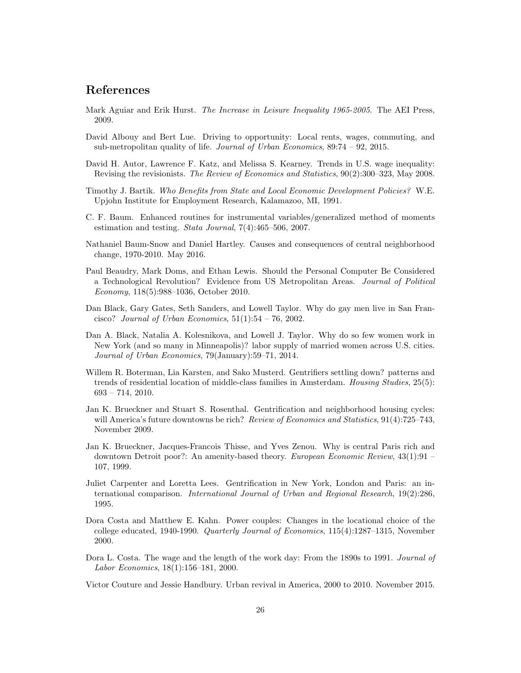# **References**

- Mark Aguiar and Erik Hurst. *The Increase in Leisure Inequality 1965-2005*. The AEI Press, 2009.
- David Albouy and Bert Lue. Driving to opportunity: Local rents, wages, commuting, and sub-metropolitan quality of life. *Journal of Urban Economics*, 89:74 – 92, 2015.
- David H. Autor, Lawrence F. Katz, and Melissa S. Kearney. Trends in U.S. wage inequality: Revising the revisionists. *The Review of Economics and Statistics*, 90(2):300–323, May 2008.
- Timothy J. Bartik. *Who Benefits from State and Local Economic Development Policies?* W.E. Upjohn Institute for Employment Research, Kalamazoo, MI, 1991.
- C. F. Baum. Enhanced routines for instrumental variables/generalized method of moments estimation and testing. *Stata Journal*, 7(4):465–506, 2007.
- Nathaniel Baum-Snow and Daniel Hartley. Causes and consequences of central neighborhood change, 1970-2010. May 2016.
- Paul Beaudry, Mark Doms, and Ethan Lewis. Should the Personal Computer Be Considered a Technological Revolution? Evidence from US Metropolitan Areas. *Journal of Political Economy*, 118(5):988–1036, October 2010.
- Dan Black, Gary Gates, Seth Sanders, and Lowell Taylor. Why do gay men live in San Francisco? *Journal of Urban Economics*, 51(1):54 – 76, 2002.
- Dan A. Black, Natalia A. Kolesnikova, and Lowell J. Taylor. Why do so few women work in New York (and so many in Minneapolis)? labor supply of married women across U.S. cities. *Journal of Urban Economics*, 79(January):59–71, 2014.
- Willem R. Boterman, Lia Karsten, and Sako Musterd. Gentrifiers settling down? patterns and trends of residential location of middle-class families in Amsterdam. *Housing Studies*, 25(5): 693 – 714, 2010.
- Jan K. Brueckner and Stuart S. Rosenthal. Gentrification and neighborhood housing cycles: will America's future downtowns be rich? *Review of Economics and Statistics*, 91(4):725–743, November 2009.
- Jan K. Brueckner, Jacques-Francois Thisse, and Yves Zenou. Why is central Paris rich and downtown Detroit poor?: An amenity-based theory. *European Economic Review*, 43(1):91 – 107, 1999.
- Juliet Carpenter and Loretta Lees. Gentrification in New York, London and Paris: an international comparison. *International Journal of Urban and Regional Research*, 19(2):286, 1995.
- Dora Costa and Matthew E. Kahn. Power couples: Changes in the locational choice of the college educated, 1940-1990. *Quarterly Journal of Economics*, 115(4):1287–1315, November 2000.
- Dora L. Costa. The wage and the length of the work day: From the 1890s to 1991. *Journal of Labor Economics*, 18(1):156–181, 2000.
- Victor Couture and Jessie Handbury. Urban revival in America, 2000 to 2010. November 2015.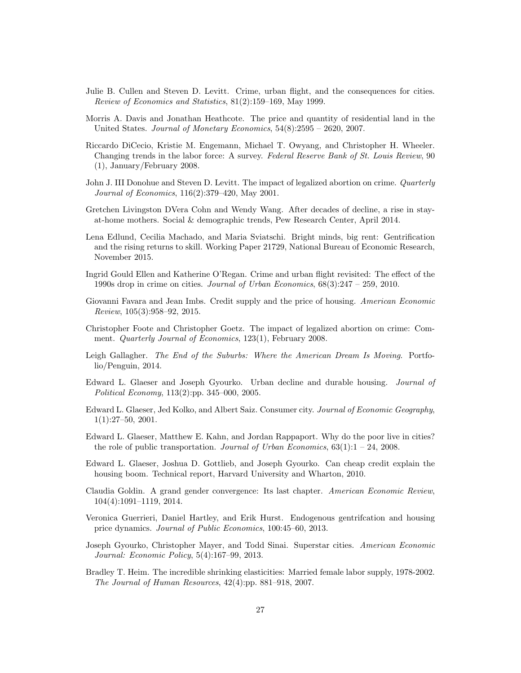- Julie B. Cullen and Steven D. Levitt. Crime, urban flight, and the consequences for cities. *Review of Economics and Statistics*, 81(2):159–169, May 1999.
- Morris A. Davis and Jonathan Heathcote. The price and quantity of residential land in the United States. *Journal of Monetary Economics*, 54(8):2595 – 2620, 2007.
- Riccardo DiCecio, Kristie M. Engemann, Michael T. Owyang, and Christopher H. Wheeler. Changing trends in the labor force: A survey. *Federal Reserve Bank of St. Louis Review*, 90 (1), January/February 2008.
- John J. III Donohue and Steven D. Levitt. The impact of legalized abortion on crime. *Quarterly Journal of Economics*, 116(2):379–420, May 2001.
- Gretchen Livingston DVera Cohn and Wendy Wang. After decades of decline, a rise in stayat-home mothers. Social & demographic trends, Pew Research Center, April 2014.
- Lena Edlund, Cecilia Machado, and Maria Sviatschi. Bright minds, big rent: Gentrification and the rising returns to skill. Working Paper 21729, National Bureau of Economic Research, November 2015.
- Ingrid Gould Ellen and Katherine O'Regan. Crime and urban flight revisited: The effect of the 1990s drop in crime on cities. *Journal of Urban Economics*, 68(3):247 – 259, 2010.
- Giovanni Favara and Jean Imbs. Credit supply and the price of housing. *American Economic Review*, 105(3):958–92, 2015.
- Christopher Foote and Christopher Goetz. The impact of legalized abortion on crime: Comment. *Quarterly Journal of Economics*, 123(1), February 2008.
- Leigh Gallagher. *The End of the Suburbs: Where the American Dream Is Moving*. Portfolio/Penguin, 2014.
- Edward L. Glaeser and Joseph Gyourko. Urban decline and durable housing. *Journal of Political Economy*, 113(2):pp. 345–000, 2005.
- Edward L. Glaeser, Jed Kolko, and Albert Saiz. Consumer city. *Journal of Economic Geography*, 1(1):27–50, 2001.
- Edward L. Glaeser, Matthew E. Kahn, and Jordan Rappaport. Why do the poor live in cities? the role of public transportation. *Journal of Urban Economics*, 63(1):1 – 24, 2008.
- Edward L. Glaeser, Joshua D. Gottlieb, and Joseph Gyourko. Can cheap credit explain the housing boom. Technical report, Harvard University and Wharton, 2010.
- Claudia Goldin. A grand gender convergence: Its last chapter. *American Economic Review*, 104(4):1091–1119, 2014.
- Veronica Guerrieri, Daniel Hartley, and Erik Hurst. Endogenous gentrifcation and housing price dynamics. *Journal of Public Economics*, 100:45–60, 2013.
- Joseph Gyourko, Christopher Mayer, and Todd Sinai. Superstar cities. *American Economic Journal: Economic Policy*, 5(4):167–99, 2013.
- Bradley T. Heim. The incredible shrinking elasticities: Married female labor supply, 1978-2002. *The Journal of Human Resources*, 42(4):pp. 881–918, 2007.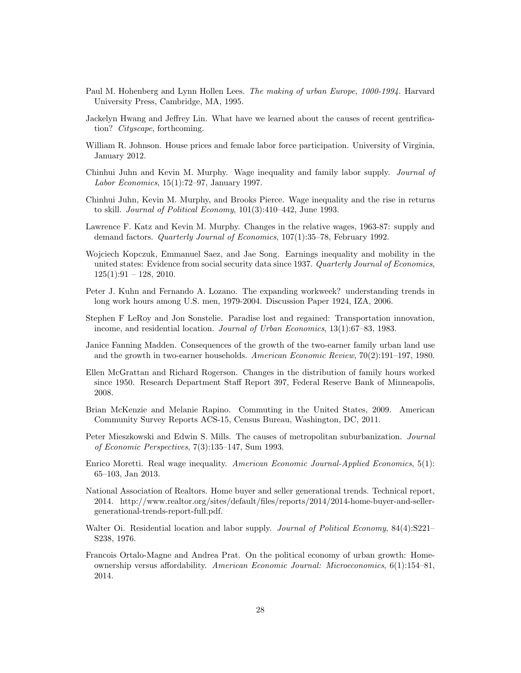- Paul M. Hohenberg and Lynn Hollen Lees. *The making of urban Europe, 1000-1994*. Harvard University Press, Cambridge, MA, 1995.
- Jackelyn Hwang and Jeffrey Lin. What have we learned about the causes of recent gentrification? *Cityscape*, forthcoming.
- William R. Johnson. House prices and female labor force participation. University of Virginia, January 2012.
- Chinhui Juhn and Kevin M. Murphy. Wage inequality and family labor supply. *Journal of Labor Economics*, 15(1):72–97, January 1997.
- Chinhui Juhn, Kevin M. Murphy, and Brooks Pierce. Wage inequality and the rise in returns to skill. *Journal of Political Economy*, 101(3):410–442, June 1993.
- Lawrence F. Katz and Kevin M. Murphy. Changes in the relative wages, 1963-87: supply and demand factors. *Quarterly Journal of Economics*, 107(1):35–78, February 1992.
- Wojciech Kopczuk, Emmanuel Saez, and Jae Song. Earnings inequality and mobility in the united states: Evidence from social security data since 1937. *Quarterly Journal of Economics*,  $125(1):91 - 128$ , 2010.
- Peter J. Kuhn and Fernando A. Lozano. The expanding workweek? understanding trends in long work hours among U.S. men, 1979-2004. Discussion Paper 1924, IZA, 2006.
- Stephen F LeRoy and Jon Sonstelie. Paradise lost and regained: Transportation innovation, income, and residential location. *Journal of Urban Economics*, 13(1):67–83, 1983.
- Janice Fanning Madden. Consequences of the growth of the two-earner family urban land use and the growth in two-earner households. *American Economic Review*, 70(2):191–197, 1980.
- Ellen McGrattan and Richard Rogerson. Changes in the distribution of family hours worked since 1950. Research Department Staff Report 397, Federal Reserve Bank of Minneapolis, 2008.
- Brian McKenzie and Melanie Rapino. Commuting in the United States, 2009. American Community Survey Reports ACS-15, Census Bureau, Washington, DC, 2011.
- Peter Mieszkowski and Edwin S. Mills. The causes of metropolitan suburbanization. *Journal of Economic Perspectives*, 7(3):135–147, Sum 1993.
- Enrico Moretti. Real wage inequality. *American Economic Journal-Applied Economics*, 5(1): 65–103, Jan 2013.
- National Association of Realtors. Home buyer and seller generational trends. Technical report, 2014. http://www.realtor.org/sites/default/files/reports/2014/2014-home-buyer-and-sellergenerational-trends-report-full.pdf.
- Walter Oi. Residential location and labor supply. *Journal of Political Economy*, 84(4):S221– S238, 1976.
- Francois Ortalo-Magne and Andrea Prat. On the political economy of urban growth: Homeownership versus affordability. *American Economic Journal: Microeconomics*, 6(1):154–81, 2014.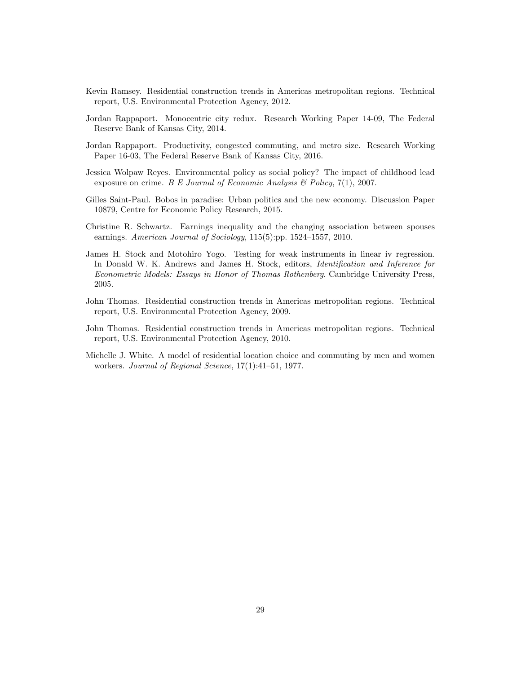- Kevin Ramsey. Residential construction trends in Americas metropolitan regions. Technical report, U.S. Environmental Protection Agency, 2012.
- Jordan Rappaport. Monocentric city redux. Research Working Paper 14-09, The Federal Reserve Bank of Kansas City, 2014.
- Jordan Rappaport. Productivity, congested commuting, and metro size. Research Working Paper 16-03, The Federal Reserve Bank of Kansas City, 2016.
- Jessica Wolpaw Reyes. Environmental policy as social policy? The impact of childhood lead exposure on crime. *B E Journal of Economic Analysis & Policy*, 7(1), 2007.
- Gilles Saint-Paul. Bobos in paradise: Urban politics and the new economy. Discussion Paper 10879, Centre for Economic Policy Research, 2015.
- Christine R. Schwartz. Earnings inequality and the changing association between spouses earnings. *American Journal of Sociology*, 115(5):pp. 1524–1557, 2010.
- James H. Stock and Motohiro Yogo. Testing for weak instruments in linear iv regression. In Donald W. K. Andrews and James H. Stock, editors, *Identification and Inference for Econometric Models: Essays in Honor of Thomas Rothenberg*. Cambridge University Press, 2005.
- John Thomas. Residential construction trends in Americas metropolitan regions. Technical report, U.S. Environmental Protection Agency, 2009.
- John Thomas. Residential construction trends in Americas metropolitan regions. Technical report, U.S. Environmental Protection Agency, 2010.
- Michelle J. White. A model of residential location choice and commuting by men and women workers. *Journal of Regional Science*, 17(1):41–51, 1977.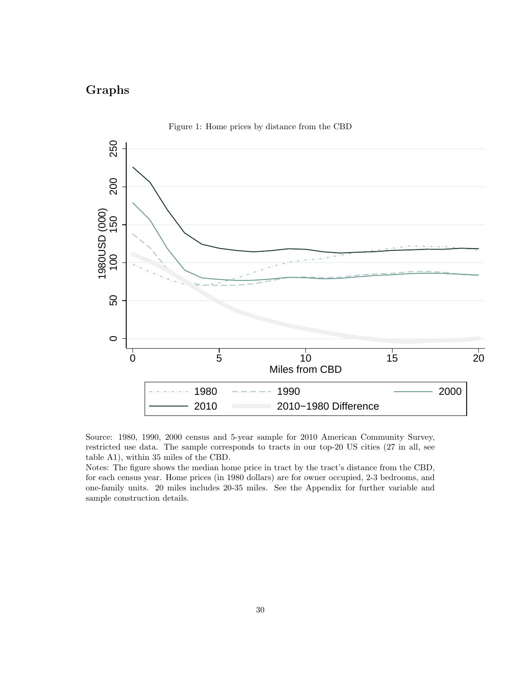# **Graphs**





Source: 1980, 1990, 2000 census and 5-year sample for 2010 American Community Survey, restricted use data. The sample corresponds to tracts in our top-20 US cities (27 in all, see table A1), within 35 miles of the CBD.

Notes: The figure shows the median home price in tract by the tract's distance from the CBD, for each census year. Home prices (in 1980 dollars) are for owner occupied, 2-3 bedrooms, and one-family units. 20 miles includes 20-35 miles. See the Appendix for further variable and sample construction details.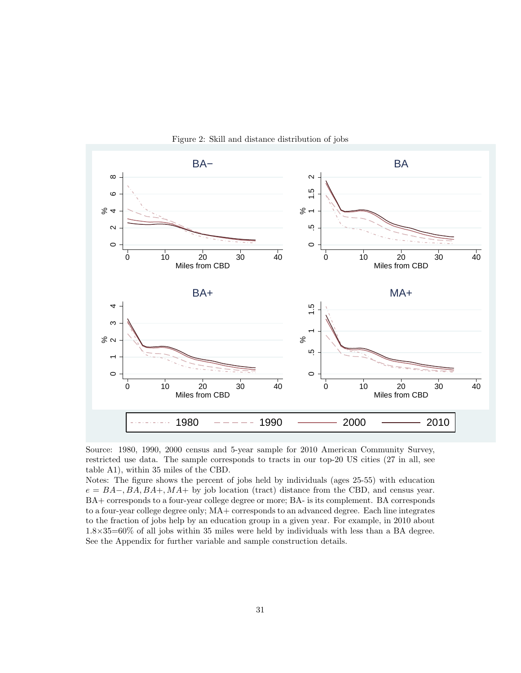

Figure 2: Skill and distance distribution of jobs

Notes: The figure shows the percent of jobs held by individuals (ages 25-55) with education *e* = *BA−, BA, BA*+*, MA*+ by job location (tract) distance from the CBD, and census year. BA+ corresponds to a four-year college degree or more; BA- is its complement. BA corresponds to a four-year college degree only; MA+ corresponds to an advanced degree. Each line integrates to the fraction of jobs help by an education group in a given year. For example, in 2010 about 1.8*×*35=60% of all jobs within 35 miles were held by individuals with less than a BA degree. See the Appendix for further variable and sample construction details.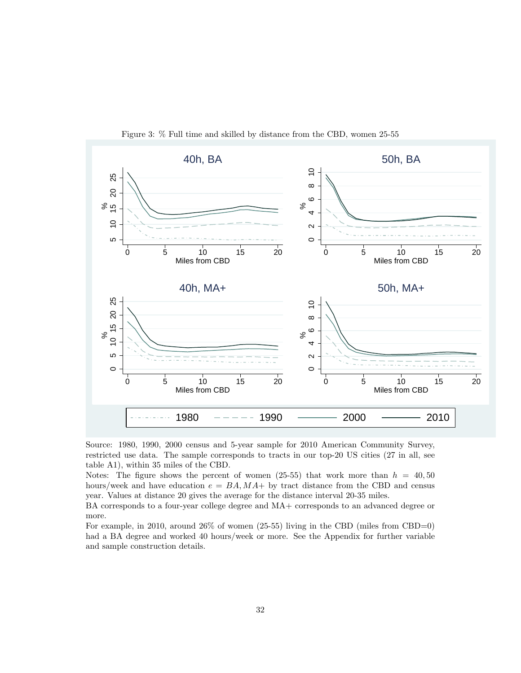

Figure 3: % Full time and skilled by distance from the CBD, women 25-55

Notes: The figure shows the percent of women  $(25-55)$  that work more than  $h = 40, 50$ hours/week and have education  $e = BA, MA + by$  tract distance from the CBD and census year. Values at distance 20 gives the average for the distance interval 20-35 miles.

BA corresponds to a four-year college degree and MA+ corresponds to an advanced degree or more.

For example, in 2010, around 26% of women (25-55) living in the CBD (miles from CBD=0) had a BA degree and worked 40 hours/week or more. See the Appendix for further variable and sample construction details.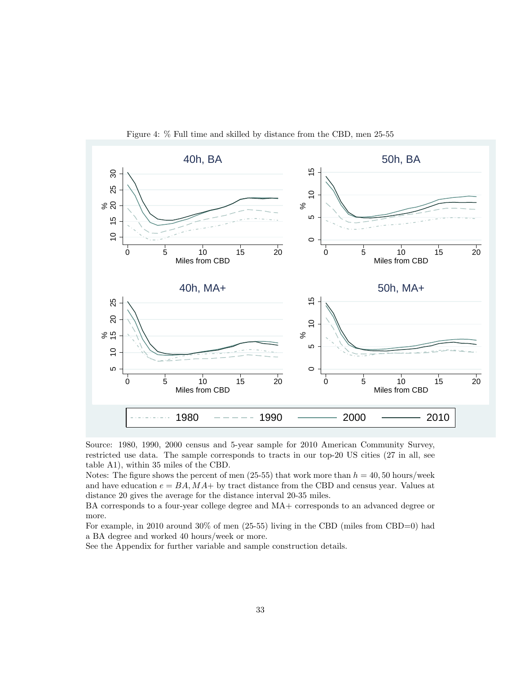

Figure 4: % Full time and skilled by distance from the CBD, men 25-55

Notes: The figure shows the percent of men  $(25-55)$  that work more than  $h = 40, 50$  hours/week and have education  $e = BA$ ,  $MA+$  by tract distance from the CBD and census year. Values at distance 20 gives the average for the distance interval 20-35 miles.

BA corresponds to a four-year college degree and MA+ corresponds to an advanced degree or more.

For example, in 2010 around 30% of men (25-55) living in the CBD (miles from CBD=0) had a BA degree and worked 40 hours/week or more.

See the Appendix for further variable and sample construction details.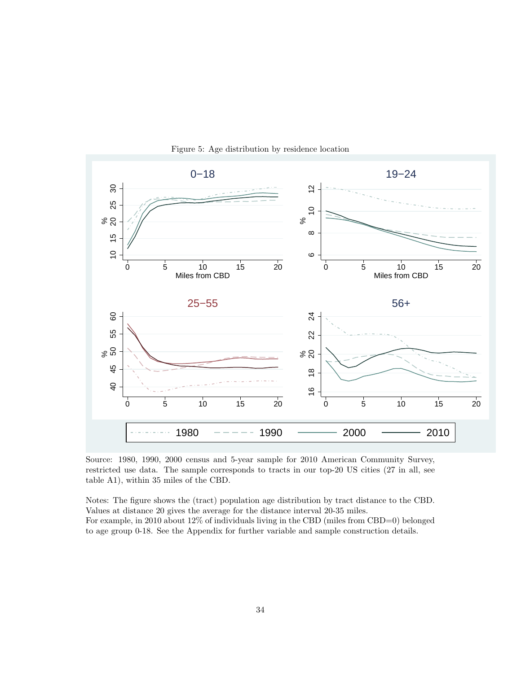

Figure 5: Age distribution by residence location

Notes: The figure shows the (tract) population age distribution by tract distance to the CBD. Values at distance 20 gives the average for the distance interval 20-35 miles. For example, in 2010 about 12% of individuals living in the CBD (miles from CBD=0) belonged to age group 0-18. See the Appendix for further variable and sample construction details.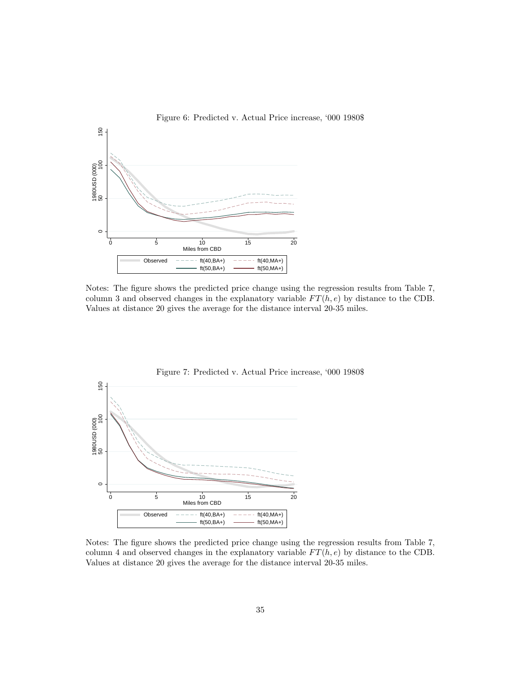

Notes: The figure shows the predicted price change using the regression results from Table 7, column 3 and observed changes in the explanatory variable  $FT(h, e)$  by distance to the CDB. Values at distance 20 gives the average for the distance interval 20-35 miles.



Figure 7: Predicted v. Actual Price increase, '000 1980\$

Notes: The figure shows the predicted price change using the regression results from Table 7, column 4 and observed changes in the explanatory variable  $FT(h, e)$  by distance to the CDB. Values at distance 20 gives the average for the distance interval 20-35 miles.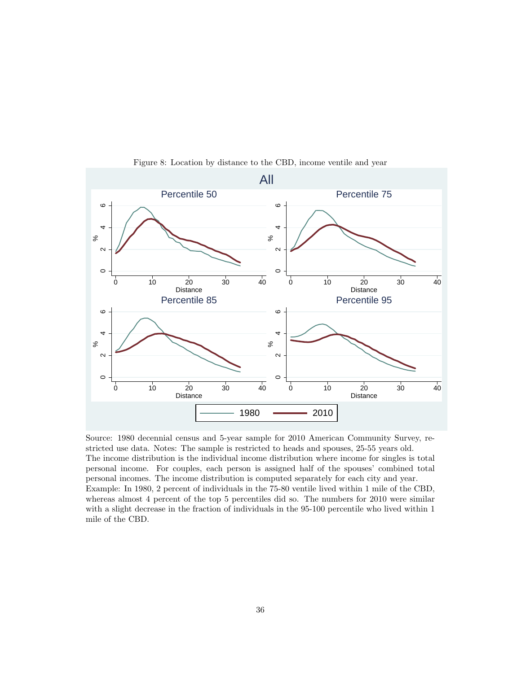

Figure 8: Location by distance to the CBD, income ventile and year

Source: 1980 decennial census and 5-year sample for 2010 American Community Survey, restricted use data. Notes: The sample is restricted to heads and spouses, 25-55 years old. The income distribution is the individual income distribution where income for singles is total personal income. For couples, each person is assigned half of the spouses' combined total personal incomes. The income distribution is computed separately for each city and year. Example: In 1980, 2 percent of individuals in the 75-80 ventile lived within 1 mile of the CBD, whereas almost 4 percent of the top 5 percentiles did so. The numbers for 2010 were similar with a slight decrease in the fraction of individuals in the 95-100 percentile who lived within 1 mile of the CBD.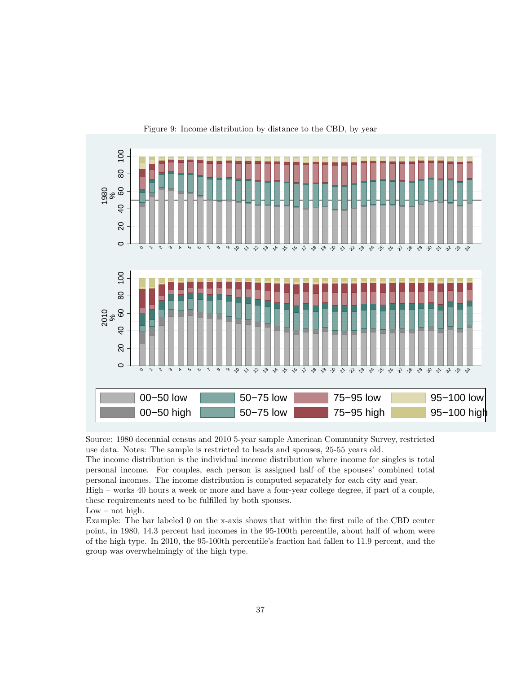

Figure 9: Income distribution by distance to the CBD, by year

The income distribution is the individual income distribution where income for singles is total personal income. For couples, each person is assigned half of the spouses' combined total personal incomes. The income distribution is computed separately for each city and year. High – works 40 hours a week or more and have a four-year college degree, if part of a couple, these requirements need to be fulfilled by both spouses.

 $Low - not high.$ 

Example: The bar labeled 0 on the x-axis shows that within the first mile of the CBD center point, in 1980, 14.3 percent had incomes in the 95-100th percentile, about half of whom were of the high type. In 2010, the 95-100th percentile's fraction had fallen to 11.9 percent, and the group was overwhelmingly of the high type.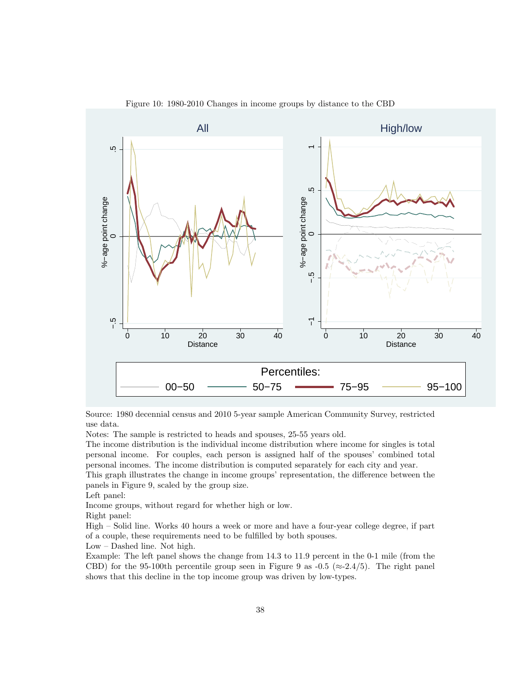

Figure 10: 1980-2010 Changes in income groups by distance to the CBD

Source: 1980 decennial census and 2010 5-year sample American Community Survey, restricted use data.

Notes: The sample is restricted to heads and spouses, 25-55 years old.

The income distribution is the individual income distribution where income for singles is total personal income. For couples, each person is assigned half of the spouses' combined total personal incomes. The income distribution is computed separately for each city and year. This graph illustrates the change in income groups' representation, the difference between the

panels in Figure 9, scaled by the group size.

Left panel:

Income groups, without regard for whether high or low.

Right panel:

High – Solid line. Works 40 hours a week or more and have a four-year college degree, if part of a couple, these requirements need to be fulfilled by both spouses.

Low – Dashed line. Not high.

Example: The left panel shows the change from 14.3 to 11.9 percent in the 0-1 mile (from the CBD) for the 95-100th percentile group seen in Figure 9 as  $-0.5$  ( $\approx$ -2.4/5). The right panel shows that this decline in the top income group was driven by low-types.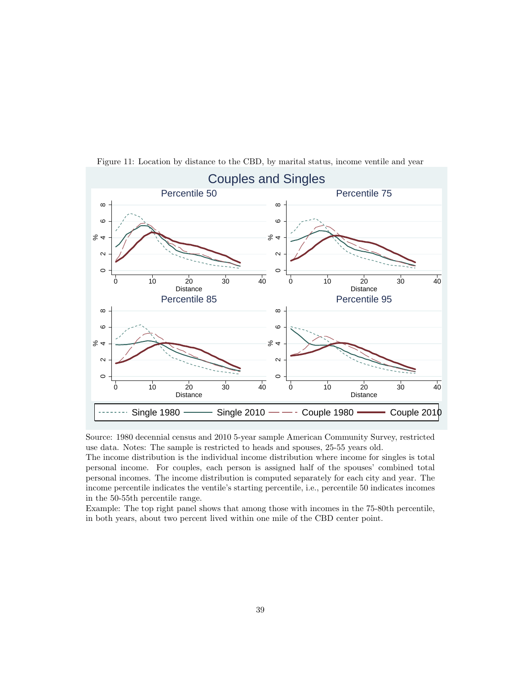

Figure 11: Location by distance to the CBD, by marital status, income ventile and year

The income distribution is the individual income distribution where income for singles is total personal income. For couples, each person is assigned half of the spouses' combined total personal incomes. The income distribution is computed separately for each city and year. The income percentile indicates the ventile's starting percentile, i.e., percentile 50 indicates incomes in the 50-55th percentile range.

Example: The top right panel shows that among those with incomes in the 75-80th percentile, in both years, about two percent lived within one mile of the CBD center point.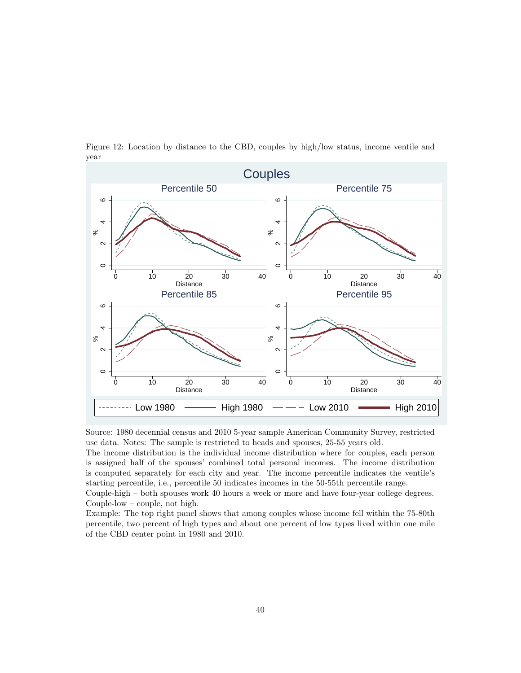

Figure 12: Location by distance to the CBD, couples by high/low status, income ventile and year

The income distribution is the individual income distribution where for couples, each person is assigned half of the spouses' combined total personal incomes. The income distribution is computed separately for each city and year. The income percentile indicates the ventile's starting percentile, i.e., percentile 50 indicates incomes in the 50-55th percentile range.

Couple-high – both spouses work 40 hours a week or more and have four-year college degrees. Couple-low – couple, not high.

Example: The top right panel shows that among couples whose income fell within the 75-80th percentile, two percent of high types and about one percent of low types lived within one mile of the CBD center point in 1980 and 2010.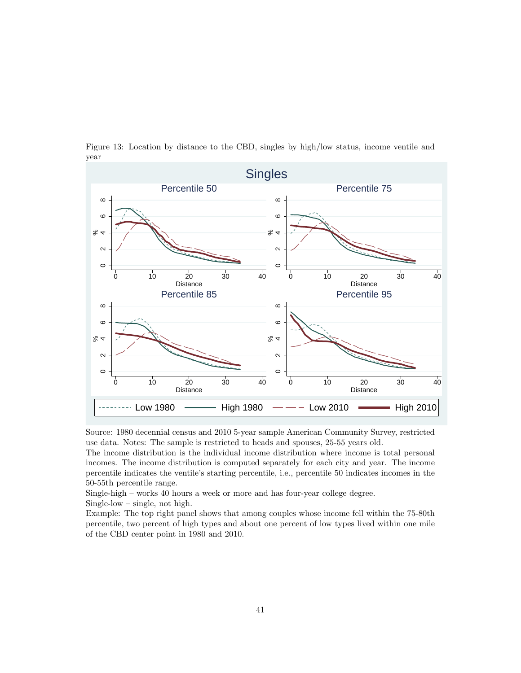

Figure 13: Location by distance to the CBD, singles by high/low status, income ventile and year

The income distribution is the individual income distribution where income is total personal incomes. The income distribution is computed separately for each city and year. The income percentile indicates the ventile's starting percentile, i.e., percentile 50 indicates incomes in the 50-55th percentile range.

Single-high – works 40 hours a week or more and has four-year college degree.

Single-low – single, not high.

Example: The top right panel shows that among couples whose income fell within the 75-80th percentile, two percent of high types and about one percent of low types lived within one mile of the CBD center point in 1980 and 2010.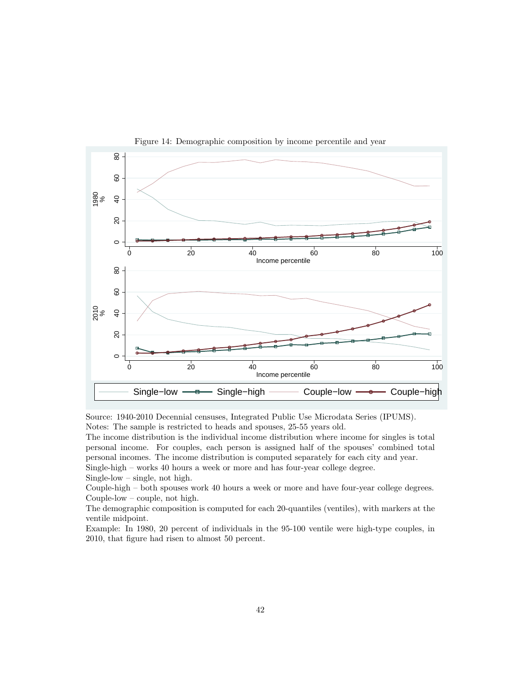

Figure 14: Demographic composition by income percentile and year

Source: 1940-2010 Decennial censuses, Integrated Public Use Microdata Series (IPUMS). Notes: The sample is restricted to heads and spouses, 25-55 years old.

The income distribution is the individual income distribution where income for singles is total personal income. For couples, each person is assigned half of the spouses' combined total personal incomes. The income distribution is computed separately for each city and year. Single-high – works 40 hours a week or more and has four-year college degree. Single-low – single, not high.

Couple-high – both spouses work 40 hours a week or more and have four-year college degrees. Couple-low – couple, not high.

The demographic composition is computed for each 20-quantiles (ventiles), with markers at the ventile midpoint.

Example: In 1980, 20 percent of individuals in the 95-100 ventile were high-type couples, in 2010, that figure had risen to almost 50 percent.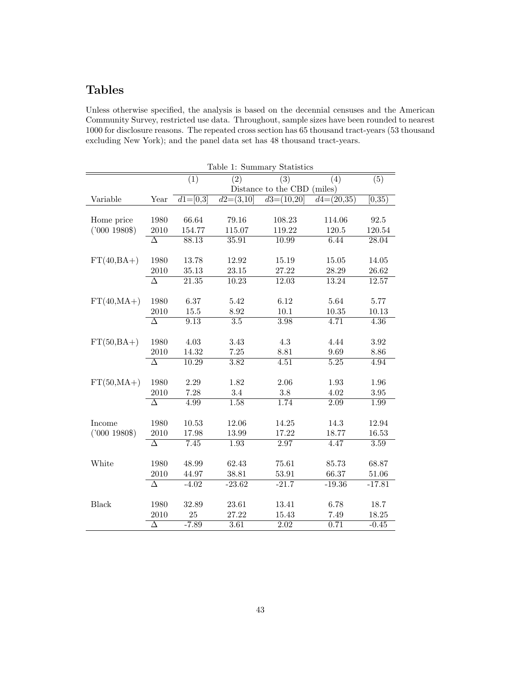# **Tables**

Unless otherwise specified, the analysis is based on the decennial censuses and the American Community Survey, restricted use data. Throughout, sample sizes have been rounded to nearest 1000 for disclosure reasons. The repeated cross section has 65 thousand tract-years (53 thousand excluding New York); and the panel data set has 48 thousand tract-years.

|               |                     |                  |                    | Table 1: Summary Statistics |                         |                     |
|---------------|---------------------|------------------|--------------------|-----------------------------|-------------------------|---------------------|
|               |                     | $\overline{(1)}$ | $\overline{(2)}$   | $\overline{(3)}$            | (4)                     | $\overline{(5)}$    |
|               |                     |                  |                    | Distance to the CBD (miles) |                         |                     |
| Variable      | Year                | $d1=[0,3]$       | $d2=(3,10)$        | $d3=(10,20)$                | $\overline{d4=(20,35)}$ | $\overline{[0,35)}$ |
|               |                     |                  |                    |                             |                         |                     |
| Home price    | 1980                | 66.64            | 79.16              | 108.23                      | 114.06                  | 92.5                |
| $('000 1980\$ | 2010                | 154.77           | 115.07             | 119.22                      | 120.5                   | 120.54              |
|               | $\overline{\Delta}$ | 88.13            | 35.91              | 10.99                       | 6.44                    | 28.04               |
|               |                     |                  |                    |                             |                         |                     |
| $FT(40,BA+)$  | 1980                | 13.78            | 12.92              | 15.19                       | 15.05                   | 14.05               |
|               | 2010                | 35.13            | 23.15              | 27.22                       | 28.29                   | 26.62               |
|               | $\overline{\Delta}$ | 21.35            | $\overline{10.23}$ | 12.03                       | 13.24                   | 12.57               |
|               |                     |                  |                    |                             |                         |                     |
| $FT(40, MA+)$ | 1980                | 6.37             | 5.42               | 6.12                        | 5.64                    | 5.77                |
|               | 2010                | 15.5             | 8.92               | 10.1                        | 10.35                   | 10.13               |
|               | $\overline{\Delta}$ | 9.13             | $\overline{3.5}$   | 3.98                        | 4.71                    | 4.36                |
|               |                     |                  |                    |                             |                         |                     |
| $FT(50,BA+)$  | 1980                | 4.03             | 3.43               | 4.3                         | 4.44                    | 3.92                |
|               | 2010                | 14.32            | 7.25               | 8.81                        | 9.69                    | 8.86                |
|               | $\overline{\Delta}$ | 10.29            | 3.82               | 4.51                        | 5.25                    | 4.94                |
|               |                     |                  |                    |                             |                         |                     |
| $FT(50, MA+)$ | 1980                | 2.29             | 1.82               | 2.06                        | 1.93                    | 1.96                |
|               | 2010                | 7.28             | 3.4                | 3.8                         | 4.02                    | 3.95                |
|               | $\overline{\Delta}$ | 4.99             | 1.58               | 1.74                        | 2.09                    | 1.99                |
| Income        | 1980                | 10.53            | 12.06              | 14.25                       | 14.3                    | 12.94               |
| ('000 1980\$) | 2010                | 17.98            | 13.99              | 17.22                       | 18.77                   | 16.53               |
|               | Δ                   | 7.45             | 1.93               | 2.97                        | 4.47                    | 3.59                |
|               |                     |                  |                    |                             |                         |                     |
| White         | 1980                | 48.99            | 62.43              | 75.61                       | 85.73                   | 68.87               |
|               | 2010                | 44.97            | 38.81              | 53.91                       | 66.37                   | 51.06               |
|               | $\overline{\Delta}$ | $-4.02$          | $-23.62$           | $-21.7$                     | $-19.36$                | $-17.81$            |
|               |                     |                  |                    |                             |                         |                     |
| <b>Black</b>  | 1980                | 32.89            | 23.61              | 13.41                       | 6.78                    | 18.7                |
|               | 2010                | 25               | 27.22              | 15.43                       | 7.49                    | 18.25               |
|               | Δ                   | $-7.89$          | 3.61               | 2.02                        | 0.71                    | $-0.45$             |
|               |                     |                  |                    |                             |                         |                     |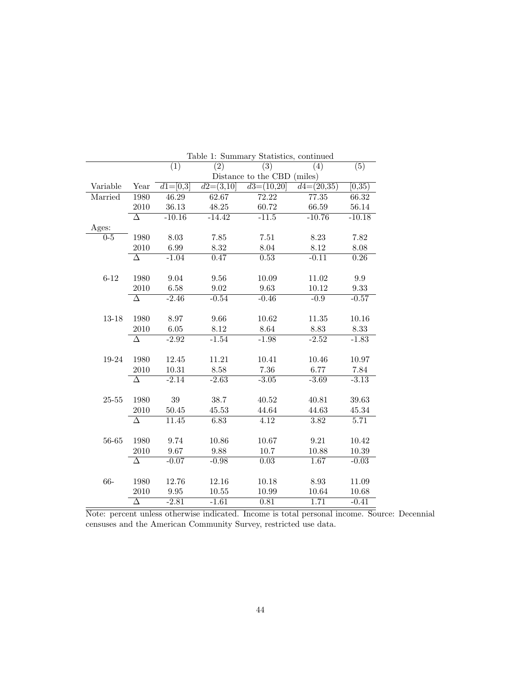|           |                     | (1)                   | (2)            | (3)                         | (4)          | (5)                 |
|-----------|---------------------|-----------------------|----------------|-----------------------------|--------------|---------------------|
|           |                     |                       |                | Distance to the CBD (miles) |              |                     |
| Variable  | Year                | $d\overline{1=[0,3]}$ | $d2 = (3, 10)$ | $d3=(10,20)$                | $d4=(20,35)$ | $\overline{[0,35)}$ |
| Married   | 1980                | 46.29                 | 62.67          | 72.22                       | 77.35        | 66.32               |
|           | 2010                | 36.13                 | 48.25          | 60.72                       | 66.59        | 56.14               |
|           | Δ                   | $-10.16$              | $-14.42$       | $-11.5$                     | $-10.76$     | $-10.18$            |
| Ages:     |                     |                       |                |                             |              |                     |
| $0 - 5$   | 1980                | 8.03                  | 7.85           | $7.51\,$                    | 8.23         | 7.82                |
|           | 2010                | 6.99                  | 8.32           | 8.04                        | 8.12         | 8.08                |
|           | $\overline{\Delta}$ | $-1.04$               | 0.47           | 0.53                        | $-0.11$      | 0.26                |
|           |                     |                       |                |                             |              |                     |
| $6 - 12$  | 1980                | 9.04                  | 9.56           | 10.09                       | 11.02        | 9.9                 |
|           | 2010                | 6.58                  | 9.02           | 9.63                        | 10.12        | 9.33                |
|           | $\overline{\Delta}$ | $-2.46$               | $-0.54$        | $-0.46$                     | $-0.9$       | $-0.57$             |
|           |                     |                       |                |                             |              |                     |
| 13-18     | 1980                | 8.97                  | 9.66           | 10.62                       | $11.35\,$    | 10.16               |
|           | 2010                | 6.05                  | 8.12           | 8.64                        | 8.83         | 8.33                |
|           | $\overline{\Delta}$ | $-2.92$               | $-1.54$        | $-1.98$                     | $-2.52$      | $-1.83$             |
|           |                     |                       |                |                             |              |                     |
| 19-24     | 1980                | 12.45                 | 11.21          | 10.41                       | 10.46        | 10.97               |
|           | 2010                | 10.31                 | 8.58           | 7.36                        | 6.77         | 7.84                |
|           | $\wedge$            | $-2.14$               | $-2.63$        | $-3.05$                     | $-3.69$      | $-3.13$             |
|           |                     |                       |                |                             |              |                     |
| $25 - 55$ | 1980                | 39                    | 38.7           | 40.52                       | 40.81        | 39.63               |
|           | 2010                | 50.45                 | 45.53          | 44.64                       | 44.63        | 45.34               |
|           | Δ                   | 11.45                 | 6.83           | 4.12                        | 3.82         | 5.71                |
|           |                     |                       |                |                             |              |                     |
| $56 - 65$ | 1980                | 9.74                  | 10.86          | 10.67                       | 9.21         | 10.42               |
|           | 2010                | 9.67                  | 9.88           | 10.7                        | 10.88        | 10.39               |
|           | Δ                   | $-0.07$               | $-0.98$        | 0.03                        | 1.67         | $-0.03$             |
|           |                     |                       |                |                             |              |                     |
| 66-       | 1980                | 12.76                 | 12.16          | 10.18                       | 8.93         | 11.09               |
|           | 2010                | 9.95                  | 10.55          | 10.99                       | 10.64        | 10.68               |
|           | $\overline{\Delta}$ | $-2.81$               | $-1.61$        | 0.81                        | 1.71         | $-0.41$             |

Table 1: Summary Statistics, continued

Note: percent unless otherwise indicated. Income is total personal income. Source: Decennial censuses and the American Community Survey, restricted use data.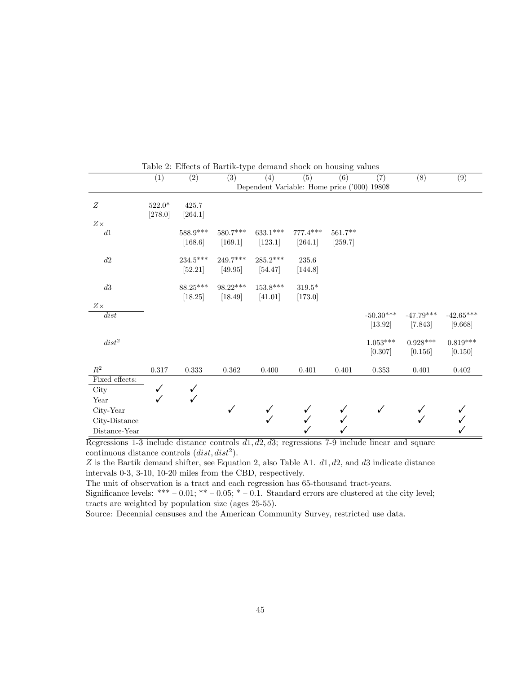|                | $\overline{(1)}$ | $\overline{(2)}$                  | $\overline{(3)}$      | $\overline{(4)}$                             | $\overline{(5)}$      | $\overline{(6)}$     | $\overline{(7)}$                 | $\overline{(8)}$       | $\overline{(9)}$       |
|----------------|------------------|-----------------------------------|-----------------------|----------------------------------------------|-----------------------|----------------------|----------------------------------|------------------------|------------------------|
|                |                  |                                   |                       | Dependent Variable: Home price ('000) 1980\$ |                       |                      |                                  |                        |                        |
| Ζ              | $522.0*$         | 425.7                             |                       |                                              |                       |                      |                                  |                        |                        |
|                | [278.0]          | [264.1]                           |                       |                                              |                       |                      |                                  |                        |                        |
| $Z\times$      |                  |                                   |                       |                                              |                       |                      |                                  |                        |                        |
| $\overline{d}$ |                  | $588.9***$<br>[168.6]             | $580.7***$<br>[169.1] | $633.1***$<br>[123.1]                        | $777.4***$<br>[264.1] | $561.7**$<br>[259.7] |                                  |                        |                        |
| $d2\,$         |                  | $234.5^{\ast\ast\ast}$<br>[52.21] | 249.7***<br>[49.95]   | $285.2***$<br>[54.47]                        | $235.6\,$<br>[144.8]  |                      |                                  |                        |                        |
| $d3\,$         |                  | $88.25***$<br>[18.25]             | $98.22***$<br>[18.49] | $153.8***$<br>[41.01]                        | $319.5*$<br>[173.0]   |                      |                                  |                        |                        |
| $Z\times$      |                  |                                   |                       |                                              |                       |                      |                                  |                        |                        |
| dist           |                  |                                   |                       |                                              |                       |                      | $\text{-}50.30^{***}$<br>[13.92] | $-47.79***$<br>[7.843] | $-42.65***$<br>[9.668] |
| $dist^2$       |                  |                                   |                       |                                              |                       |                      | $1.053***$<br>[0.307]            | $0.928***$<br>[0.156]  | $0.819***$<br>[0.150]  |
| $\mathbb{R}^2$ | $0.317\,$        | 0.333                             | 0.362                 | 0.400                                        | 0.401                 | 0.401                | 0.353                            | 0.401                  | 0.402                  |
| Fixed effects: |                  |                                   |                       |                                              |                       |                      |                                  |                        |                        |
| City           | ✓                |                                   |                       |                                              |                       |                      |                                  |                        |                        |
| Year           |                  | ✓                                 |                       |                                              |                       |                      |                                  |                        |                        |
| City-Year      |                  |                                   |                       |                                              |                       |                      |                                  |                        |                        |
| City-Distance  |                  |                                   |                       |                                              |                       |                      |                                  |                        |                        |
| Distance-Year  |                  |                                   |                       |                                              |                       |                      |                                  |                        |                        |

Table 2: Effects of Bartik-type demand shock on housing values

Regressions 1-3 include distance controls *d*1*, d*2*, d*3; regressions 7-9 include linear and square continuous distance controls  $(dist, dist^2)$ .

*Z* is the Bartik demand shifter, see Equation 2, also Table A1. *d*1*, d*2*,* and *d*3 indicate distance intervals 0-3, 3-10, 10-20 miles from the CBD, respectively.

The unit of observation is a tract and each regression has 65-thousand tract-years.

Significance levels: \*\*\* – 0.01; \*\* – 0.05; \* – 0.1. Standard errors are clustered at the city level; tracts are weighted by population size (ages 25-55).

Source: Decennial censuses and the American Community Survey, restricted use data.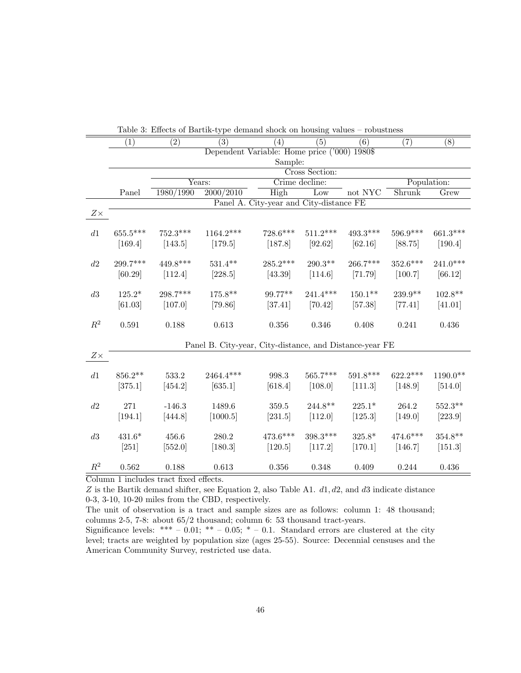|                |            |                   | Lable 9. Effects of Bartin-type definance shock on housing values<br>$\overline{(3)}$ |                                              | (5)            | rongericas<br>$\overline{(6)}$ |            |                  |
|----------------|------------|-------------------|---------------------------------------------------------------------------------------|----------------------------------------------|----------------|--------------------------------|------------|------------------|
|                | (1)        | $\left( 2\right)$ |                                                                                       | (4)                                          |                |                                | (7)        | $\overline{(8)}$ |
|                |            |                   |                                                                                       | Dependent Variable: Home price ('000) 1980\$ |                |                                |            |                  |
|                |            |                   |                                                                                       | Sample:                                      |                |                                |            |                  |
|                |            |                   |                                                                                       |                                              | Cross Section: |                                |            |                  |
|                |            |                   | $\overline{\text{Years}}$ :                                                           | Crime decline:                               |                |                                |            | Population:      |
|                | Panel      | 1980/1990         | 2000/2010                                                                             | High                                         | Low            | not NYC                        | Shrunk     | Grew             |
|                |            |                   |                                                                                       | Panel A. City-year and City-distance FE      |                |                                |            |                  |
| $Z\times$      |            |                   |                                                                                       |                                              |                |                                |            |                  |
|                |            |                   |                                                                                       |                                              |                |                                |            |                  |
| $d1\,$         | $655.5***$ | $752.3***$        | $1164.2***$                                                                           | $728.6***$                                   | $511.2***$     | $493.3***$                     | 596.9***   | 661.3***         |
|                | [169.4]    | [143.5]           | [179.5]                                                                               | [187.8]                                      | [92.62]        | [62.16]                        | [88.75]    | [190.4]          |
|                |            |                   |                                                                                       |                                              |                |                                |            |                  |
| d2             | 299.7***   | $449.8***$        | $531.4**$                                                                             | $285.2***$                                   | $290.3**$      | $266.7***$                     | $352.6***$ | $241.0***$       |
|                | [60.29]    | [112.4]           | [228.5]                                                                               | [43.39]                                      | [114.6]        | [71.79]                        | [100.7]    | [66.12]          |
|                |            |                   |                                                                                       |                                              |                |                                |            |                  |
| $d3\,$         | $125.2*$   | 298.7***          | 175.8**                                                                               | 99.77**                                      | $241.4***$     | $150.1**$                      | 239.9**    | $102.8**$        |
|                | [61.03]    | [107.0]           | [79.86]                                                                               | [37.41]                                      | [70.42]        | [57.38]                        | [77.41]    | [41.01]          |
|                |            |                   |                                                                                       |                                              |                |                                |            |                  |
| $\mathbb{R}^2$ | 0.591      | 0.188             | 0.613                                                                                 | 0.356                                        | 0.346          | 0.408                          | 0.241      | 0.436            |
|                |            |                   |                                                                                       |                                              |                |                                |            |                  |
|                |            |                   | Panel B. City-year, City-distance, and Distance-year FE                               |                                              |                |                                |            |                  |
| $Z\times$      |            |                   |                                                                                       |                                              |                |                                |            |                  |
|                |            |                   |                                                                                       |                                              |                |                                |            |                  |
| $d1$           | $856.2**$  | 533.2             | 2464.4***                                                                             | 998.3                                        | 565.7***       | $591.8***$                     | $622.2***$ | $1190.0**$       |
|                | [375.1]    | [454.2]           | [635.1]                                                                               | [618.4]                                      | [108.0]        | [111.3]                        | [148.9]    | [514.0]          |
|                |            |                   |                                                                                       |                                              |                |                                |            |                  |
| $d2\,$         | 271        | $-146.3$          | 1489.6                                                                                | 359.5                                        | $244.8**$      | $225.1*$                       | 264.2      | $552.3**$        |
|                |            |                   |                                                                                       |                                              |                |                                |            |                  |
|                | [194.1]    | [444.8]           | [1000.5]                                                                              | [231.5]                                      | [112.0]        | [125.3]                        | [149.0]    | [223.9]          |
|                |            |                   |                                                                                       |                                              | $398.3***$     |                                |            |                  |
| $d3\,$         | $431.6*$   | 456.6             | 280.2                                                                                 | $473.6***$                                   |                | $325.8*$                       | $474.6***$ | $354.8**$        |
|                | $[251]$    | [552.0]           | [180.3]                                                                               | [120.5]                                      | [117.2]        | [170.1]                        | [146.7]    | [151.3]          |
|                |            |                   |                                                                                       |                                              |                |                                |            |                  |
| $R^2$          | 0.562      | 0.188             | 0.613                                                                                 | 0.356                                        | 0.348          | 0.409                          | 0.244      | 0.436            |

Table 3: Effects of Bartik-type demand shock on housing values – robustness

Column 1 includes tract fixed effects.

*Z* is the Bartik demand shifter, see Equation 2, also Table A1. *d*1*, d*2*,* and *d*3 indicate distance 0-3, 3-10, 10-20 miles from the CBD, respectively.

The unit of observation is a tract and sample sizes are as follows: column 1: 48 thousand; columns 2-5, 7-8: about 65/2 thousand; column 6: 53 thousand tract-years.

Significance levels: \*\*\* – 0.01; \*\* – 0.05; \* – 0.1. Standard errors are clustered at the city level; tracts are weighted by population size (ages 25-55). Source: Decennial censuses and the American Community Survey, restricted use data.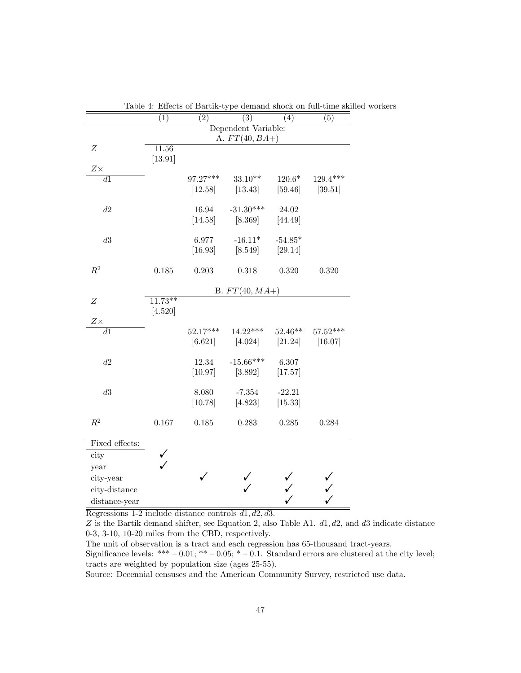|                  | (1)       | $\overline{(2)}$ | $\overline{(3)}$    | (4)       | Lable 4. Effects of Dartik-type definant shock on fun-time skilled<br>(5) |
|------------------|-----------|------------------|---------------------|-----------|---------------------------------------------------------------------------|
|                  |           |                  | Dependent Variable: |           |                                                                           |
|                  |           |                  | A. $FT(40, BA+)$    |           |                                                                           |
| $\boldsymbol{Z}$ | 11.56     |                  |                     |           |                                                                           |
|                  | [13.91]   |                  |                     |           |                                                                           |
| $Z\times$        |           |                  |                     |           |                                                                           |
| $\overline{d1}$  |           | 97.27***         | $33.10**$           | $120.6*$  | $129.4***$                                                                |
|                  |           | [12.58]          | [13.43]             | [59.46]   | [39.51]                                                                   |
| d2               |           | 16.94            | $-31.30***$         | 24.02     |                                                                           |
|                  |           | [14.58]          | [8.369]             | [44.49]   |                                                                           |
|                  |           |                  |                     |           |                                                                           |
| d3               |           | 6.977            | $-16.11*$           | $-54.85*$ |                                                                           |
|                  |           | [16.93]          | [8.549]             | [29.14]   |                                                                           |
|                  |           |                  |                     |           |                                                                           |
| $R^2$            | $0.185\,$ | 0.203            | 0.318               | 0.320     | 0.320                                                                     |
|                  |           |                  |                     |           |                                                                           |
|                  |           |                  | B. $FT(40, MA+)$    |           |                                                                           |
| $\boldsymbol{Z}$ | $11.73**$ |                  |                     |           |                                                                           |
|                  | [4.520]   |                  |                     |           |                                                                           |
| $Z\times$        |           |                  |                     |           |                                                                           |
| $\overline{d1}$  |           | $52.17***$       | $14.22***$          | $52.46**$ | $57.52***$                                                                |
|                  |           | [6.621]          | $[4.024]$           | [21.24]   | [16.07]                                                                   |
| $d2\,$           |           | 12.34            | $-15.66***$         | 6.307     |                                                                           |
|                  |           | [10.97]          | [3.892]             | [17.57]   |                                                                           |
|                  |           |                  |                     |           |                                                                           |
| d3               |           | 8.080            | $-7.354$            | $-22.21$  |                                                                           |
|                  |           | [10.78]          | [4.823]             | [15.33]   |                                                                           |
|                  |           |                  |                     |           |                                                                           |
| $R^2$            | $0.167\,$ | 0.185            | 0.283               | 0.285     | 0.284                                                                     |
|                  |           |                  |                     |           |                                                                           |
| Fixed effects:   |           |                  |                     |           |                                                                           |
| city             | ✓         |                  |                     |           |                                                                           |
| year             |           |                  |                     |           |                                                                           |
| city-year        |           |                  |                     |           |                                                                           |
| city-distance    |           |                  |                     |           |                                                                           |
| distance-year    |           |                  |                     |           |                                                                           |

Table 4: Effects of Bartik-type demand shock on full-time skilled workers

Regressions 1-2 include distance controls *d*1*, d*2*, d*3.

*Z* is the Bartik demand shifter, see Equation 2, also Table A1. *d*1*, d*2*,* and *d*3 indicate distance 0-3, 3-10, 10-20 miles from the CBD, respectively.

The unit of observation is a tract and each regression has 65-thousand tract-years.

Significance levels: \*\*\* – 0.01; \*\* – 0.05; \* – 0.1. Standard errors are clustered at the city level; tracts are weighted by population size (ages 25-55).

Source: Decennial censuses and the American Community Survey, restricted use data.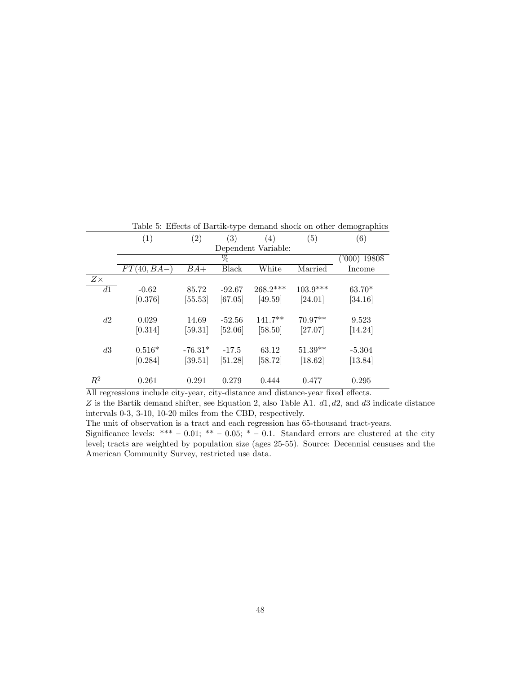|           |                   |                   | . .      |                     |            |                 |
|-----------|-------------------|-------------------|----------|---------------------|------------|-----------------|
|           | $\left( 1\right)$ | $\left( 2\right)$ | (3)      | (4)                 | (5)        | (6)             |
|           |                   |                   |          | Dependent Variable: |            |                 |
|           |                   |                   | $\%$     |                     |            | $('000)$ 1980\$ |
|           | $FT(40,BA-)$      | $BA+$             | Black    | White               | Married    | Income          |
| $Z\times$ |                   |                   |          |                     |            |                 |
| d1        | $-0.62$           | 85.72             | $-92.67$ | $268.2***$          | $103.9***$ | $63.70*$        |
|           | [0.376]           | $[55.53]$         | [67.05]  | [49.59]             | [24.01]    | [34.16]         |
|           |                   |                   |          |                     |            |                 |
| d2        | 0.029             | 14.69             | $-52.56$ | $141.7**$           | $70.97**$  | 9.523           |
|           | [0.314]           | [59.31]           | [52.06]  | $[58.50]$           | [27.07]    | [14.24]         |
|           |                   |                   |          |                     |            |                 |
| d3        | $0.516*$          | $-76.31*$         | $-17.5$  | 63.12               | $51.39**$  | $-5.304$        |
|           | [0.284]           | [39.51]           | [51.28]  | [58.72]             | [18.62]    | [13.84]         |
| $R^2$     | 0.261             | 0.291             | 0.279    | 0.444               | 0.477      | 0.295           |
|           |                   |                   |          |                     |            |                 |

Table 5: Effects of Bartik-type demand shock on other demographics

All regressions include city-year, city-distance and distance-year fixed effects.

*Z* is the Bartik demand shifter, see Equation 2, also Table A1. *d*1*, d*2*,* and *d*3 indicate distance intervals 0-3, 3-10, 10-20 miles from the CBD, respectively.

The unit of observation is a tract and each regression has 65-thousand tract-years.

Significance levels: \*\*\* – 0.01; \*\* – 0.05; \* – 0.1. Standard errors are clustered at the city level; tracts are weighted by population size (ages 25-55). Source: Decennial censuses and the American Community Survey, restricted use data.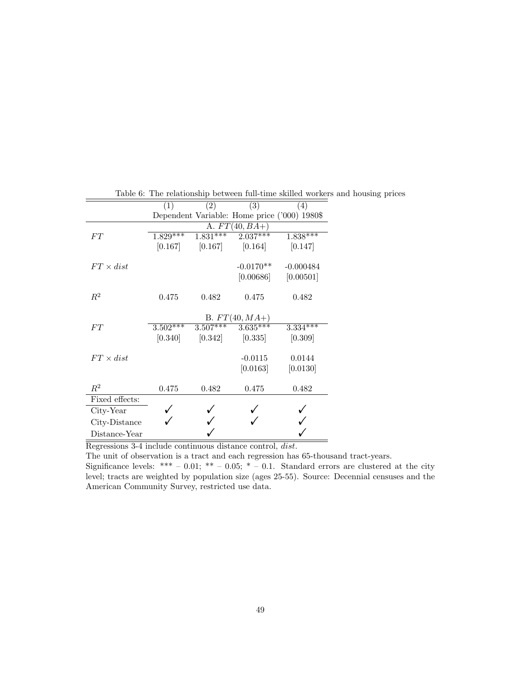|                  | (1)        | (2)        | (3)                                          | (4)         |
|------------------|------------|------------|----------------------------------------------|-------------|
|                  |            |            | Dependent Variable: Home price ('000) 1980\$ |             |
|                  |            |            | A. $FT(40, BA+)$                             |             |
| FT               | $1.829***$ | $1.831***$ | $2.037***$                                   | $1.838***$  |
|                  | [0.167]    | [0.167]    | [0.164]                                      | [0.147]     |
| $FT \times dist$ |            |            | $-0.0170**$                                  | $-0.000484$ |
|                  |            |            | [0.00686]                                    | [0.00501]   |
| $R^2$            | 0.475      | 0.482      | 0.475                                        | 0.482       |
|                  |            |            | B. $FT(40, MA+)$                             |             |
| FT               | $3.502***$ |            | $3.507***$ $3.635***$                        | $3.334***$  |
|                  | [0.340]    | [0.342]    | [0.335]                                      | [0.309]     |
| $FT \times dist$ |            |            | $-0.0115$                                    | 0.0144      |
|                  |            |            | [0.0163]                                     | [0.0130]    |
| $R^2$            | 0.475      | 0.482      | 0.475                                        | 0.482       |
| Fixed effects:   |            |            |                                              |             |
| City-Year        |            |            |                                              |             |
| City-Distance    |            |            |                                              |             |
| Distance-Year    |            |            |                                              |             |

Table 6: The relationship between full-time skilled workers and housing prices

Regressions 3-4 include continuous distance control, *dist*.

The unit of observation is a tract and each regression has 65-thousand tract-years.

Significance levels: \*\*\* – 0.01; \*\* – 0.05; \* – 0.1. Standard errors are clustered at the city level; tracts are weighted by population size (ages 25-55). Source: Decennial censuses and the American Community Survey, restricted use data.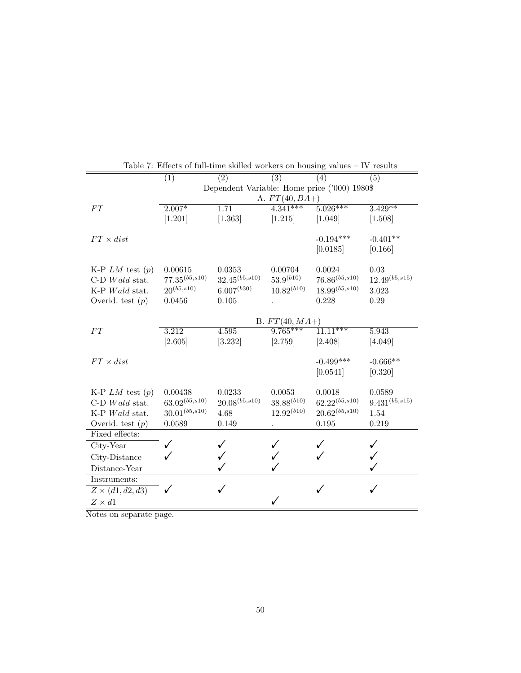|                         | (1)                 | (2)                                          | (3)                            | (4)                   | (5)                 |
|-------------------------|---------------------|----------------------------------------------|--------------------------------|-----------------------|---------------------|
|                         |                     | Dependent Variable: Home price ('000) 1980\$ |                                |                       |                     |
|                         |                     |                                              | A. $FT(40, BA+$                |                       |                     |
| FT                      | $2.007*$            | 1.71                                         | $4.341***$                     | $5.026***$            | $3.429**$           |
|                         | [1.201]             | [1.363]                                      | [1.215]                        | [1.049]               | [1.508]             |
| $FT \times dist$        |                     |                                              |                                | $-0.194***$           | $-0.401**$          |
|                         |                     |                                              |                                | [0.0185]              | [0.166]             |
|                         |                     |                                              |                                |                       |                     |
| K-P $LM$ test $(p)$     | 0.00615             | 0.0353                                       | 0.00704                        | 0.0024                | 0.03                |
| $C-D$ <i>Wald</i> stat. | $77.35^{(b5, s10)}$ | $32.45^{(b5,s10)}$                           | $53.9^{(b10)}$                 | $76.86^{(b5,s10)}$    | $12.49^{(b5, s15)}$ |
| K-P Wald stat.          | $20^{(b5,s10)}$     | $6.007^{(b30)}$                              | $10.82^{(b10)}$                | $18.99^{(b5, s10)}$   | 3.023               |
| Overid. test $(p)$      | 0.0456              | 0.105                                        |                                | 0.228                 | 0.29                |
|                         |                     |                                              |                                |                       |                     |
|                         |                     | 4.595                                        | B. $FT(40, MA+)$<br>$9.765***$ | $1\overline{1.11***}$ |                     |
| FT                      | 3.212               |                                              |                                |                       | 5.943               |
|                         | [2.605]             | [3.232]                                      | [2.759]                        | [2.408]               | [4.049]             |
| $FT \times dist$        |                     |                                              |                                | $-0.499***$           | $-0.666**$          |
|                         |                     |                                              |                                | [0.0541]              | [0.320]             |
|                         |                     |                                              |                                |                       |                     |
| K-P $LM$ test $(p)$     | 0.00438             | 0.0233                                       | 0.0053                         | 0.0018                | 0.0589              |
| $C-D$ <i>Wald</i> stat. | $63.02^{(b5, s10)}$ | $20.08^{(b5, s10)}$                          | $38.88^{(b10)}$                | $62.22^{(b5, s10)}$   | $9.431^{(b5,s15)}$  |
| K-P Wald stat.          | $30.01^{(b5, s10)}$ | 4.68                                         | $12.92^{(b10)}$                | $20.62^{(b5, s10)}$   | 1.54                |
| Overid. test $(p)$      | 0.0589              | 0.149                                        |                                | 0.195                 | 0.219               |
| Fixed effects:          |                     |                                              |                                |                       |                     |
| City-Year               | ✓                   |                                              |                                |                       |                     |
| City-Distance           |                     |                                              |                                |                       |                     |
| Distance-Year           |                     |                                              |                                |                       |                     |
| Instruments:            |                     |                                              |                                |                       |                     |
| $Z \times (d1, d2, d3)$ | ✓                   | ✓                                            |                                |                       |                     |
| $Z \times d1$           |                     |                                              |                                |                       |                     |

Table 7: Effects of full-time skilled workers on housing values – IV results

Notes on separate page.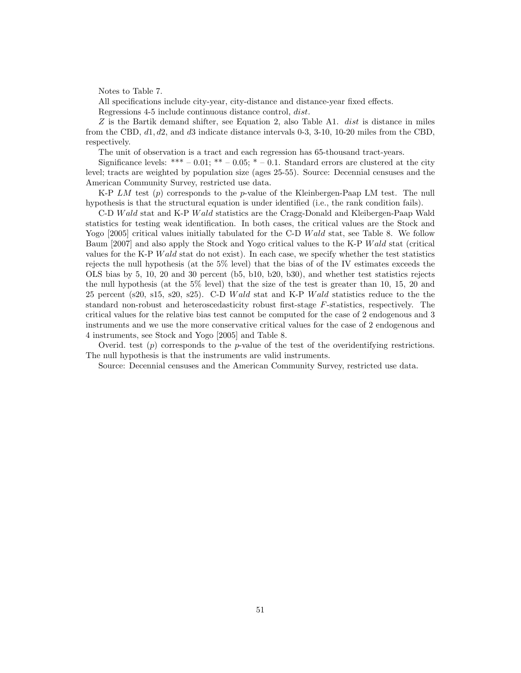Notes to Table 7.

All specifications include city-year, city-distance and distance-year fixed effects.

Regressions 4-5 include continuous distance control, *dist*.

*Z* is the Bartik demand shifter, see Equation 2, also Table A1. *dist* is distance in miles from the CBD, *d*1*, d*2*,* and *d*3 indicate distance intervals 0-3, 3-10, 10-20 miles from the CBD, respectively.

The unit of observation is a tract and each regression has 65-thousand tract-years.

Significance levels: \*\*\* – 0.01; \*\* – 0.05; \* – 0.1. Standard errors are clustered at the city level; tracts are weighted by population size (ages 25-55). Source: Decennial censuses and the American Community Survey, restricted use data.

K-P *LM* test (*p*) corresponds to the *p*-value of the Kleinbergen-Paap LM test. The null hypothesis is that the structural equation is under identified (i.e., the rank condition fails).

C-D *W ald* stat and K-P *W ald* statistics are the Cragg-Donald and Kleibergen-Paap Wald statistics for testing weak identification. In both cases, the critical values are the Stock and Yogo [2005] critical values initially tabulated for the C-D *W ald* stat, see Table 8. We follow Baum [2007] and also apply the Stock and Yogo critical values to the K-P *W ald* stat (critical values for the K-P *W ald* stat do not exist). In each case, we specify whether the test statistics rejects the null hypothesis (at the 5% level) that the bias of of the IV estimates exceeds the OLS bias by 5, 10, 20 and 30 percent (b5, b10, b20, b30), and whether test statistics rejects the null hypothesis (at the 5% level) that the size of the test is greater than 10, 15, 20 and 25 percent (s20, s15, s20, s25). C-D *W ald* stat and K-P *W ald* statistics reduce to the the standard non-robust and heteroscedasticity robust first-stage *F*-statistics, respectively. The critical values for the relative bias test cannot be computed for the case of 2 endogenous and 3 instruments and we use the more conservative critical values for the case of 2 endogenous and 4 instruments, see Stock and Yogo [2005] and Table 8.

Overid. test (*p*) corresponds to the *p*-value of the test of the overidentifying restrictions. The null hypothesis is that the instruments are valid instruments.

Source: Decennial censuses and the American Community Survey, restricted use data.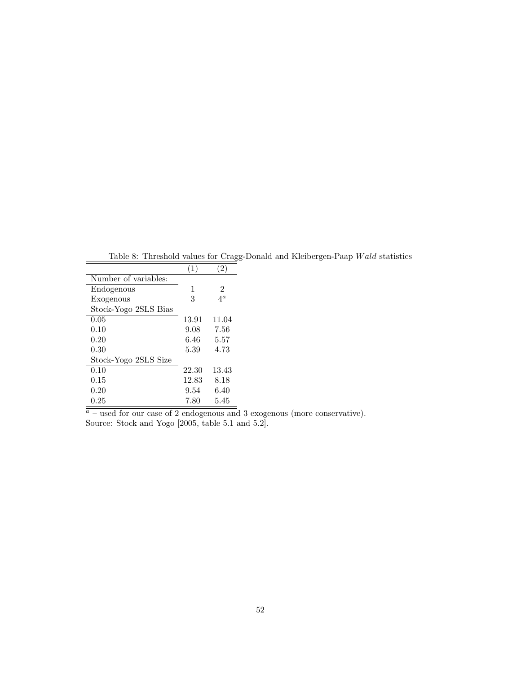|                      | 1     | 2             |
|----------------------|-------|---------------|
| Number of variables: |       |               |
| Endogenous           | 1     | $\mathcal{D}$ |
| Exogenous            | 3     | $4^{\rm a}$   |
| Stock-Yogo 2SLS Bias |       |               |
| 0.05                 | 13.91 | 11.04         |
| 0.10                 | 9.08  | 7.56          |
| 0.20                 | 6.46  | 5.57          |
| 0.30                 | 5.39  | 4.73          |
| Stock-Yogo 2SLS Size |       |               |
| 0.10                 | 22.30 | 13.43         |
| 0.15                 | 12.83 | 8.18          |
| 0.20                 | 9.54  | 6.40          |
| $0.25\,$             | 7.80  | 5.45          |

Table 8: Threshold values for Cragg-Donald and Kleibergen-Paap *Wald* statistics

 $a<sub>a</sub>$  – used for our case of 2 endogenous and 3 exogenous (more conservative). Source: Stock and Yogo  $[2005, \text{ table } 5.1 \text{ and } 5.2]$ .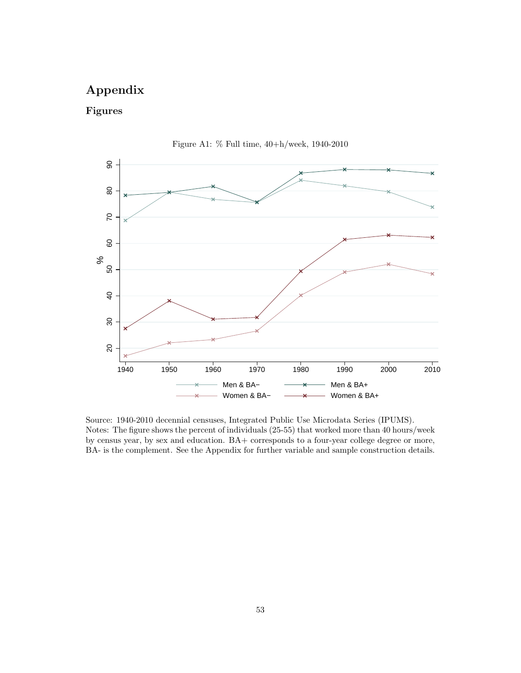# **Appendix**

## **Figures**





Source: 1940-2010 decennial censuses, Integrated Public Use Microdata Series (IPUMS). Notes: The figure shows the percent of individuals (25-55) that worked more than 40 hours/week by census year, by sex and education. BA+ corresponds to a four-year college degree or more, BA- is the complement. See the Appendix for further variable and sample construction details.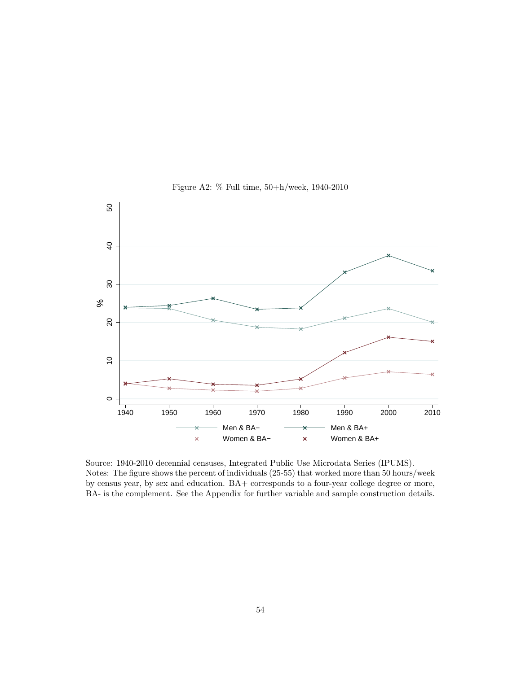

Figure A2: % Full time, 50+h/week, 1940-2010

Source: 1940-2010 decennial censuses, Integrated Public Use Microdata Series (IPUMS). Notes: The figure shows the percent of individuals (25-55) that worked more than 50 hours/week by census year, by sex and education. BA+ corresponds to a four-year college degree or more, BA- is the complement. See the Appendix for further variable and sample construction details.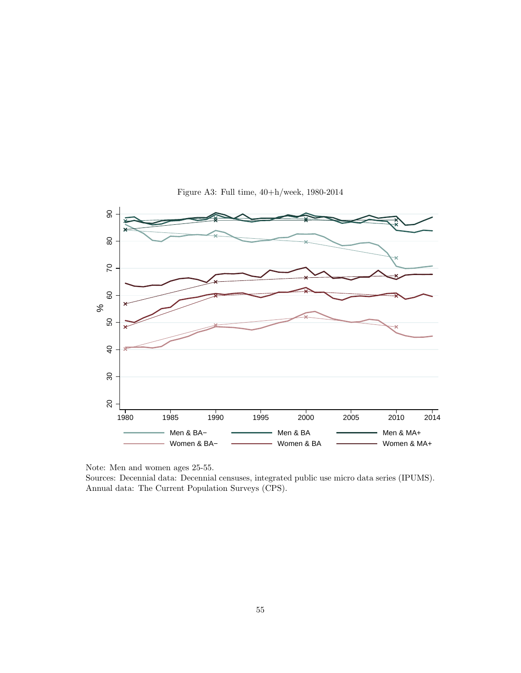

Figure A3: Full time, 40+h/week, 1980-2014

Note: Men and women ages 25-55.

Sources: Decennial data: Decennial censuses, integrated public use micro data series (IPUMS). Annual data: The Current Population Surveys (CPS).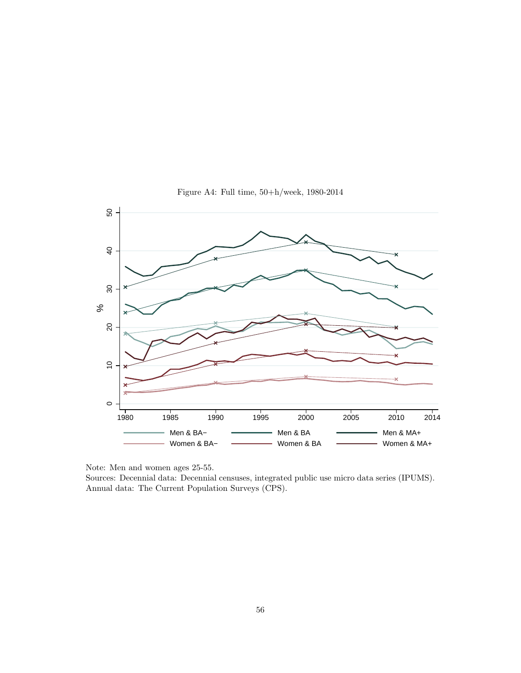

Figure A4: Full time, 50+h/week, 1980-2014

Note: Men and women ages 25-55.

Sources: Decennial data: Decennial censuses, integrated public use micro data series (IPUMS). Annual data: The Current Population Surveys (CPS).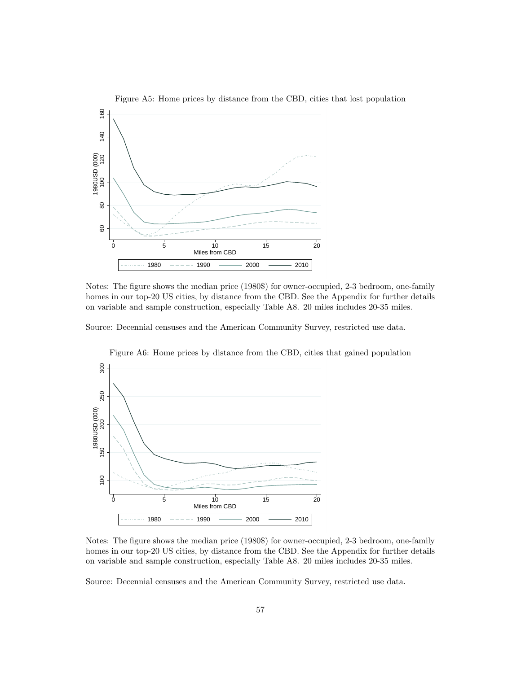

Figure A5: Home prices by distance from the CBD, cities that lost population

Notes: The figure shows the median price (1980\$) for owner-occupied, 2-3 bedroom, one-family homes in our top-20 US cities, by distance from the CBD. See the Appendix for further details on variable and sample construction, especially Table A8. 20 miles includes 20-35 miles.

Source: Decennial censuses and the American Community Survey, restricted use data.





Notes: The figure shows the median price (1980\$) for owner-occupied, 2-3 bedroom, one-family homes in our top-20 US cities, by distance from the CBD. See the Appendix for further details on variable and sample construction, especially Table A8. 20 miles includes 20-35 miles.

Source: Decennial censuses and the American Community Survey, restricted use data.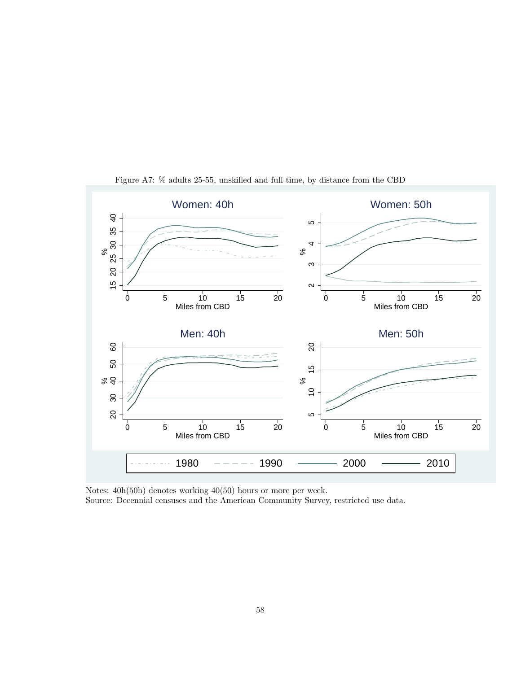

Figure A7: % adults 25-55, unskilled and full time, by distance from the CBD

Notes: 40h(50h) denotes working 40(50) hours or more per week. Source: Decennial censuses and the American Community Survey, restricted use data.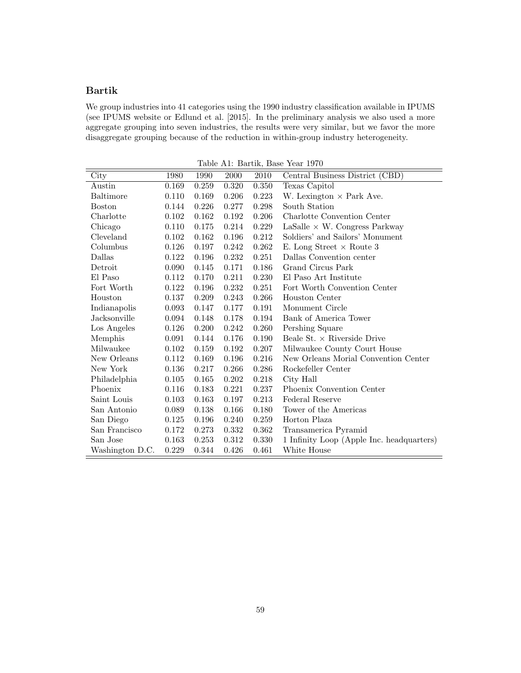#### **Bartik**

We group industries into 41 categories using the 1990 industry classification available in IPUMS (see IPUMS website or Edlund et al. [2015]. In the preliminary analysis we also used a more aggregate grouping into seven industries, the results were very similar, but we favor the more disaggregate grouping because of the reduction in within-group industry heterogeneity.

City 1980 1990 2000 2010 Central Business District (CBD) Austin 0.169 0.259 0.320 0.350 Texas Capitol Baltimore 0.110 0.169 0.206 0.223 W. Lexington *×* Park Ave.<br>Boston 0.144 0.226 0.277 0.298 South Station South Station Charlotte 0.102 0.162 0.192 0.206 Charlotte Convention Center Chicago 0.110 0.175 0.214 0.229 LaSalle *×* W. Congress Parkway<br>Cleveland 0.102 0.162 0.196 0.212 Soldiers' and Sailors' Monument Soldiers' and Sailors' Monument Columbus 0.126 0.197 0.242 0.262 E. Long Street *×* Route 3 Dallas Convention center Detroit 0.090 0.145 0.171 0.186 Grand Circus Park El Paso 0.112 0.170 0.211 0.230 El Paso Art Institute Fort Worth 0.122 0.196 0.232 0.251 Fort Worth Convention Center Houston 0.137 0.209 0.243 0.266 Houston Center Indianapolis 0.093 0.147 0.177 0.191 Monument Circle Jacksonville 0.094 0.148 0.178 0.194 Bank of America Tower Los Angeles 0.126 0.200 0.242 0.260 Pershing Square Memphis 0.091 0.144 0.176 0.190 Beale St. *×* Riverside Drive Milwaukee County Court House New Orleans 0.112 0.169 0.196 0.216 New Orleans Morial Convention Center New York 0.136 0.217 0.266 0.286 Rockefeller Center Philadelphia 0.105 0.165 0.202 0.218 City Hall Phoenix 0.116 0.183 0.221 0.237 Phoenix Convention Center Saint Louis 0.103 0.163 0.197 0.213 Federal Reserve San Antonio 0.089 0.138 0.166 0.180 Tower of the Americas San Diego 0.125 0.196 0.240 0.259 Horton Plaza San Francisco 0.172 0.273 0.332 0.362 Transamerica Pyramid San Jose 0.163 0.253 0.312 0.330 1 Infinity Loop (Apple Inc. headquarters) Washington D.C. 0.229 0.344 0.426 0.461 White House

Table A1: Bartik, Base Year 1970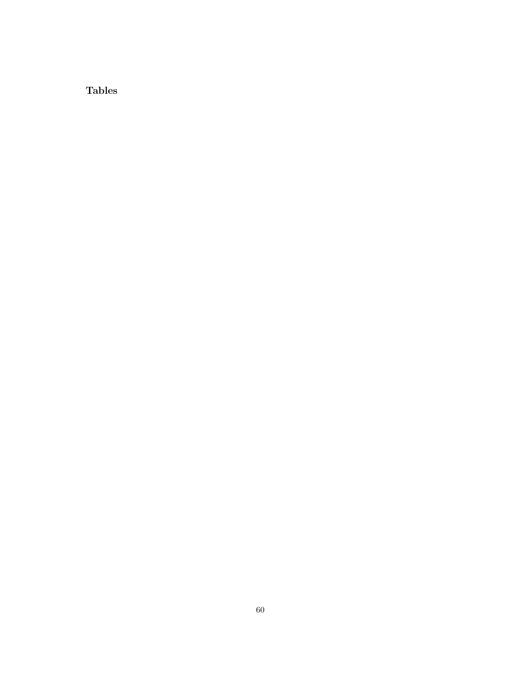**Tables**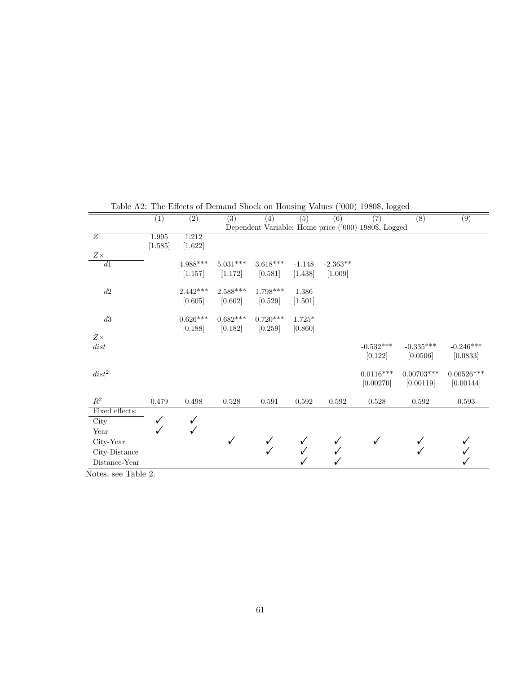|                                         | (1)     | $\overline{(2)}$ | (3)        | (4)        | (5)      | (6)        | $\overline{(7)}$                                     | $\overline{(8)}$ | $\overline{(9)}$ |
|-----------------------------------------|---------|------------------|------------|------------|----------|------------|------------------------------------------------------|------------------|------------------|
|                                         |         |                  |            |            |          |            | Dependent Variable: Home price ('000) 1980\$, Logged |                  |                  |
| $\overline{Z}$                          | 1.995   | 1.212            |            |            |          |            |                                                      |                  |                  |
|                                         | [1.585] | [1.622]          |            |            |          |            |                                                      |                  |                  |
| $Z\times$                               |         |                  |            |            |          |            |                                                      |                  |                  |
| $\overline{d1}$                         |         | $4.988***$       | $5.031***$ | $3.618***$ | $-1.148$ | $-2.363**$ |                                                      |                  |                  |
|                                         |         | [1.157]          | [1.172]    | [0.581]    | [1.438]  | [1.009]    |                                                      |                  |                  |
| $d2\,$                                  |         | $2.442***$       | $2.588***$ | $1.798***$ | 1.386    |            |                                                      |                  |                  |
|                                         |         | [0.605]          | [0.602]    | [0.529]    | [1.501]  |            |                                                      |                  |                  |
| $d3\,$                                  |         | $0.626***$       | $0.682***$ | $0.720***$ | $1.725*$ |            |                                                      |                  |                  |
|                                         |         | [0.188]          | [0.182]    | [0.259]    | [0.860]  |            |                                                      |                  |                  |
| $Z\times$                               |         |                  |            |            |          |            |                                                      |                  |                  |
| dist                                    |         |                  |            |            |          |            | $-0.532***$                                          | $-0.335***$      | $-0.246***$      |
|                                         |         |                  |            |            |          |            | [0.122]                                              | [0.0506]         | [0.0833]         |
|                                         |         |                  |            |            |          |            |                                                      |                  |                  |
| $dist^2$                                |         |                  |            |            |          |            | $0.0116***$                                          | $0.00703***$     | $0.00526***$     |
|                                         |         |                  |            |            |          |            | [0.00270]                                            | [0.00119]        | [0.00144]        |
| $\mathbb{R}^2$                          | 0.479   | 0.498            | 0.528      | 0.591      | 0.592    | 0.592      | 0.528                                                | 0.592            | 0.593            |
| Fixed effects:                          |         |                  |            |            |          |            |                                                      |                  |                  |
| City                                    | ✓       | ✓                |            |            |          |            |                                                      |                  |                  |
| Year                                    |         |                  |            |            |          |            |                                                      |                  |                  |
| City-Year                               |         |                  | ✓          |            |          |            | ✓                                                    |                  |                  |
| City-Distance                           |         |                  |            |            |          |            |                                                      |                  |                  |
| Distance-Year                           |         |                  |            |            |          |            |                                                      |                  |                  |
| $N_{\text{atron}}$ ass $\text{Table 9}$ |         |                  |            |            |          |            |                                                      |                  |                  |

Table A2: The Effects of Demand Shock on Housing Values ('000) 1980\$, logged

Notes, see Table 2.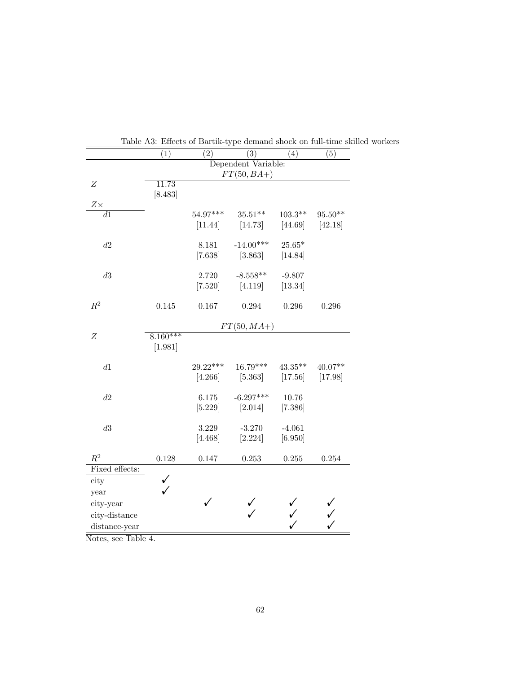| (1) | $\left( 2\right)$                                           | (3)                                                                                                    | (4)                                                                                                                  | (5)                                                                                                                                                                        |
|-----|-------------------------------------------------------------|--------------------------------------------------------------------------------------------------------|----------------------------------------------------------------------------------------------------------------------|----------------------------------------------------------------------------------------------------------------------------------------------------------------------------|
|     |                                                             |                                                                                                        |                                                                                                                      |                                                                                                                                                                            |
|     |                                                             |                                                                                                        |                                                                                                                      |                                                                                                                                                                            |
|     |                                                             |                                                                                                        |                                                                                                                      |                                                                                                                                                                            |
|     |                                                             |                                                                                                        |                                                                                                                      |                                                                                                                                                                            |
|     |                                                             |                                                                                                        |                                                                                                                      | $95.50**$                                                                                                                                                                  |
|     | [11.44]                                                     | [14.73]                                                                                                | [44.69]                                                                                                              | [42.18]                                                                                                                                                                    |
|     |                                                             |                                                                                                        |                                                                                                                      |                                                                                                                                                                            |
|     | 8.181                                                       | $-14.00***$                                                                                            | $25.65*$                                                                                                             |                                                                                                                                                                            |
|     |                                                             |                                                                                                        |                                                                                                                      |                                                                                                                                                                            |
|     |                                                             |                                                                                                        |                                                                                                                      |                                                                                                                                                                            |
|     |                                                             |                                                                                                        |                                                                                                                      |                                                                                                                                                                            |
|     |                                                             |                                                                                                        |                                                                                                                      |                                                                                                                                                                            |
|     |                                                             |                                                                                                        |                                                                                                                      | 0.296                                                                                                                                                                      |
|     |                                                             |                                                                                                        |                                                                                                                      |                                                                                                                                                                            |
|     |                                                             |                                                                                                        |                                                                                                                      |                                                                                                                                                                            |
|     |                                                             |                                                                                                        |                                                                                                                      |                                                                                                                                                                            |
|     |                                                             |                                                                                                        |                                                                                                                      |                                                                                                                                                                            |
|     |                                                             |                                                                                                        |                                                                                                                      | $40.07**$                                                                                                                                                                  |
|     |                                                             |                                                                                                        |                                                                                                                      | [17.98]                                                                                                                                                                    |
|     |                                                             |                                                                                                        |                                                                                                                      |                                                                                                                                                                            |
|     | 6.175                                                       | $-6.297***$                                                                                            | 10.76                                                                                                                |                                                                                                                                                                            |
|     | [5.229]                                                     | $[2.014]$                                                                                              | [7.386]                                                                                                              |                                                                                                                                                                            |
|     |                                                             |                                                                                                        |                                                                                                                      |                                                                                                                                                                            |
|     |                                                             |                                                                                                        |                                                                                                                      |                                                                                                                                                                            |
|     |                                                             |                                                                                                        |                                                                                                                      |                                                                                                                                                                            |
|     |                                                             |                                                                                                        |                                                                                                                      | 0.254                                                                                                                                                                      |
|     |                                                             |                                                                                                        |                                                                                                                      |                                                                                                                                                                            |
|     |                                                             |                                                                                                        |                                                                                                                      |                                                                                                                                                                            |
|     |                                                             |                                                                                                        |                                                                                                                      |                                                                                                                                                                            |
|     | ✓                                                           |                                                                                                        |                                                                                                                      |                                                                                                                                                                            |
|     |                                                             |                                                                                                        |                                                                                                                      |                                                                                                                                                                            |
|     |                                                             |                                                                                                        |                                                                                                                      |                                                                                                                                                                            |
|     | 11.73<br>[8.483]<br>0.145<br>$8.160***$<br>[1.981]<br>0.128 | 54.97***<br>[7.638]<br>2.720<br>[7.520]<br>0.167<br>$29.22***$<br>[4.266]<br>3.229<br>[4.468]<br>0.147 | $FT(50,BA+)$<br>$35.51**$<br>[3.863]<br>$-8.558**$<br>[4.119]<br>0.294<br>$16.79***$<br>$-3.270$<br>[2.224]<br>0.253 | Dependent Variable:<br>$103.3**$<br>[14.84]<br>$-9.807$<br>[13.34]<br>$0.296\,$<br>$FT(50, MA+)$<br>$43.35***$<br>[5.363]<br>$[17.56]$<br>$-4.061$<br>[6.950]<br>$0.255\,$ |

Table A3: Effects of Bartik-type demand shock on full-time skilled workers

Notes, see Table 4.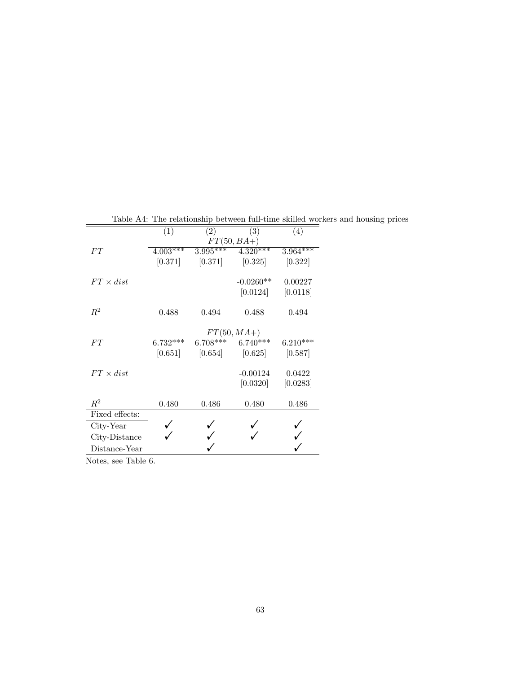|                  | (1)                   | (2)        | (3)           | (4)        |
|------------------|-----------------------|------------|---------------|------------|
|                  |                       |            | $FT(50,BA+)$  |            |
| FT               | $4.003***$            | $3.995***$ | $4.320***$    | $3.964***$ |
|                  | [0.371]               | [0.371]    | [0.325]       | [0.322]    |
| $FT \times dist$ |                       |            | $-0.0260**$   | 0.00227    |
|                  |                       |            | [0.0124]      | [0.0118]   |
| $R^2$            | 0.488                 | 0.494      | 0.488         | 0.494      |
|                  |                       |            | $FT(50, MA+)$ |            |
| FТ               | $6.\overline{732***}$ | $6.708***$ | $6.740***$    | $6.210***$ |
|                  | [0.651]               | [0.654]    | [0.625]       | [0.587]    |
| $FT \times dist$ |                       |            | $-0.00124$    | 0.0422     |
|                  |                       |            | [0.0320]      | [0.0283]   |
| $R^2$            | 0.480                 | 0.486      | 0.480         | 0.486      |
| Fixed effects:   |                       |            |               |            |
| City-Year        |                       |            |               |            |
| City-Distance    |                       |            |               |            |
| Distance-Year    |                       |            |               |            |

Table A4: The relationship between full-time skilled workers and housing prices

Notes, see Table 6.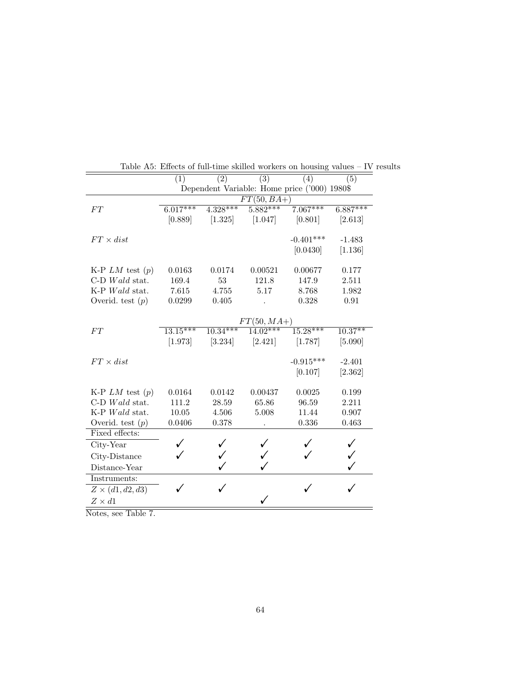|                         | (1)                                                                   | (2)        | (3)          | (4)                                          | (5)                   |  |
|-------------------------|-----------------------------------------------------------------------|------------|--------------|----------------------------------------------|-----------------------|--|
|                         |                                                                       |            |              | Dependent Variable: Home price ('000) 1980\$ |                       |  |
|                         |                                                                       |            | $FT(50,BA+)$ |                                              |                       |  |
| ${\cal FT}$             | $6.017***$                                                            | $4.328***$ | $5.882***$   | $7.067***$                                   | $6.887***$            |  |
|                         | [0.889]                                                               | [1.325]    | [1.047]      | [0.801]                                      | [2.613]               |  |
|                         |                                                                       |            |              |                                              |                       |  |
| $FT \times dist$        |                                                                       |            |              | $-0.401***$                                  | $-1.483$              |  |
|                         |                                                                       |            |              | [0.0430]                                     | [1.136]               |  |
|                         |                                                                       |            |              |                                              |                       |  |
| K-P $LM$ test $(p)$     | 0.0163                                                                | 0.0174     | 0.00521      | 0.00677                                      | 0.177                 |  |
| $C-D$ <i>Wald</i> stat. | 169.4                                                                 | 53         | 121.8        | 147.9                                        | 2.511                 |  |
| K-P Wald stat.          | 7.615                                                                 | 4.755      | 5.17         | 8.768                                        | 1.982                 |  |
| Overid. test $(p)$      | 0.0299                                                                | 0.405      |              | 0.328                                        | 0.91                  |  |
|                         |                                                                       |            |              |                                              |                       |  |
| FT                      | $FT(50, MA+)$<br>$14.02***$<br>$15.28***$<br>$13.15***$<br>$10.34***$ |            |              |                                              |                       |  |
|                         | [1.973]                                                               | [3.234]    | [2.421]      |                                              | $10.37***$<br>[5.090] |  |
|                         |                                                                       |            |              | [1.787]                                      |                       |  |
| $FT \times dist$        |                                                                       |            |              | $-0.915***$                                  | $-2.401$              |  |
|                         |                                                                       |            |              | [0.107]                                      | [2.362]               |  |
|                         |                                                                       |            |              |                                              |                       |  |
| K-P $LM$ test $(p)$     | 0.0164                                                                | 0.0142     | 0.00437      | 0.0025                                       | 0.199                 |  |
| $C-D$ Wald stat.        | 111.2                                                                 | 28.59      | 65.86        | 96.59                                        | 2.211                 |  |
| K-P Wald stat.          | $10.05\,$                                                             | 4.506      | 5.008        | 11.44                                        | 0.907                 |  |
| Overid. test $(p)$      | 0.0406                                                                | 0.378      |              | 0.336                                        | 0.463                 |  |
| Fixed effects:          |                                                                       |            |              |                                              |                       |  |
| City-Year               |                                                                       |            |              |                                              |                       |  |
| City-Distance           |                                                                       |            |              |                                              |                       |  |
| Distance-Year           |                                                                       |            |              |                                              |                       |  |
| Instruments:            |                                                                       |            |              |                                              |                       |  |
| $Z \times (d1, d2, d3)$ |                                                                       | ✓          |              |                                              |                       |  |
| $Z \times d1$           |                                                                       |            | ✓            |                                              |                       |  |
| m11n                    |                                                                       |            |              |                                              |                       |  |

Table A5: Effects of full-time skilled workers on housing values – IV results

Notes, see Table 7.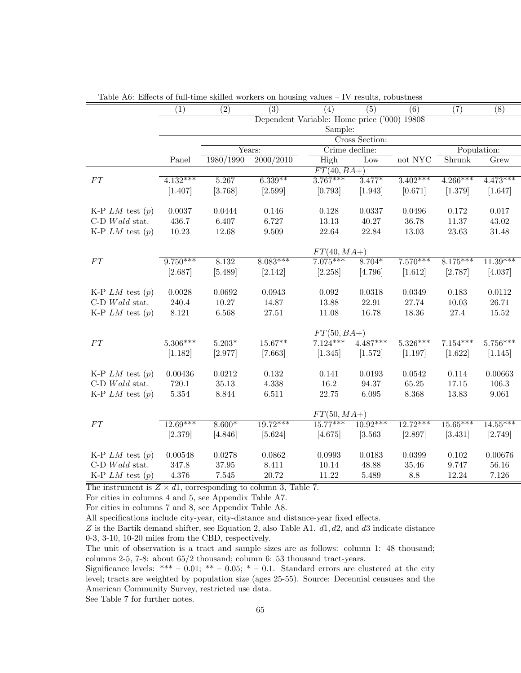|                         | (1)                                          | $\overline{(2)}$ | $\overline{(3)}$ | (4)           | (5)            | (6)        | (7)         | $\overline{(8)}$ |
|-------------------------|----------------------------------------------|------------------|------------------|---------------|----------------|------------|-------------|------------------|
|                         | Dependent Variable: Home price ('000) 1980\$ |                  |                  |               |                |            |             |                  |
|                         |                                              | Sample:          |                  |               |                |            |             |                  |
|                         |                                              |                  |                  |               | Cross Section: |            |             |                  |
|                         |                                              |                  | Years:           |               | Crime decline: |            | Population: |                  |
|                         | Panel                                        | 1980/1990        | 2000/2010        | High          | Low            | not NYC    | Shrunk      | Grew             |
|                         |                                              |                  |                  | $FT(40,BA+)$  |                |            |             |                  |
| FT                      | $4.132***$                                   | 5.267            | $6.339**$        | $3.767***$    | $3.477*$       | $3.402***$ | $4.266***$  | $4.473***$       |
|                         | [1.407]                                      | [3.768]          | [2.599]          | [0.793]       | [1.943]        | [0.671]    | [1.379]     | [1.647]          |
|                         |                                              |                  |                  |               |                |            |             |                  |
| K-P $LM$ test $(p)$     | 0.0037                                       | 0.0444           | 0.146            | 0.128         | 0.0337         | 0.0496     | 0.172       | 0.017            |
| C-D $Wald$ stat.        | 436.7                                        | $6.407\,$        | 6.727            | 13.13         | 40.27          | 36.78      | 11.37       | 43.02            |
| K-P $LM$ test $(p)$     | 10.23                                        | 12.68            | 9.509            | 22.64         | 22.84          | 13.03      | 23.63       | $31.48\,$        |
|                         |                                              |                  |                  |               |                |            |             |                  |
|                         |                                              |                  |                  | $FT(40, MA+)$ |                |            |             |                  |
| ${\cal FT}$             | $9.750***$                                   | 8.132            | $8.083***$       | $7.075***$    | $8.704*$       | $7.570***$ | $8.175***$  | $11.39***$       |
|                         | [2.687]                                      | [5.489]          | [2.142]          | [2.258]       | [4.796]        | [1.612]    | [2.787]     | [4.037]          |
| K-P $LM$ test $(p)$     | 0.0028                                       | 0.0692           | 0.0943           | 0.092         | 0.0318         | 0.0349     | 0.183       | 0.0112           |
| $C-D$ Wald stat.        | 240.4                                        | 10.27            | 14.87            | 13.88         | 22.91          | 27.74      | 10.03       | 26.71            |
| K-P $LM$ test $(p)$     | $8.121\,$                                    | 6.568            | $27.51\,$        | 11.08         | 16.78          | 18.36      | $27.4\,$    | $15.52\,$        |
|                         |                                              |                  |                  |               |                |            |             |                  |
|                         |                                              | $FT(50,BA+)$     |                  |               |                |            |             |                  |
| ${\cal FT}$             | $5.306***$                                   | $5.203*$         | $15.67***$       | $7.124***$    | $4.487***$     | $5.326***$ | $7.154***$  | $5.756***$       |
|                         | [1.182]                                      | [2.977]          | [7.663]          | [1.345]       | [1.572]        | [1.197]    | [1.622]     | [1.145]          |
|                         |                                              |                  |                  |               |                |            |             |                  |
| K-P $LM$ test $(p)$     | 0.00436                                      | 0.0212           | 0.132            | 0.141         | 0.0193         | 0.0542     | 0.114       | 0.00663          |
| $C-D$ <i>Wald</i> stat. | 720.1                                        | 35.13            | 4.338            | 16.2          | 94.37          | 65.25      | 17.15       | 106.3            |
| K-P $LM$ test $(p)$     | $5.354\,$                                    | 8.844            | 6.511            | 22.75         | 6.095          | 8.368      | 13.83       | 9.061            |
|                         |                                              |                  |                  |               |                |            |             |                  |
|                         |                                              | $FT(50, MA+)$    |                  |               |                |            |             |                  |
| ${\cal FT}$             | $12.69***$                                   | $8.600*$         | $19.72***$       | $15.77***$    | $10.92***$     | $12.72***$ | $15.65***$  | $14.55***$       |
|                         | [2.379]                                      | [4.846]          | [5.624]          | [4.675]       | [3.563]        | [2.897]    | [3.431]     | [2.749]          |
|                         |                                              |                  |                  |               |                |            |             |                  |
| K-P $LM$ test $(p)$     | 0.00548                                      | 0.0278           | 0.0862           | 0.0993        | 0.0183         | 0.0399     | $0.102\,$   | 0.00676          |
| $C-D$ Wald stat.        | 347.8                                        | 37.95            | 8.411            | 10.14         | 48.88          | 35.46      | 9.747       | 56.16            |
| K-P $LM$ test $(p)$     | 4.376                                        | $7.545\,$        | $20.72\,$        | 11.22         | 5.489          | 8.8        | 12.24       | 7.126            |

Table A6: Effects of full-time skilled workers on housing values – IV results, robustness

The instrument is  $Z \times d1$ , corresponding to column 3, Table 7.

For cities in columns 4 and 5, see Appendix Table A7.

For cities in columns 7 and 8, see Appendix Table A8.

All specifications include city-year, city-distance and distance-year fixed effects.

*Z* is the Bartik demand shifter, see Equation 2, also Table A1. *d*1*, d*2*,* and *d*3 indicate distance

0-3, 3-10, 10-20 miles from the CBD, respectively.

The unit of observation is a tract and sample sizes are as follows: column 1: 48 thousand; columns 2-5, 7-8: about 65/2 thousand; column 6: 53 thousand tract-years.

Significance levels: \*\*\* – 0.01; \*\* – 0.05; \* – 0.1. Standard errors are clustered at the city level; tracts are weighted by population size (ages 25-55). Source: Decennial censuses and the American Community Survey, restricted use data.

See Table 7 for further notes.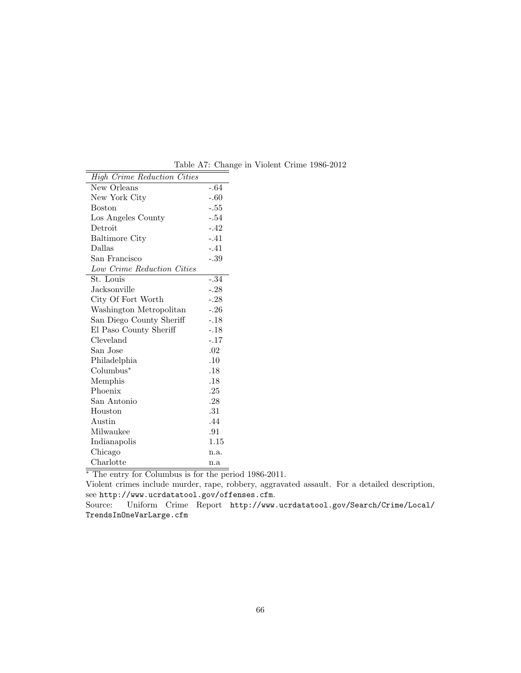| High Crime Reduction Cities |        |
|-----------------------------|--------|
| New Orleans                 | $-.64$ |
| New York City               | $-.60$ |
| Boston                      | $-.55$ |
| Los Angeles County          | $-.54$ |
| Detroit                     | $-.42$ |
| <b>Baltimore City</b>       | $-.41$ |
| Dallas                      | $-.41$ |
| San Francisco               | $-.39$ |
| Low Crime Reduction Cities  |        |
| St. Louis                   | $-.34$ |
| Jacksonville                | $-.28$ |
| City Of Fort Worth          | $-.28$ |
| Washington Metropolitan     | $-.26$ |
| San Diego County Sheriff    | $-.18$ |
| El Paso County Sheriff      | $-.18$ |
| Cleveland                   | $-.17$ |
| San Jose                    | .02    |
| Philadelphia                | .10    |
| Columbus*                   | .18    |
| Memphis                     | .18    |
| Phoenix                     | .25    |
| San Antonio                 | .28    |
| Houston                     | .31    |
| Austin                      | .44    |
| Milwaukee                   | .91    |
| Indianapolis                | 1.15   |
| Chicago                     | n.a.   |
| Charlotte                   | n.a    |

Table A7: Change in Violent Crime 1986-2012

*<sup>∗</sup>* The entry for Columbus is for the period 1986-2011.

Violent crimes include murder, rape, robbery, aggravated assault. For a detailed description, see http://www.ucrdatatool.gov/offenses.cfm.

Source: Uniform Crime Report http://www.ucrdatatool.gov/Search/Crime/Local/ TrendsInOneVarLarge.cfm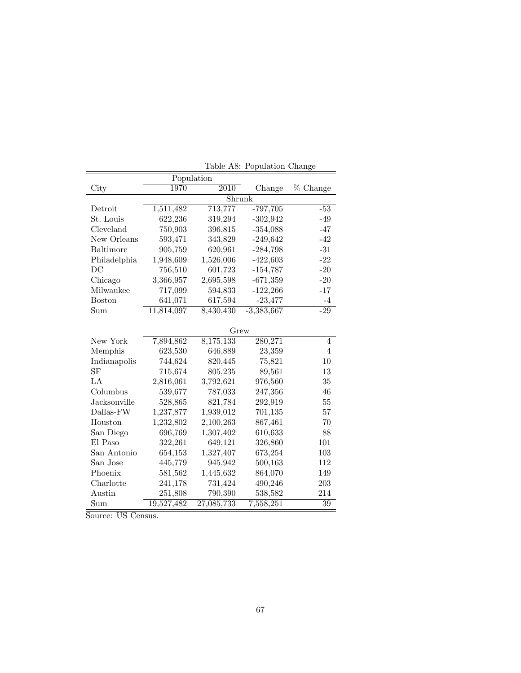|               | Population |            |              |                 |  |  |  |
|---------------|------------|------------|--------------|-----------------|--|--|--|
| City          | 1970       | 2010       | Change       | % Change        |  |  |  |
|               | Shrunk     |            |              |                 |  |  |  |
| Detroit       | 1,511,482  | 713,777    | $-797,705$   | $-53$           |  |  |  |
| St. Louis     | 622,236    | 319,294    | $-302,942$   | $-49$           |  |  |  |
| Cleveland     | 750,903    | 396,815    | $-354,088$   | $-47$           |  |  |  |
| New Orleans   | 593,471    | 343,829    | $-249,642$   | $-42$           |  |  |  |
| Baltimore     | 905,759    | 620,961    | $-284,798$   | $-31$           |  |  |  |
| Philadelphia  | 1,948,609  | 1,526,006  | $-422,603$   | $-22$           |  |  |  |
| DC            | 756,510    | 601,723    | $-154,787$   | $-20$           |  |  |  |
| Chicago       | 3,366,957  | 2,695,598  | $-671,359$   | $-20$           |  |  |  |
| Milwaukee     | 717,099    | 594,833    | $-122,266$   | $-17$           |  |  |  |
| <b>Boston</b> | 641,071    | 617,594    | $-23,477$    | -4              |  |  |  |
| Sum           | 11,814,097 | 8,430,430  | $-3,383,667$ | $-29$           |  |  |  |
|               |            |            |              |                 |  |  |  |
|               | Grew       |            |              |                 |  |  |  |
| New York      | 7,894,862  | 8,175,133  | 280,271      | $\overline{4}$  |  |  |  |
| Memphis       | 623,530    | 646,889    | 23,359       | $\overline{4}$  |  |  |  |
| Indianapolis  | 744,624    | 820,445    | 75,821       | 10              |  |  |  |
| SF            | 715,674    | 805,235    | 89,561       | 13              |  |  |  |
| LA            | 2,816,061  | 3,792,621  | 976,560      | 35              |  |  |  |
| Columbus      | 539,677    | 787,033    | 247,356      | 46              |  |  |  |
| Jacksonville  | 528,865    | 821,784    | 292,919      | 55              |  |  |  |
| Dallas-FW     | 1,237,877  | 1,939,012  | 701,135      | 57              |  |  |  |
| Houston       | 1,232,802  | 2,100,263  | 867,461      | 70              |  |  |  |
| San Diego     | 696,769    | 1,307,402  | 610,633      | 88              |  |  |  |
| El Paso       | 322,261    | 649,121    | 326,860      | 101             |  |  |  |
| San Antonio   | 654,153    | 1,327,407  | 673,254      | 103             |  |  |  |
| San Jose      | 445,779    | 945,942    | 500,163      | 112             |  |  |  |
| Phoenix       | 581,562    | 1,445,632  | 864,070      | 149             |  |  |  |
| Charlotte     | 241,178    | 731,424    | 490,246      | 203             |  |  |  |
| Austin        | 251,808    | 790,390    | 538,582      | 214             |  |  |  |
| Sum           | 19,527,482 | 27,085,733 | 7,558,251    | $\overline{39}$ |  |  |  |

Table A8: Population Change

Source: US Census.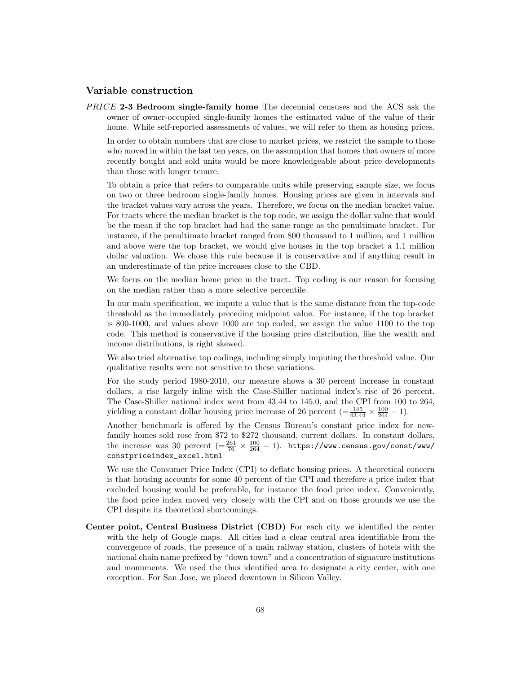#### **Variable construction**

*P RICE* **2-3 Bedroom single-family home** The decennial censuses and the ACS ask the owner of owner-occupied single-family homes the estimated value of the value of their home. While self-reported assessments of values, we will refer to them as housing prices.

In order to obtain numbers that are close to market prices, we restrict the sample to those who moved in within the last ten years, on the assumption that homes that owners of more recently bought and sold units would be more knowledgeable about price developments than those with longer tenure.

To obtain a price that refers to comparable units while preserving sample size, we focus on two or three bedroom single-family homes. Housing prices are given in intervals and the bracket values vary across the years. Therefore, we focus on the median bracket value. For tracts where the median bracket is the top code, we assign the dollar value that would be the mean if the top bracket had had the same range as the penultimate bracket. For instance, if the penultimate bracket ranged from 800 thousand to 1 million, and 1 million and above were the top bracket, we would give houses in the top bracket a 1.1 million dollar valuation. We chose this rule because it is conservative and if anything result in an underestimate of the price increases close to the CBD.

We focus on the median home price in the tract. Top coding is our reason for focusing on the median rather than a more selective percentile.

In our main specification, we impute a value that is the same distance from the top-code threshold as the immediately preceding midpoint value. For instance, if the top bracket is 800-1000, and values above 1000 are top coded, we assign the value 1100 to the top code. This method is conservative if the housing price distribution, like the wealth and income distributions, is right skewed.

We also tried alternative top codings, including simply imputing the threshold value. Our qualitative results were not sensitive to these variations.

For the study period 1980-2010, our measure shows a 30 percent increase in constant dollars, a rise largely inline with the Case-Shiller national index's rise of 26 percent. The Case-Shiller national index went from 43.44 to 145.0, and the CPI from 100 to 264, yielding a constant dollar housing price increase of 26 percent  $\left(=\frac{145}{43.44} \times \frac{100}{264} - 1\right)$ .

Another benchmark is offered by the Census Bureau's constant price index for newfamily homes sold rose from \$72 to \$272 thousand, current dollars. In constant dollars, the increase was 30 percent  $(=\frac{261}{76} \times \frac{100}{264} - 1)$ . https://www.census.gov/const/www/ constpriceindex\_excel.html

We use the Consumer Price Index (CPI) to deflate housing prices. A theoretical concern is that housing accounts for some 40 percent of the CPI and therefore a price index that excluded housing would be preferable, for instance the food price index. Conveniently, the food price index moved very closely with the CPI and on those grounds we use the CPI despite its theoretical shortcomings.

**Center point, Central Business District (CBD)** For each city we identified the center with the help of Google maps. All cities had a clear central area identifiable from the convergence of roads, the presence of a main railway station, clusters of hotels with the national chain name prefixed by "down town" and a concentration of signature institutions and monuments. We used the thus identified area to designate a city center, with one exception. For San Jose, we placed downtown in Silicon Valley.